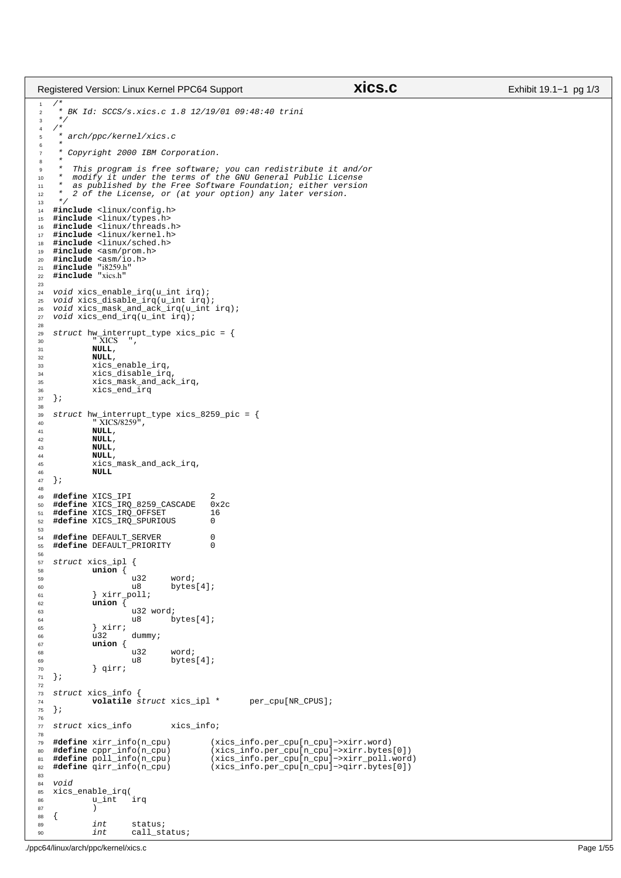```
1 / *
2 * BK Id: SCCS/s.xics.c 1.8 12/19/01 09:48:40 trini
\begin{array}{ccc} 3 & * \end{array}\begin{array}{cc} 4 & \nearrow \star \\ 5 & \star \end{array}5 * arch/ppc/kernel/xics.c
\epsilon7 * Copyright 2000 IBM Corporation.
 *<br>
* This program is free software; you can redistribute it and/or<br>
* modify it under the terms of the GNU General Public License<br>
* as published by the Free Software Foundation; either version<br>
* 2 of the License, or (at 
13 + 7<br>14 + 1114 #include <linux/config.h>
 15 #include <linux/types.h>
16 #include <linux/threads.h>
17 #include <linux/kernel.h>
18 #include <linux/sched.h>
19 #include <asm/prom.h><br>20 #include <asm/io.h>
 20 #include <asm/io.h>
21 #include "i8259.h"
22 #include "xics.h"
23
24 void xics_enable_irq(u_int irq);<br>25 void xics_disable_irq(u_int irq)
     void xics_disable_irq(u_int irq);
 26 void xics_mask_and_ack_irq(u_int irq);
27 void xics_end_irq(u_int irq);
28
 29 struct hw_interrupt_type xics_pic = {
30 " XICS ",
\frac{31}{32} NULL,
                    32 NULL,
33 xics_enable_irq,
<sup>34</sup> xics_disable_irq,<br>35 xics_mask_and_ack
 35 xics_mask_and_ack_irq,
36 xics_end_irq
37 };
38
 39 struct hw_interrupt_type xics_8259_pic = {
40 " XICS/8259",
41 NULL,<br>42 NULL,
42 NULL,<br>43 NULL,
43 NULL,<br>44 NULL,
44 NULL,
                    45 xics_mask_and_ack_irq,
46 NULL
     47 };
48
49 #define XICS_IPI  2<br>50 #define XICS IRO 8259 CASCADE  0x2c
 50 #define XICS_IRQ_8259_CASCADE 0x2c
51 #define XICS_IRQ_OFFSET 16
52 #define XICS_IRQ_SPURIOUS 0
53
 54 #define DEFAULT_SERVER 0
55 #define DEFAULT_PRIORITY 0
56
57 struct xics_ipl {
58 union {
59 u32 word;
                                                 bytes[4];
61 } xirr_poll;
62 union {
\begin{array}{ccc}\n 63 & 132 \text{ word} \\
 64 & 18\n \end{array}bytes[4];
 65 } xirr;
66 u32 dummy;
67 union {
68 u32 word;
\begin{array}{ccc}\n\mathfrak{so} & \mathfrak{u} & \mathfrak{g} \\
\mathfrak{so} & \mathfrak{g} \\
\mathfrak{so} & \mathfrak{g} \\
\mathfrak{g} & \mathfrak{g} \\
\mathfrak{g} & \mathfrak{g} \\
\mathfrak{g} & \mathfrak{g} \\
\mathfrak{g} & \mathfrak{g}\n\end{array}} qirr;
71 };
72
73 struct xics_info {
                    volatile struct xics_ipl * per_cpu[NR_CPUS];
75 };
76
77 struct xics_info xics_info;
78
79 #define xirr_info(n_cpu) (xics_info.per_cpu[n_cpu]->xirr.word)<br>
80 #define cppr_info(n_cpu) (xics_info.per_cpu[n_cpu]->xirr.bytes<br>
81 #define poll_info(n_cpu) (xics_info.per_cpu[n_cpu]->xirr_poll.
 80 #define cppr_info(n_cpu) (xics_info.per_cpu[n_cpu]−>xirr.bytes[0])
81 #define poll_info(n_cpu) (xics_info.per_cpu[n_cpu]−>xirr_poll.word)
82 #define qirr_info(n_cpu) (xics_info.per_cpu[n_cpu]−>qirr.bytes[0])
83
84 void<br>85 xics
     xics_enable_irq(
\begin{array}{cc}\n\text{86} & \text{u\_int} & \text{irq} \\
\text{87} & \text{)}\n\end{array}87 )
88 \qquad {\begin{matrix} \phantom{1} \\ \phantom{1} \\ \phantom{1} \\ \phantom{1} \\ \phantom{1} \\ \phantom{1} \\ \phantom{1} \\ \phantom{1} \\ \phantom{1} \\ \phantom{1} \\ \phantom{1} \\ \phantom{1} \\ \phantom{1} \\ \phantom{1} \\ \phantom{1} \\ \phantom{1} \\ \phantom{1} \\ \phantom{1} \\ \phantom{1} \\ \phantom{1} \\ \phantom{1} \\ \phantom{1} \\ \phantom{1} \\ \phantom{1} \\ \phantom{1} \\ \phantom{1} \\ \phantom{1} \\ \phantom{1} \\ \phantom{1} \\ \phantom{1} \\int status;
90 int call status;
Registered Version: Linux Kernel PPC64 Support xics.c Exhibit 19.1−1 pg 1/3
```
./ppc64/linux/arch/ppc/kernel/xics.c Page 1/55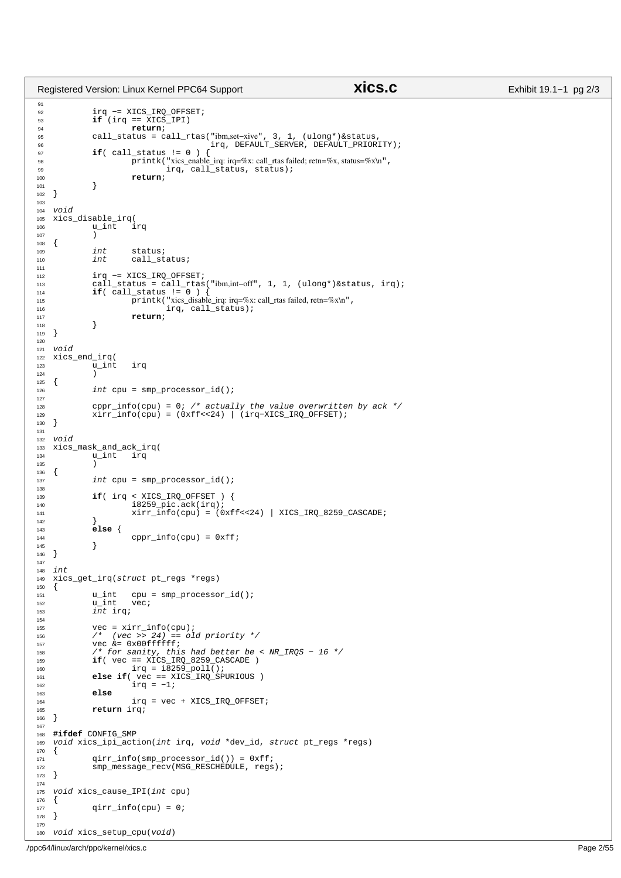91  $rac{1}{92}$  irq −= XICS IRO OFFSET; 93 **if**  $\left(\text{irq} = \text{XICS\_IPI}\right)$ <br> **if**  $\left(\text{irq} = \text{XICS\_IPI}\right)$ 94 **return**;<br>95 **call\_status** = **c** <sup>95</sup> call\_status = call\_rtas("ibm,set−xive", 3, 1, (ulong\*)&status, <sup>96</sup> irq, DEFAULT\_SERVER, DEFAULT\_PRIORITY); 97 **if**( call\_status != 0 )<br>98 **printk**( "xics enable 98 printk("xics\_enable\_irq: irq=%x: call\_rtas failed; retn=%x, status=%x\n",<br>  $\frac{1}{99}$ , call\_status, status); 99  $\frac{1}{100}$   $\frac{1}{100}$ ,  $\frac{1}{100}$   $\frac{1}{100}$   $\frac{1}{100}$ <sup>100</sup> **return**; <sup>101</sup> } <sup>102</sup> } 103 104 void<br>105 xics <sup>105</sup> xics\_disable\_irq(  $\begin{array}{cc}\n 106 \\
 107\n \end{array}$  u\_int irq <sup>107</sup> )  $\begin{matrix} 108 \\ 109 \end{matrix}$ 109 int status;<br>110 int call\_st call\_status; 111 <sup>112</sup> irq −= XICS\_IRQ\_OFFSET; <sup>113</sup> call\_status = call\_rtas("ibm,int−off", 1, 1, (ulong\*)&status, irq); <sup>114</sup> **if**( call\_status != 0 ) { <sup>115</sup> printk("xics\_disable\_irq: irq=%x: call\_rtas failed, retn=%x\n", <sup>116</sup> irq, call\_status); 117<br>118 **return**; <sup>118</sup> } <sup>119</sup> } 120 121 void<br>122 xics <sup>122</sup> xics\_end\_irq(  $\frac{123}{124}$   $\frac{u_{\text{int}}}{v_{\text{1}}}\text{irq}$  $\begin{array}{cc} 124 \\ 125 \end{array}$  $125$ <br> $126$  $int$  cpu = smp\_processor\_id(); 127 <sup>128</sup> cppr\_info(cpu) = 0; /\* actually the value overwritten by ack \*/<br>129 xirr\_info(cpu) = (0xff<<24) | (irq-XICS\_IRQ\_OFFSET);  $x\text{irr\_info}(\text{cpu}) = (0x\text{ff}<<24)$  | (irq-XICS\_IRQ\_OFFSET);<br>} <sup>130</sup> } 131 <sup>132</sup> void <sup>133</sup> xics\_mask\_and\_ack\_irq(  $u$ \_int <sup>135</sup> )  $\begin{matrix} 136 \\ 137 \end{matrix}$  $int$  cpu = smp\_processor\_id(); 138 139 **if**(  $\text{irq} \leq \text{XICS}$  IRQ OFFSET ) {<br>140 **i** 8259 pic.ack(irq); <sup>140</sup> i8259\_pic.ack(irq); <sup>141</sup> xirr\_info(cpu) = (0xff<<24) | XICS\_IRQ\_8259\_CASCADE; <sup>142</sup> } <sup>143</sup> **else** { 144 cppr\_info(cpu) =  $0xff$ ;  $\}$ <sup>146</sup> } 147  $148$  int<br> $149$  xic <sup>149</sup> xics\_get\_irq(struct pt\_regs \*regs)  $\{$ <sup>151</sup> u\_int cpu =  $\text{sup\_processor\_id}()$ ;<br>
<sup>152</sup> u\_int vec;  $rac{u_{\text{int}}}{u_{\text{int}}}$  int  $int$  irq; <sup>154</sup> <sup>155</sup> vec = xirr\_info(cpu); <sup>156</sup> /\* (vec >> 24) == old priority \*/ 157  $\begin{array}{ccc}\n\text{vec } & \text{vec } & \text{in} \\
\text{vec } & \text{vec } & \text{vec} \\
\text{158} & & \text{if} & \text{for} & \text{sunity}, \\
\end{array}$ 158 /\* for sanity, this had better be <  $NR\_IRQS - 16$  \*/<br>159 **if** (  $vec = XICS$  IRO 8259 CASCADE ) <sup>159</sup> **if**( vec == XICS\_IRQ\_8259\_CASCADE ) <sup>160</sup> irq = i8259\_poll(); <sup>161</sup> **else if**( vec == XICS\_IRQ\_SPURIOUS )  $162$   $irq = -1;$ <br> $163$  else <sup>163</sup> **else**  $irq = vec + XICS_IRQ_OFFSET;$ <sup>165</sup> **return** irq; <sup>166</sup> } 167 168 **#ifdef** CONFIG\_SMP void xics\_ipi\_action(int irq, void \*dev\_id, struct pt\_regs \*regs)  $\begin{matrix} 170 \\ 171 \end{matrix}$  $qirr_info(smp\_processor_id()) = 0xff;$ 172 smp\_message\_recv(MSG\_RESCHEDULE, regs);<br>173 } } 174 <sup>175</sup> void xics\_cause\_IPI(int cpu)

 $\text{qirr\_info}(\text{cpu}) = 0;$ 

<sup>180</sup> void xics\_setup\_cpu(void)

 $\begin{matrix} 176 \\ 177 \end{matrix}$ 

<sup>178</sup> } 179

## Registered Version: Linux Kernel PPC64 Support **xics.c** Exhibit 19.1−1 pg 2/3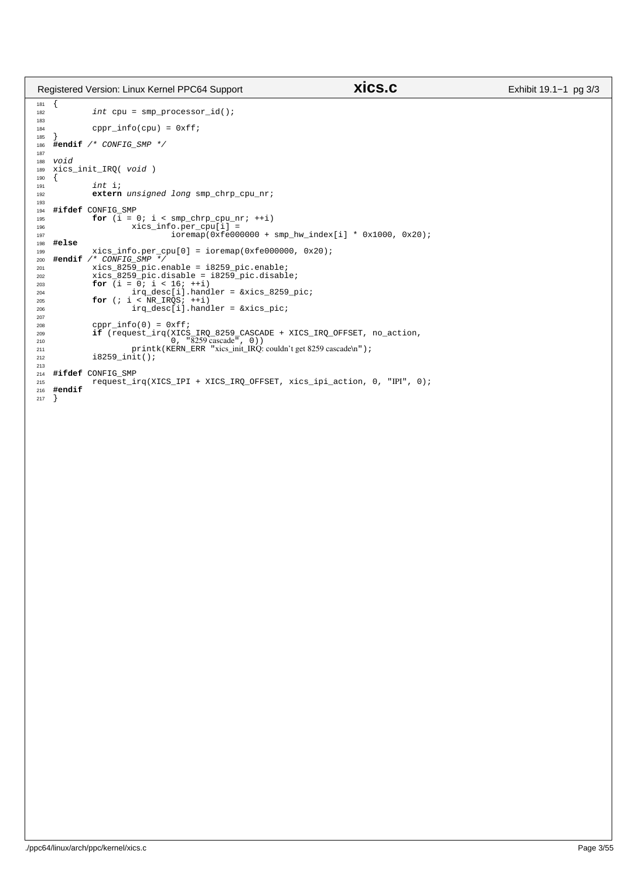Registered Version: Linux Kernel PPC64 Support **xics.c** Exhibit 19.1−1 pg 3/3

```
\begin{matrix}\n181 & \{ \\
182 & \{ \end{matrix}int cpu = smp processor id();
183
184 cppr\_info(cpu) = 0xff;185 }
    186 #endif /* CONFIG_SMP */
187
188 void<br>189 xics
    xics_init_IRQ( void )<br>{
190 {
                int i;
192 extern unsigned long smp_chrp_cpu_nr;
193
194 #ifdef CONFIG_SMP
                195 197 197 199 199 199 199 199 199196 xics_info.per_cpu[i] =
197 ioremap(0xfe000000 + smp_hw_index[i] * 0x1000, 0x20);
198 #else
199 xics_info.per_cpu[0] = ioremap(0xfe000000, 0x20);<br>
200 #endif /* CONFIG_SMP */<br>
201 xics_8259_pic.enable = i8259_pic.enable;
202 xics_8259_pic.disable = i8259_pic.disable;
203 for (i = 0; i < 16; ++i)
204 205 205 206 207 i < NR IRQS; i + i)
205 for (; i < NR_IRQS; ++i)
206 irq_desc[i].handler = &xics_pic;
207
208 cppr_info(0) = 0xff;<br>209 if (request_irq(XICS
if (request_irq(XICS_IRQ_8259_CASCADE + XICS_IRQ_OFFSET, no_action,<br>
0, "8259 cascade", 0))<br>
211 printk(KERN_ERR "xics_init_IRQ: couldn't get 8259 cascade\n");<br>
212 i8259_init();
213
<sup>214</sup> #ifdef CONFIG_SMP<br><sup>215</sup> request_i
215 request_irq(XICS_IPI + XICS_IRQ_OFFSET, xics_ipi_action, 0, "IPI", 0);
     216 #endif
217 }
```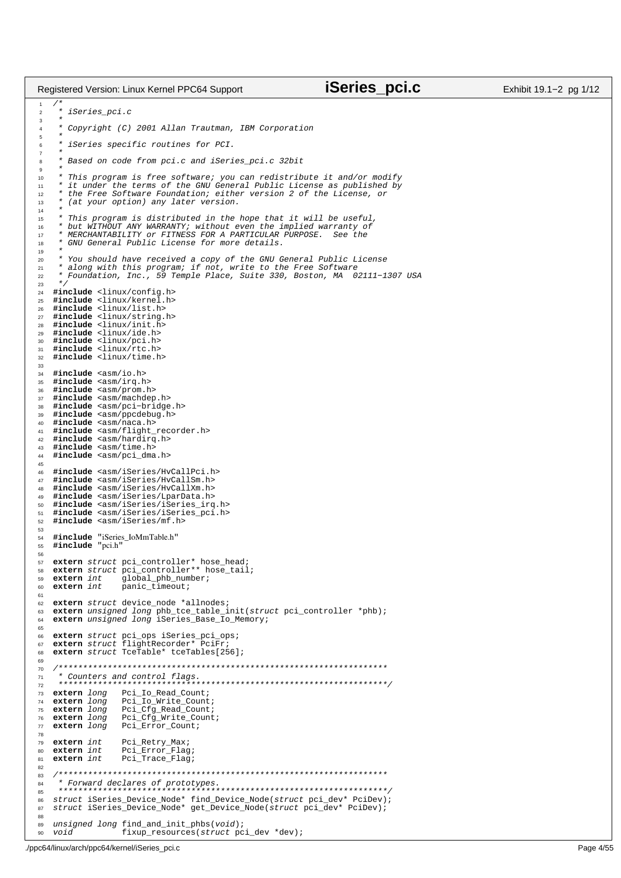$\overline{1}$  \* iSeries\_pci.c  $\frac{3}{4}$ Copyright (C) 2001 Allan Trautman, IBM Corporation  $\frac{5}{6}$ iSeries specific routines for PCI. \* \* Based on code from pci.c and iSeries\_pci.c 32bit \* \* This program is free software; you can redistribute it and/or modify <sup>11</sup> \* it under the terms of the GNU General Public License as published by 12 \* the Free Software Foundation; either version 2 of the License, or<br>
13 \* (at your option) any later version. \* (at your option) any later version.  $\frac{14}{15}$  \* This program is distributed in the hope that it will be useful, <sup>16</sup> \* but WITHOUT ANY WARRANTY; without even the implied warranty of <sup>17</sup> \* MERCHANTABILITY or FITNESS FOR A PARTICULAR PURPOSE. See the \* GNU General Public License for more details. <sub>19</sub> \* You should have received a copy of the GNU General Public License <sup>21</sup> \* along with this program; if not, write to the Free Software 22 \* Foundation, Inc., 59 Temple Place, Suite 330, Boston, MA 02111−1307 USA<br>23 \*/  $*$ <br>24  $\sharp$ ir <sup>24</sup> #include <linux/config.h><br>25 #include <linux/kernel.h> #include <linux/kernel.h> **#include** <linux/list.h> **#include** <linux/string.h> **#include** <linux/init.h> **#include** <linux/ide.h> **#include** <linux/pci.h> **#include** <linux/rtc.h> **#include** <linux/time.h> **#include** <asm/io.h> **#include** <asm/irq.h> **#include** <asm/prom.h> **#include** <asm/machdep.h><br>38 **#include** <asm/pci-bridge **#include** <asm/pci−bridge.h> **#include** <asm/ppcdebug.h> **#include** <asm/naca.h> **#include** <asm/flight\_recorder.h><br>42 **#include** <asm/hardirg.h> **#include** <asm/hardirq.h> **#include** <asm/time.h><br>44 **#include** <asm/pci dma **#include** <asm/pci\_dma.h> **#include** <asm/iSeries/HvCallPci.h> **#include** <asm/iSeries/HvCallSm.h> **#include** <asm/iSeries/HvCallXm.h> **#include** <asm/iSeries/LparData.h> **#include** <asm/iSeries/iSeries\_irq.h> **#include** <asm/iSeries/iSeries\_pci.h> **#include** <asm/iSeries/mf.h> **#include** "iSeries\_IoMmTable.h" <sup>55</sup> **#include** "pci.h" **extern** struct pci\_controller\* hose\_head; **extern** struct pci\_controller\*\* hose\_tail;<br>58 **extern** struct pci\_controller\*\* hose\_tail; **extern** int global\_phb\_number;<br>**extern** int panic timeout; **extern** int panic\_timeout; **extern** struct device\_node \*allnodes;<br>63 **extern** unsigned long phb tce table i **extern** unsigned long phb\_tce\_table\_init(struct pci\_controller \*phb); <sup>64</sup> **extern** unsigned long iSeries\_Base\_Io\_Memory; **extern** struct pci\_ops iSeries\_pci\_ops; <sup>67</sup> **extern** struct flightRecorder\* PciFr; **extern** struct TceTable\* tceTables[256]; /\*\*\*\*\*\*\*\*\*\*\*\*\*\*\*\*\*\*\*\*\*\*\*\*\*\*\*\*\*\*\*\*\*\*\*\*\*\*\*\*\*\*\*\*\*\*\*\*\*\*\*\*\*\*\*\*\*\*\*\*\*\*\*\*\*\*\* \* Counters and control flags. <sup>72</sup> \*\*\*\*\*\*\*\*\*\*\*\*\*\*\*\*\*\*\*\*\*\*\*\*\*\*\*\*\*\*\*\*\*\*\*\*\*\*\*\*\*\*\*\*\*\*\*\*\*\*\*\*\*\*\*\*\*\*\*\*\*\*\*\*\*\*\*/ **extern** long Pci\_Io\_Read\_Count;<br>74 **extern** long Pci\_Io\_Write\_Count Pci\_Io\_Write\_Count; **extern** long Pci\_Cfg\_Read\_Count; **extern** long Pci\_Cfg\_Write\_Count; **extern** long Pci\_Error\_Count; <sup>79</sup> **extern** int Pci\_Retry\_Max;<br>80 **extern** int Pci Error Flag **extern** int Pci\_Error\_Flag; <sup>81</sup> **extern** int Pci\_Trace\_Flag; /\*\*\*\*\*\*\*\*\*\*\*\*\*\*\*\*\*\*\*\*\*\*\*\*\*\*\*\*\*\*\*\*\*\*\*\*\*\*\*\*\*\*\*\*\*\*\*\*\*\*\*\*\*\*\*\*\*\*\*\*\*\*\*\*\*\*\* \* Forward declares of prototypes. <sup>85</sup> \*\*\*\*\*\*\*\*\*\*\*\*\*\*\*\*\*\*\*\*\*\*\*\*\*\*\*\*\*\*\*\*\*\*\*\*\*\*\*\*\*\*\*\*\*\*\*\*\*\*\*\*\*\*\*\*\*\*\*\*\*\*\*\*\*\*\*/ struct iSeries\_Device\_Node\* find\_Device\_Node(struct pci\_dev\* PciDev); struct iSeries\_Device\_Node\* get\_Device\_Node(struct pci\_dev\* PciDev); unsigned long find\_and\_init\_phbs(void); void fixup\_resources(struct pci\_dev \*dev); Registered Version: Linux Kernel PPC64 Support **iSeries\_pci.c** Exhibit 19.1−2 pg 1/12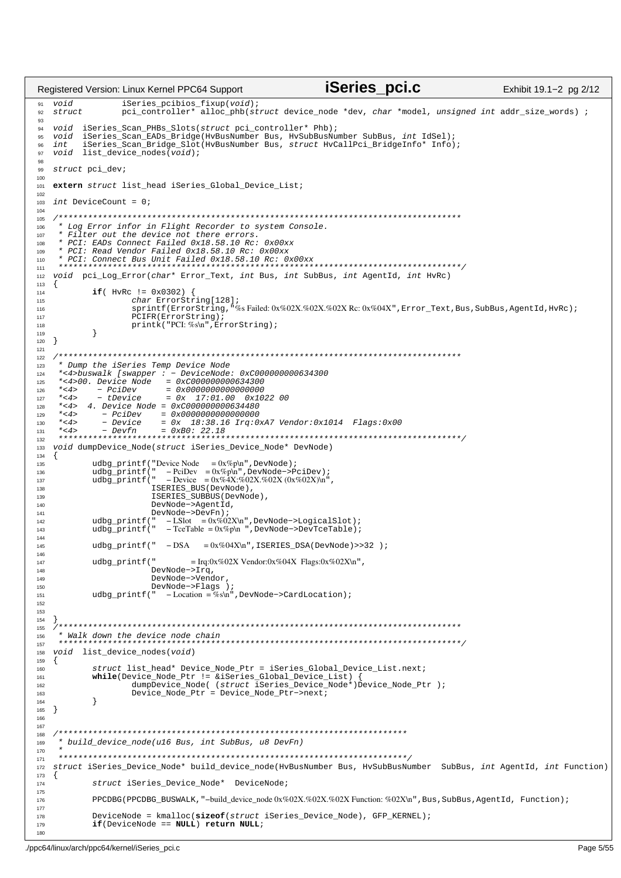iSeries pci.c Registered Version: Linux Kernel PPC64 Support Exhibit 19.1-2 pg 2/12 91  $v \circ id$ iSeries\_pcibios\_fixup(void); struct pci controller\*  $02$ 93 iSeries\_Scan\_PHBs\_Slots(struct pci\_controller\* Phb); 94 void iSeries\_Scan\_EADs\_Bridge(HvBusNumber Bus, HvSubBusNumber SubBus, int IdSel);<br>iSeries\_Scan\_Bridge\_Slot(HvBusNumber Bus, struct HvCallPci\_BridgeInfo\* Info); 95 void 96 int.  $void$  list\_device\_nodes( $void$ ); 97 98 99 struct pci dev; 100 101 extern struct list\_head iSeries\_Global\_Device\_List;  $102$ 103  $int$  DeviceCount = 0; 104 105 \* Log Error infor in Flight Recorder to system Console.  $106$ \* Filter out the device not there errors. 107 \* PCI: EADs Connect Failed 0x18.58.10 Rc: 0x00xx 108 \* PCI: Read Vendor Failed 0x18.58.10 Rc: 0x00xx 109 \* PCI: Connect Bus Unit Failed 0x18.58.10 Rc: 0x00xx 110  $111$ 112 void pci\_Log\_Error(char\* Error\_Text, int Bus, int SubBus, int AgentId, int HvRc)  $113$  $\{$ 114 if (HvRc !=  $0x0302$ ) {  $115$  $char$  ErrorString[128]; sprintf(ErrorString, "%sFailed: 0x%02X.%02X.%02X Rc: 0x%04X", Error\_Text, Bus, SubBus, AgentId, HvRc); 116  $PCIFR(ErrorString);$ 117 printk("PCI: %s\n", ErrorString); 118  $\left\{ \right\}$ 119  $\begin{array}{c} 1120 \\ 120 \end{array}$  $121$ \* Dump the iSeries Temp Device Node 123 \*<4>buswalk [swapper : - DeviceNode: 0xC000000000634300  $124$ \*<4>00. Device Node =  $0 \times 0000000000634300$ 125  $^{\star}$  < 4  $>$  $126$ - PciDev  $= 0 \times 0.0000000000000000$  $*$  < 4 > tDevice 17:01.00  $= 0x$  $0x102200$ 127  $*<4>$ 4. Device Node =  $0xC000000000634480$ 128  $*<4>$ 129 130  $*$  < 4 >  $^{\star}$  < 4  $>$ 131 132 133 void dumpDevice\_Node(struct iSeries\_Device\_Node\* DevNode) 134  $\left\{ \right.$ 135 udbg\_printf("Device Node =  $0x\%p\ln$ ", DevNode);  $\frac{\text{u} \cdot \text{u} \cdot \text{u} \cdot \text{u} \cdot \text{u} \cdot \text{u} \cdot \text{u} \cdot \text{u} \cdot \text{u}}{(\text{d} \text{b} \text{g\_printf}(\text{''} - \text{Pei} \text{D} \text{e} \text{''} - \text{D} \text{x} \% \text{p} \text{h} \text{''}, \text{DevNode} - \text{PciDev});$ <br>
let  $\frac{\text{d} \text{b} \cdot \text{d} \cdot \text{p} \cdot \text{d} \cdot \text{p} \cdot \text{d} \cdot \text{p} \cdot \text{d}$ 136 137 ISERIES\_BUS(DevNode) 138  $139$ ISERIES\_SUBBUS(DevNode), 140  $DevNode -  $lambda$$ DevNode->DevFn);  $141$ udbg\_printf(" -LSlot = 0x%02X\n", DevNode->LogicalSlot);<br>udbg\_printf(" - LSlot = 0x%02X\n", DevNode->LogicalSlot);<br>udbg\_printf(" - TceTable = 0x%p\n ", DevNode->DevTceTable);  $142$  $143$ 144 udbg printf("  $-DSA = 0x\%04X\ln$ ", ISERIES DSA(DevNode)>>32);  $145$ 146 udbg\_printf(" 147 = Irq:0x%02X Vendor:0x%04X Flags:0x%02X\n ", DevNode->Irq, 148 149 DevNode->Vendor DevNode->Flags );<br>
" -Location = %s\n", DevNode->CardLocation); 150 udbg printf(" 151 152 153 154 155 \* Walk down the device node chain 156 157 void list\_device\_nodes(void) 158 159  $\{$ struct list\_head\* Device\_Node\_Ptr = iSeries\_Global\_Device\_List.next; 160 while(Device\_Node\_Ptr != &iSeries\_Global\_Device\_List) {<br>while(Device\_Node\_Ptr != &iSeries\_Global\_Device\_List) {<br>dumpDevice\_Node( (struct iSeries\_Device\_Node\*)Device\_Node\_Ptr ); 161 162  $Device_Node_Ptr = Device_Node_Ptr->next;$ 163  $\}$ 164 165  $\}$ 166 167 168 \* build\_device\_node(u16 Bus, int SubBus, u8 DevFn) 169  $170$ 171 struct iSeries\_Device\_Node\* build\_device\_node(HvBusNumber Bus, HvSubBusNumber SubBus, int AgentId, int Function) 172 173  $\{$ 174 struct iSeries\_Device\_Node\* DeviceNode; 175 PPCDBG(PPCDBG\_BUSWALK, "-build\_device\_node0x%02X.%02X.%02XFunction:%02X\n",Bus,SubBus,AgentId,Function); 176 177  $\texttt{DeviceNode = kmalloc}(\texttt{sizeof}(\texttt{struct}~\texttt{iseries\_Device\_Node}), \texttt{GFP\_KERNEL});$ 178 179  $if(DeviceNode == NULL) return NULL;$ 180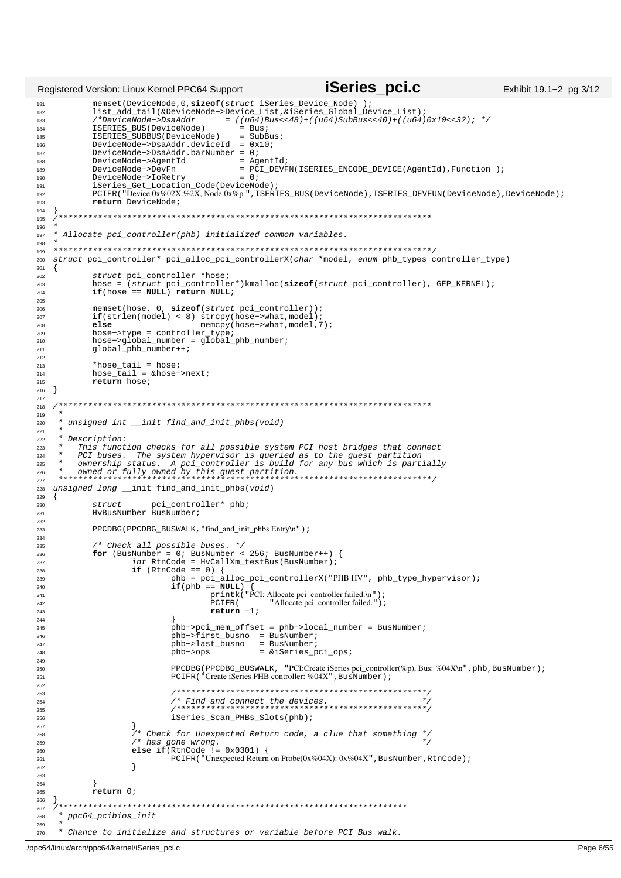```
iSeries pci.c
Registered Version: Linux Kernel PPC64 Support
                                                                                                     Exhibit 19.1-2 pg 3/12
            memset(DeviceNode,0,sizeof(struct iSeries_Device_Node));<br>list_add_tail(&DeviceNode->Device_List,&iSeries_Global_Device_List);
18<sup>1</sup>182
            /*DeviceNode->DsaAddr
                                       = ((u64)Bus<<48) + ((u64)SubBus<<40) + ((u64)0x10<<32); */
183
            ISERIES_BUS(DeviceNode)
                                           = Bus184
            ISERIES_SUBBUS(DeviceNode)
                                            = SubBus;
185
            DeviceNode->DsaAddr.deviceId = 0x10;
186
            DeviceNode->DsaAddr.barNumber = 0i187
            DeviceNode->AgentId
                                            = AgentId;
188
                                            = PCI_DEVFN(ISERIES_ENCODE_DEVICE(AgentId), Function );
189
            DeviceNode->DevFn
190
            DeviceNode->IoRetry
                                            = 0:
191
            iSeries Get Location
                                  Code(DeviceNode);
            PCIFR("Device 0x%02X.%2X, Node:0x%p", ISERIES_BUS(DeviceNode), ISERIES_DEVFUN(DeviceNode), DeviceNode);
192
193
            return DeviceNode;
194
   195
106Allocate pci_controller(phb) initialized common variables.
197
198
   199
   struct pci_controller* pci_alloc_pci_controllerX(char *model, enum phb_types controller_type)
200
201
   \{struct pci_controller *hose;<br>hose = (struct pci_controller*)kmalloc(sizeof(struct pci_controller), GFP_KERNEL);
202
203
20<sup>2</sup>if(hose == NULL) return NULL;
205memset(hose, 0, sizeof(struct pci_controller));<br>if(strlen(model) < 8) strcpy(hose->what,model);
206
207
                                   memcpy(hose->what, model, 7);
            else
208
            hose->type = controller_type;<br>hose->global_number = global_phb_number;
209210global_phb_number++;
211
212*hose_tail = hose;<br>hose_tail = &hose->next;
213
214215return hose;
   \}216217
   218
219
220
      unsigned int __init find_and_init_phbs(void)
221Description:
222
223
         This function checks for all possible system PCI host bridges that connect
224
         PCI buses. The system hypervisor is queried as to the guest partition
    225
226
227unsigned long __init find_and_init_phbs(void)
228
229
   \{230struct pci_controller* phb;<br>HyBusNumber BusNumber;
231
232
            PPCDBG (PPCDBG_BUSWALK, "find_and_init_phbs Entry\n");
233
234
            /* Check all possible buses. */<br>
for (BusNumber = 0; BusNumber < 256; BusNumber++) {
235236
                    int RtnCode = HvCallXm_testBus(BusNumber);
237
                    if (RtnCode == 0) {
238
239
                             phb = pci_alloc_pci_controllerX("PHB HV", phb_type_hypervisor);
240if(\text{phb} == \text{NULL})printk("PCI: Allocate pci_controller failed.\n");
241
                                     PCIFR(
                                                   "Allocate pci_controller failed.");
242
                                     return -1;243
244phb->pci_mem_offset = phb->local_number = BusNumber;<br>phb->first_busno = BusNumber;<br>= cusno = cusnomer;
245246^{247}phb->last_busno
                                               = BusNumber;
                                                = &iSeries_pci_ops;
248
                             phb->ops249
                             PPCDBG (PPCDBG_BUSWALK, "PCI:Create iSeries pci_controller(%p), Bus: %04X\n", phb, BusNumber) ;
250
                             PCIFR("Create iSeries PHB controller: %04X", BusNumber);
251
252
                               253
                             254
255
                             iSeries_Scan_PHBs_Slots(phb);
256
                    )<br>/* Check for Unexpected Return code, a clue that something */<br>/*
257
258\frac{1}{x} has gone wrong.
250else if(RtnCode != 0x0301) {<br>else if(RtnCode != 0x0301) {<br>PCIFR("Unexpected Return on Probe(0x%04X): 0x%04X", BusNumber, RtnCode);
260261
                     \}262
263
264
            \text{return} \n0265
266
     267268
      ppc64_pcibios_init
269* Chance to initialize and structures or variable before PCI Bus walk.
270
```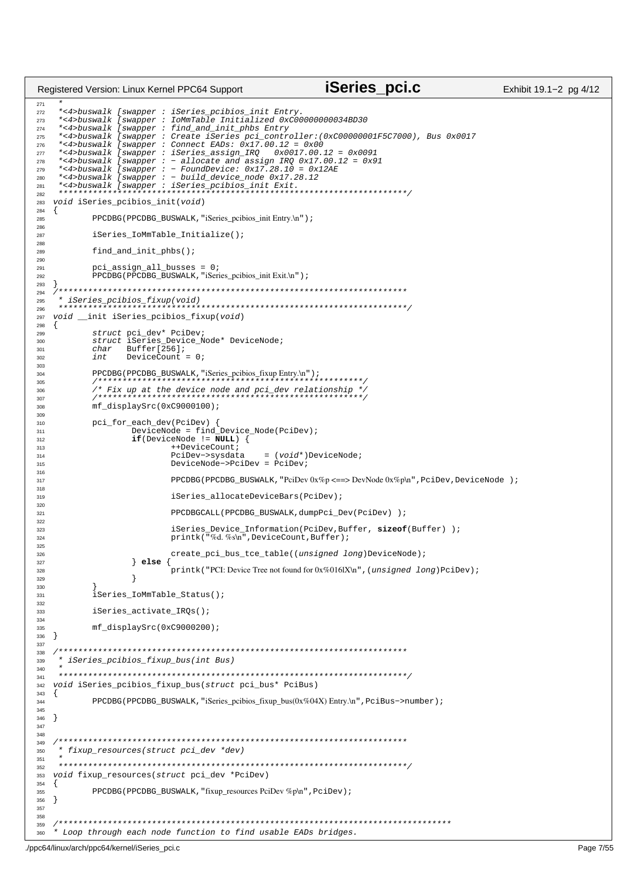```
27<sup>1</sup>272 *<4>buswalk [swapper : iSeries_pcibios_init Entry.
273 *-4>buswalk [swapper : IoMmTable Initialized 0xC00000000034BD30<br>274 *<4>buswalk [swapper : find_and_init_phbs_Entry
     274 *<4>buswalk [swapper : find_and_init_phbs Entry
275 *<4>buswalk [swapper : Create iSeries pci_controller:(0xC00000001F5C7000), Bus 0x0017
276 *<4>buswalk [swapper : Connect EADs: 0x17.00.12 = 0x00
277 *<4>buswalk [swapper : iSeries_assign_IRQ 0x0017.00.12 = 0x0091
278 *<4>buswalk [swapper : − allocate and assign IRQ 0x17.00.12 = 0x91
279 *<4>buswalk [swapper : − FoundDevice: 0x17.28.10 = 0x12AE
280 *<4>buswalk [swapper : − build_device_node 0x17.28.12
281 *<4>buswalk [swapper : iSeries_pcibios_init Exit.
282 ***********************************************************************/
<sup>283</sup> void iSeries pcibios init(void)
284 \{284, 285\}PPCDBG(PPCDBG_BUSWALK, "iSeries_pcibios_init Entry.\n");
286
287 iSeries_IoMmTable_Initialize();
288
289 find_and_init_phbs();
290
291 pci_assign_all_busses = 0;
292 PPCDBG(PPCDBG_BUSWALK, "iSeries_pcibios_init Exit.\n");
293 }
294 /***********************************************************************
     295 * iSeries_pcibios_fixup(void) 
296 ***********************************************************************/
297 void init iSeries pcibios fixup(void)
298 \frac{1}{2}299 struct pci_dev* PciDev;
300 struct iSeries_Device_Node* DeviceNode;
301 char Buffer[256];<br>302 int DeviceCount
                     DeviceCount = 0;303<br>304
304 PPCDBG(PPCDBG_BUSWALK,"iSeries_pcibios_fixup Entry.\n"); 
305 /******************************************************/
306 /* Fix up at the device node and pci_dev relationship */
307 /******************************************************/
308 mf_displaySrc(0xC9000100);
309
310 pci_for_each_dev(PciDev) {
311 DeviceNode = find_Device_Node(PciDev);
                      312 if(DeviceNode != NULL) {
313 ++DeviceCount;<br>314 PciDev->sysdata
314 PciDev−>sysdata = (void*)DeviceNode;
                               315 DeviceNode−>PciDev = PciDev;
316
<sup>317</sup> PPCDBG(PPCDBG_BUSWALK, "PciDev 0x%p <==> DevNode 0x%p\n", PciDev, DeviceNode );
318<br>319
                               319 iSeries_allocateDeviceBars(PciDev);
320
321 PPCDBGCALL(PPCDBG_BUSWALK,dumpPci_Dev(PciDev) );
322<br>323
                               323 iSeries_Device_Information(PciDev,Buffer, sizeof(Buffer) );
324 printk(\sqrt{n}\%d, \%s\n<sup>n</sup>, DeviceCount, Buffer);
325
326 create_pci_bus_tce_table((unsigned long)DeviceNode);<br>327 else {
                      327 } else {
328 printk("PCI: Device Tree not found for 0x\%016IX\n", (unsigned long)PciDev);
329 }
330 }
331 iSeries IoMmTable Status();
332
333 iSeries_activate_IRQs();
334
335 mf_displaySrc(0xC9000200);
336 }
337
338 /***********************************************************************
339 * iSeries_pcibios_fixup_bus(int Bus)
340 *
341 ***********************************************************************/
    void iSeries_pcibios_fixup_bus(struct pci_bus* PciBus)
343 \quad \{<br>344344 PPCDBG(PPCDBG_BUSWALK,"iSeries_pcibios_fixup_bus(0x%04X) Entry.\n",PciBus−>number); 
345
346 }
347
348
349 /***********************************************************************
350 * fixup_resources(struct pci_dev *dev) 
351 *
352 ***********************************************************************/
353 void fixup_resources(struct pci_dev *PciDev)
354 \{<br>355
             PPCDBG(PPCDBG_BUSWALK, "fixup_resources PciDev %p\n", PciDev);
356 } 
357
358
359 /********************************************************************************
360 * Loop through each node function to find usable EADs bridges. 
Registered Version: Linux Kernel PPC64 Support iSeries_pci.c Exhibit 19.1−2 pg 4/12
```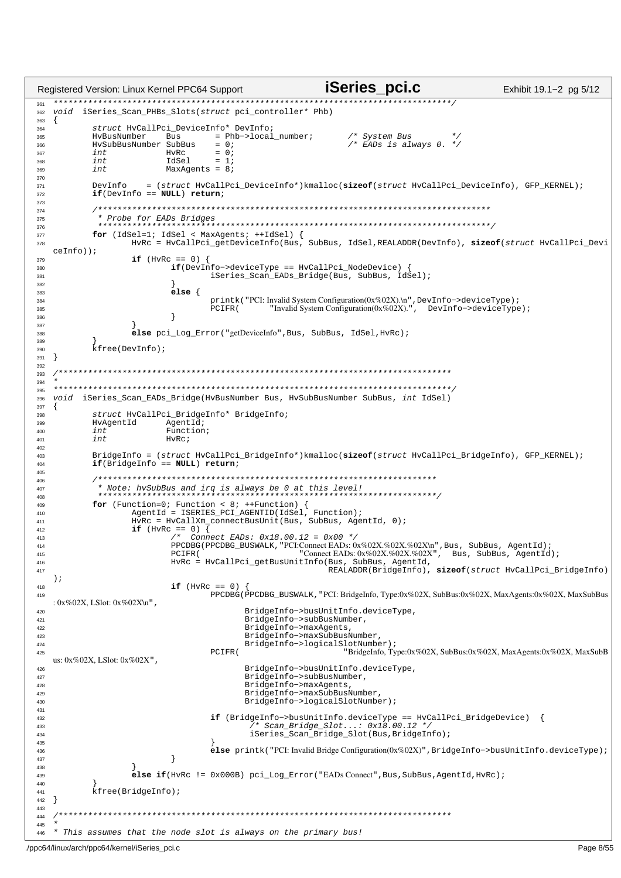```
iSeries pci.c
                                                                                               Exhibit 19.1-2 pg 5/12
Registered Version: Linux Kernel PPC64 Support
   ******36'void iSeries Scan PHBs Slots(struct pci controller* Phb)
362363
   \{struct HvCallPci_DeviceInfo* DevInfo;
364
           HvBusNumber
                                    = Phb->local_number;
                                                                /* System Bus \frac{t}{t}<br>/* EADs is always 0. */
                          Bus
365
           HySubBusNumber SubBus
                                    = 0 ;
366
                          HvRc
                                    = 0;int
367
           intIdSel
                                    = 1368
369
           int
                          MaxAgents = 8i370
                      = (struct \; HvCallPci\_DeviceInfo* )\text{\it kmalloc} (\text{\it sizeof} (struct \; HvCallPci\_DeviceInfo) \; , \; GFP\_KERNEL) \; ;371
           DevInfo
           if(DevInfo == NULL) return?372
373
           374
            * Probe for EADs Bridges
275376
           for (IdSel=1; IdSel < MaxAgents; ++IdSel) {
377
                   HvRc = HvCallPci_getDeviceInfo(Bus, SubBus, IdSel, REALADDR(DevInfo), sizeof(struct HvCallPci_Devi
378
   cefnfo) ;
                   if (HvRc == 0)
379
                           if(DevInfo \rightarrow deviceType == HvCallPci_NodeDevice) {
380
                                   iSeries_Scan_EADs_Bridge(Bus, SubBus, IdSel);
381
382
383
                           else \{printk ("PCI: Invalid System Configuration(0x%02X).\n", DevInfo->deviceType);<br>PCIFR ("Invalid System Configuration(0x%02X).", DevInfo->deviceType);
384
385
                           \mathcal{E}386
387
                   else pci_Log_Error("getDeviceInfo", Bus, SubBus, IdSel, HvRc);
388
380
           kfree(DevInfo);
390
   \}391
392
         393394
         + + +395
   void iSeries Scan EADs Bridge(HvBusNumber Bus, HvSubBusNumber SubBus, int IdSel)
396
397
           struct HvCallPci_BridgeInfo* BridgeInfo;
398
399
           HvAgentId
                          AgentId;
400i nt
                          Function;
                          HyRc
           int401
402
403BridgeInfo = (struct HvCallPci_BridgeInfo*)kmalloc(sizeof(struct HvCallPci_BridgeInfo), GFP_KERNEL);
404
           if(BridgeInfo == NULL) return?405
           406
            407\overline{AB}for (Function=0; Function < 8; ++Function) {<br>AgentId = ISERIES_PCI_AGENTID(IdSel, Function);
\overline{a}410HvRc = HvCallXm connectBusUnit(Bus, SubBus, AgentId, 0);
411if (HvRc == 0) \overline{\left\{ }412/* Connect EADs: 0x18.00.12 = 0x00 * /<br>PPCDBG(PPCDBG_BUSWALK, "PCI:Connect EADs: 0x%02X.%02X.%02X\n", Bus, SubBus, AgentId);
413
A1A"Connect EADs: 0x%02X.%02X.%02X", Bus, SubBus, AgentId);
                           PCIFR(
415
                           HvRc = HvCallPci_getBusUnitInfo(Bus, SubBus, AgentId,
416
                                                           REALADDR(BridgeInfo), sizeof(struct HvCallPci_BridgeInfo)
417
   );
418if (HvRC == 0)PPCDBG PPCDBG_BUSWALK, "PCI: BridgeInfo, Type:0x%02X, SubBus:0x%02X, MaxAgents:0x%02X, MaxSubBus
419
   : 0x\%02X, LSlot: 0x\%02X\ln",
                                          BridgeInfo->busUnitInfo.deviceType,
420
421BridgeInfo->subBusNumber
422BridgeInfo->maxAgents
                                          BridgeInfo->maxSubBusNumber,
423BridgeInfo->logicalSlotNumber);
424PCTFR"BridgeInfo, Type:0x%02X, SubBus:0x%02X, MaxAgents:0x%02X, MaxSubB
425us: 0x\%02X. LSlot: 0x\%02X".
                                          BridgeInfo->busUnitInfo.deviceType.
426BridgeInfo->subBusNumber,
427
                                          BridgeInfo->maxAgents,
428
                                          BridgeInfo->maxSubBusNumber,
429
430BridgeInfo->logicalSlotNumber);
431
                                   if (BridgeInfo->busUnitInfo.deviceType == HvCallPci_BridgeDevice) {
432
                                              Scan\_Bridge\_Slot...: 0x18.00.12 *
433
434
                                            iSeries_Scan_Bridge_Slot(Bus, BridgeInfo);
435else printk("PCI: Invalid Bridge Configuration(0x%02X)", BridgeInfo->busUnitInfo.deviceType);
436\overline{\mathfrak{z}}437
438
                   else if (HvRC := 0x000B) pci_Loq_Error("EADs Connect", Bus, SubBus, AgentId, HvRc);
439\overline{A}kfree(BridgeInfo);
441\}442
443
         444
445* This assumes that the node slot is always on the primary bus!
446
```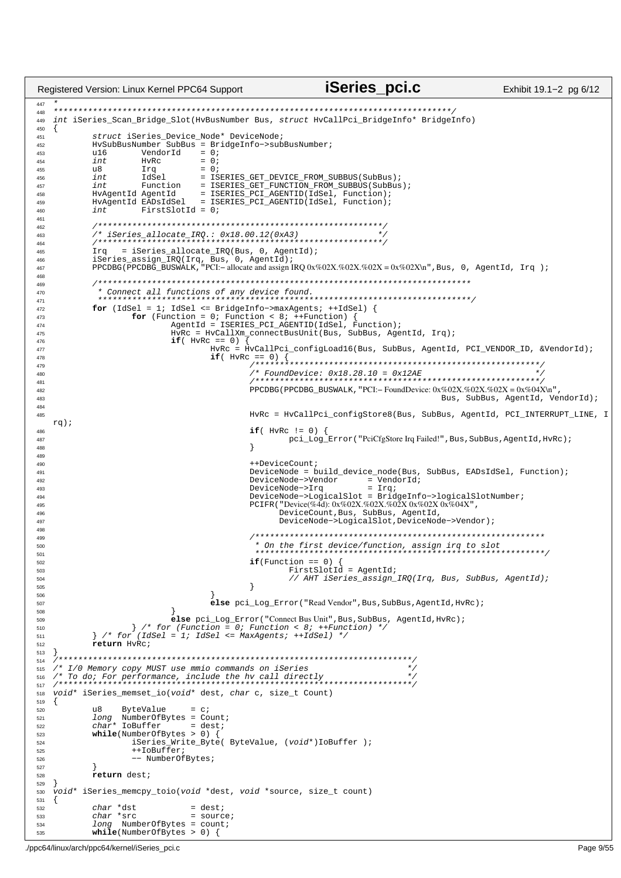```
iSeries pci.c
Registered Version: Linux Kernel PPC64 Support
                                                                                                                     Exhibit 19.1-2 pg 6/12
AA7448int iSeries_Scan_Bridge_Slot(HvBusNumber Bus, struct HvCallPci_BridgeInfo* BridgeInfo)
449
450
   \left\{ \right.struct iSeries_Device_Node* DeviceNode;
451
             HvSubBusNumber SubBus = BridgeInfo->subBusNumber;
452
                                      = 0iVendorId
             u16453
              intHvRc
                                        = 0;454
                                        = 0;455
              u8
                          Irq
                          LARAT
456int= ISERIES_GET_DEVICE_FROM_SUBBUS(SubBus);
             int \quad \text{Function} \quad = \quad \text{ISERIES}\_ \text{GET}\_ \text{FUNCTION}\_ \text{FROM}\_ \text{SUBBUS}(\text{SubBus})\, i \\ \text{HvAgentId} \quad \text{AgentId} \quad = \quad \text{ISERIES}\_ \text{PCI}\_ \text{AGENTID}(\text{IdSel}, \text{ Function})\, i \\ \text{HvAgentId} \quad \text{EADSIdSel} \quad = \quad \text{ISERIES}\_ \text{PCI}\_ \text{AGENTID}(\text{IdSel}, \text{ Function})\, i \\457
458
459
460
              intFirstSlotId = 0;
AC4162/* iSeries_allocate_IRQ.: 0x18.00.12(0xA3)463
              464
              \text{Trq} = iSeries_allocate_IRQ(Bus, 0, AgentId);
ACE466
467
468
              469
              470
471for (IdSel = 1; IdSel <= BridgelInfo->maxAgents; ++IdSel)<br>for (Function = 0; Function < 8; ++Function) {<br>AgentId = ISERIES_PCI_AGENTID(IdSel, Function);
472
473
474
                                 HvRc = HvCallXm_connectBusUnit(Bus, SubBus, AgentId, Irq);
475
                                 if('HvRC == 0')476HvRc = HvCallPci_configLoad16(Bus, SubBus, AgentId, PCI_VENDOR_ID, &VendorId);
477
                                           \textbf{if}(\text{HvRC} == 0) {\n    {\text{if}(\text{HvRC} == 0) {\n        {\text{if}(\text{HvRC} == 0) {\n            {\text{if}(\text{HvRC} == 0) {\n            {\text{if}(\text{HvRC} == 0) {\n            {\text{if}(\text{HvRC} == 0) {\n            {\text{if}(\text{HvRC} == 0) {\n            {\text{if}(\text{HvRC} == 0) {\n            {\text{if}(\text{HvRC} == 0) {\n            {\text{if}(\text{HvRC} == 0) {\n            {\text{if}(\text{HvRC} == 0) {\n            {\text{if}(\text{Hv478
479
                                                     480481PPCDBG(PPCDBG BUSWALK, "PCI:- FoundDevice: 0x\%02X \cdot \frac{202X}{202X} = 0x\%04X \ln r.
482Bus, SubBus, AgentId, VendorId);
483
484
                                                     HvRc = HvCallPci_configStore8(Bus, SubBus, AgentId, PCI_INTERRUPT_LINE, I
485
    rq);
                                                     \textbf{if}(\texttt{HvRc} := 0) {<br> \qquad \qquad \texttt{pci\_Log\_Error}(\texttt{"PciCfgStore Irq Failed!", Bus, SubBus, AgentId, HvRc});486
487
488
                                                     \rightarrow489
490
                                                     ++DeviceCount;
                                                     Principal control between products and the subsets, EADsIdSel, Function);<br>DeviceNode->Vendor = VendorId;
491
492= \text{Irq}493
                                                     DeviceNode->Irq
494DeviceNode->LogicalSlot = BridgeInfo->logicalSlotNumber;
                                                     PCIFR("Device(%4d): 0x%02X.%02X.%02X 0x%02X 0x%04X",
405DeviceCount, Bus, SubBus, AgentId,
496DeviceNode->LogicalSlot, DeviceNode->Vendor);
497
498
                                                     499
                                                      * On the first device/function, assign irq to slot
500501
502
                                                     if(Function == 0) {
                                                               FirstSlotId = AgentId;503
504
                                                               // AHT iSeries_assign_IRQ(Irq, Bus, SubBus, AgentId);
505
                                                     \}506
                                           else pci_Log_Error("Read Vendor", Bus, SubBus, AgentId, HvRc);
507
508
                                 else pci_Log_Error("Connect Bus Unit", Bus, SubBus, AgentId, HvRc);
500\left\{\begin{array}{ccc} \star & \text{for (Function = 0; Function < 8;++Function &gt; 1;}\\ \star & \text{for (Idsel = 1; Idsel &lt;= Maxagents; ++Fdsel) &lt; \end{array}\right.\right.510
511
              return HyRc;
512
513
    514/* I/O Memory copy MUST use mmio commands on iSeries
515
    516
517
    void* iSeries_memset_io(void* dest, char c, size_t Count)
518
519
520
              118ByteValue
                                      = c;
             long NumberOfBytes = C.<br>
long NumberOfBytes = Count;<br>
char* IoBuffer = dest;
521
522
523
              while(NumberOfBytes > 0)iSeries_Write_Byte( ByteValue, (void*)IoBuffer );
524++TORUfferr525
                        -- NumberOfBytes;
526
527
              return dest;
528
529
    void* iSeries_memcpy_toio(void *dest, void *source, size_t count)
530
531
    \{char *dst
532
                                      = dest;
533
              char *src= source;
              long NumberOfBytes = count;
534
             while(NumberOfBytes > 0) {
535
```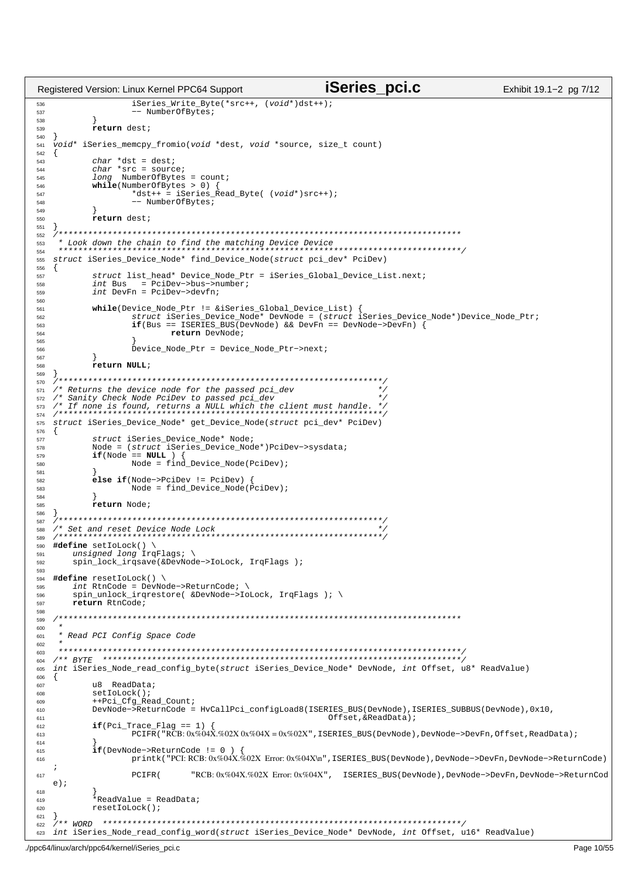```
iSeries pci.c
                                                                                  Exhibit 19.1-2 pg 7/12
Registered Version: Linux Kernel PPC64 Support
536
                iSeries_Write_Byte(*src++, (void*)dst++);
                 537
538
          return dest;
539
540
  void* iSeries memcpy fromio(void *dest, void *source, size t count)
541
542
  \{char *dst = dest;543
         char *src = source;<br>
long NumberOfBytes = count;
544
545
546
         while(NumberOfBytes > 0)*dst++ = iSeries Read Byte( (void*)src++);
547
                -- NumberOfBytes;
548
549
550\mathbf{r}551
552
   553
554
  struct iSeries_Device_Node* find_Device_Node(struct pci_dev* PciDev)
555
556
  \{557
558
559
         int DevFn = PciDev->devfn;
560
         while(Device_Node_Ptr != &iSeries_Global_Device_List) {<br>struct iSeries Device Node* DevNode = (struct iSeries Device Node*)Device Node Ptr;
561
562
                if(Bus == ISERIES_BUS(DevNode) & & DevFn == DevNode->DevFn)563
                       return DevNode;
564
565
                Device Node Ptr = Device Node Ptr->next;
566
567
568
         return NULL;
569
   570
  /* Returns the device node for the passed pci_dev
571
  572
573
574
  struct iSeries_Device_Node* get_Device_Node(struct pci_dev* PciDev)
575
576
  \{struct iSeries_Device_Node* Node;
577
578
         Node = (struct iSeries_Device_Node*)PciDev->sysdata;
579
         if(Node == NULL )Node = find\_Device\_Node(Pcibev);580
581
         \acute{e}lse if(Node->PciDev != PciDev)
582
                Node = find\_Device\_Node(\nleftrightarrow cibev);\n583
          \mathfrak{r}50Areturn Node:
585
  \overline{\phantom{a}}586
    587
  /* Set and reset Device Node Lock
588
   589
500#define setIoLock() \
      unsigned long IrqFlaqs; \
591
      spin_lock_irqsave(&DevNode->IoLock, IrqFlags );
592
593
  #define resetIoLock() \
594
      int RtnCode = DevNode - > ReturnCode; \\ spin\_unlock\_irgrestore( &DevNode - > IoLock, IrqFlags); \\ \n\langle595
596
      return RtnCode;
597
598
  599
600
   * Read PCI Config Space Code
601
602
   603
   604
  int iSeries_Node_read_config_byte(struct iSeries_Device_Node* DevNode, int Offset, u8* ReadValue)
605
  \{606
         u8 ReadData;
607
         setIoLock();
608
600++Pci_Cfg_Read_Count;
610
         DevNode->ReturnCode = HvCallPci_configLoad8(ISERIES_BUS(DevNode), ISERIES_SUBBUS(DevNode), 0x10,
                                                   Offset.KReadData)611
         if(Pci_Trace_Flag ==1)612
613
                PCIFR("RCB: 0x%04X. %02X 0x%04X = 0x%02X", ISERIES_BUS(DevNode), DevNode->DevFn, Offset, ReadData);614if(DevNode->ReturnCode = 0615
                printk("PCI:RCB:0x%04X.%02X Error:0x%04X\n",ISERIES_BUS(DevNode),DevNode->DevFn,DevNode->ReturnCode)
616
   \cdotDTFP/"RCB: 0x%04X.%02X Error: 0x%04X", ISERIES_BUS(DevNode), DevNode->DevFn, DevNode->ReturnCod
617
  e);
618
          *ReadValue = ReadData;
619
         resetIoLock();
620
621
  }<br>/** WORD ***********
622
623 int iSeries_Node_read_config_word(struct iSeries_Device_Node* DevNode, int Offset, ul6* ReadValue)
```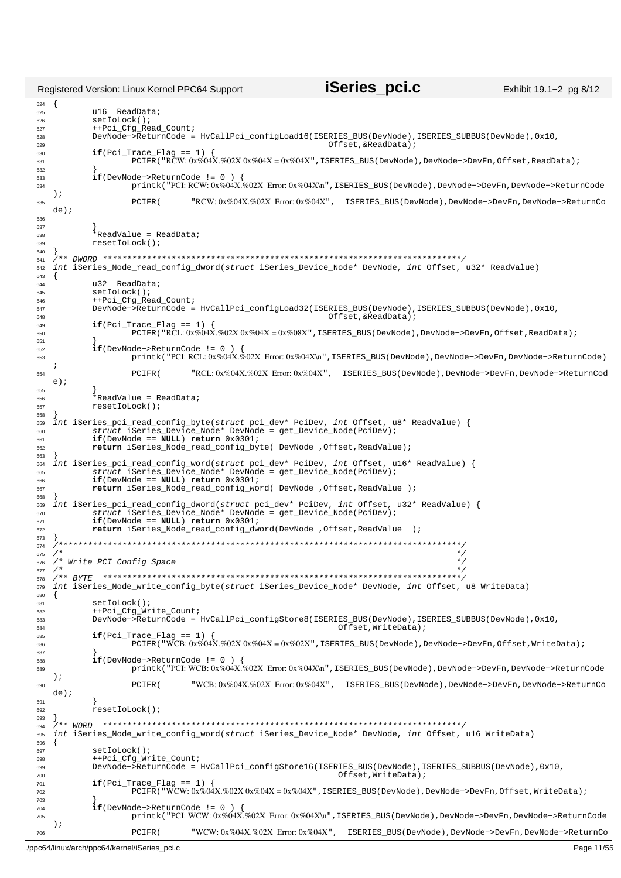iSeries pci.c Registered Version: Linux Kernel PPC64 Support Exhibit 19.1-2 pg 8/12 624  $\{$ u16 ReadData; 625 setIoLock(); 626 ++Pci\_Cfg\_Read\_Count; 627 DevNode->ReturnCode = HvCallPci\_configLoad16(ISERIES\_BUS(DevNode), ISERIES\_SUBBUS(DevNode), 0x10, 628 629 Offset.&ReadData);  $\textbf{if}(\text{Pci\_Trace\_Flag == 1})$  {<br>PCIFR("RCW:0x%04X.%02X0x%04X=0x%04X",ISERIES\_BUS(DevNode),DevNode->DevFn,Offset,ReadData); 630 631 632  $if(DevNode->ReturnCode != 0)$ 633 printk("PCI: RCW: 0x%04X.%02X Error: 0x%04X\n", ISERIES\_BUS(DevNode), DevNode->DevFn, DevNode->ReturnCode 634  $\rightarrow$ "RCW: 0x%04X.%02X Error: 0x%04X", ISERIES BUS(DevNode), DevNode->DevFn, DevNode->ReturnCo 635 PCIFR(  $de)$ ;  $626$  $637$ \*ReadValue = ReadData; 638 resetIoLock(); 639 640 641 int iSeries\_Node\_read\_config\_dword(struct iSeries\_Device\_Node\* DevNode, int Offset, u32\* ReadValue) 642 643  $\{$ u32 ReadData; 644 645 setIoLock(); ++Pci\_Cfg\_Read\_Count; 646 DevNode->ReturnCode = HvCallPci\_configLoad32(ISERIES\_BUS(DevNode), ISERIES\_SUBBUS(DevNode), 0x10, 647 Offset,  $\&$ ReadData); 648  $if(Pci_Trace_Flag == 1)$ 649  $PCIFR$ ("RCL:  $0x\%04X.\%02X0x\%04X = 0x\%08X$ ", ISERIES\_BUS(DevNode), DevNode->DevFn, Offset, ReadData); 650 651  $if(DevNode->ReturnCode != 0$ 652 printk("PCI: RCL: 0x%04X.%02X Error: 0x%04X\n", ISERIES\_BUS(DevNode), DevNode->DevFn, DevNode->ReturnCode) 653  $\cdot$ "RCL: 0x%04X.%02X Error: 0x%04X", ISERIES\_BUS(DevNode), DevNode->DevFn, DevNode->ReturnCod 654 PCTFR(  $e$ ); 655 ,<br>\*ReadValue = ReadData; 656 resetIoLock(); 657 658 int iSeries\_pci\_read\_config\_byte(struct pci\_dev\* PciDev, int Offset, u8\* ReadValue) {<br>struct iSeries\_Device\_Node\* DevNode = get\_Device\_Node(PciDev);<br>if(DevNode == NULL) return 0x0301; 659 660 661 662 return iSeries\_Node\_read\_config\_byte( DevNode , Offset, ReadValue) ; 663 ries\_pci\_read\_config\_word(struct pci\_dev\* PciDev, int Offset, ul6\* ReadValue) {<br>struct iSeries\_Device\_Node\* DevNode = get\_Device\_Node(PciDev); int iSeries\_pci 664 665  $if(DevNode == NULL) return 0x0301;$ 666 return iSeries\_Node\_read\_config\_word( DevNode , Offset, ReadValue ) ; 667 668 int iSeries\_pci\_read\_config\_dword(struct pci\_dev\* PciDev, int Offset, u32\* ReadValue) {<br>struct iSeries\_Device\_Node\* DevNode = get\_Device\_Node(PciDev); 669 670  $if(DevNode == NULL) return 0x0301;$ 671 return iSeries\_Node\_read\_config\_dword(DevNode ,Offset,ReadValue 672 673 674 675 /\* Write PCI Config Space  $\star$ 676 677 678 int iSeries\_Node\_write\_config\_byte(struct iSeries\_Device\_Node\* DevNode, int Offset, u8 WriteData) 679 680 681  $setIoLock()$ ++Pci\_Cfg\_Write\_Count; 682 683 DevNode->ReturnCode = HvCallPci\_configStore8(ISERIES\_BUS(DevNode), ISERIES\_SUBBUS(DevNode), 0x10, 684 Offset.WriteData);  $if(Pei Trace Flag == 1)$ 685 -<br>PCIFR("WCB:0x%04X.%02X0x%04X=0x%02X",ISERIES\_BUS(DevNode),DevNode->DevFn,Offset,WriteData); 686 687 if(DevNode->ReturnCode != 0 ) {<br>printk("PCI:WCB:0x%04X.%02X Error:0x%04X\n",ISERIES\_BUS(DevNode),DevNode->DevFn,DevNode->ReturnCode 688 689  $\rightarrow$ "WCB: 0x%04X.%02X Error: 0x%04X", ISERIES\_BUS(DevNode), DevNode->DevFn, DevNode->ReturnCo PCIFR( 690  $de)$ ;  $69'$ 692  $resetIolock()$  $\rightarrow$ 693  $***$  WORD 694 695 int iSeries\_Node\_write\_config\_word(struct iSeries\_Device\_Node\* DevNode, int Offset, ul6 WriteData) 696  $697$  $setToLock()$ ++Pci\_Cfg\_Write\_Count; 698 DevNode->ReturnCode = HvCallPci\_configStore16(ISERIES\_BUS(DevNode), ISERIES\_SUBBUS(DevNode), 0x10, 699  $OffSet, WriteData);$ 700  $\textbf{if}(\text{Pci\_Trace\_Flag == 1})$  {<br>PCIFR("WCW:0x%04X.%02X0x%04X=0x%04X",ISERIES\_BUS(DevNode),DevNode->DevFn,Offset,WriteData); 701  $702$ 703  $if(DevNode > ReturnCode != 0)$  $704$ printk("PCI: WCW: 0x%04X.%02X Error: 0x%04X\n", ISERIES\_BUS(DevNode), DevNode->DevFn, DevNode->ReturnCode 705  $)$ ; "WCW:0x%04X.%02X Error:0x%04X", ISERIES\_BUS(DevNode),DevNode->DevFn,DevNode->ReturnCo 706 PCTFR(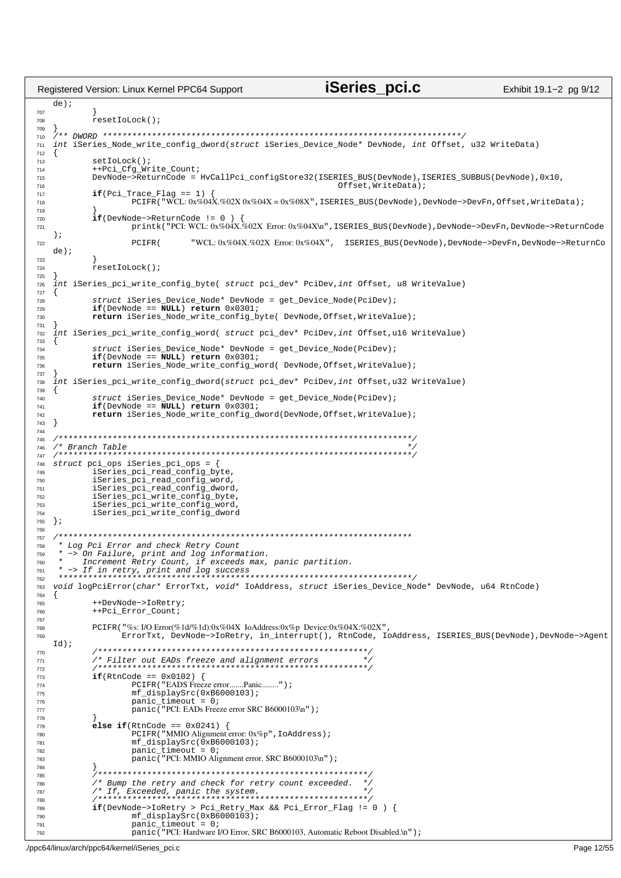iSeries pci.c Registered Version: Linux Kernel PPC64 Support Exhibit 19.1-2 pg 9/12  $de)$ ;  $707$  $resetIolock()$ 708 709 710 int iSeries\_Node\_write\_config\_dword(struct iSeries\_Device\_Node\* DevNode, int Offset, u32 WriteData)  $711$ 712  $\{$ 713  $setIolock()$  $714$ ++Pci\_Cfg\_Write\_Count; DevNode->ReturnCode = HvCallPci\_configStore32(ISERIES\_BUS(DevNode), ISERIES\_SUBBUS(DevNode), 0x10, 715 716 Offset, WriteData);  $\texttt{if}(\texttt{Pci\_Trace\_Flag == 1})$  {<br>PCIFR("WCL:0x%04X.%02X0x%04X=0x%08X",ISERIES\_BUS(DevNode),DevNode->DevFn,Offset,WriteData); 717 718 719  $720$  $if(DevNode->ReturnCode != 0)$ printk("PCI: WCL: 0x%04X.%02X Error: 0x%04X\n", ISERIES\_BUS(DevNode), DevNode->DevFn, DevNode->ReturnCode 721  $)$ ; PCIFR( "WCL: 0x%04X.%02X Error: 0x%04X", ISERIES\_BUS(DevNode), DevNode->DevFn, DevNode->ReturnCo 722  $de)$ ; 723  $resetIolock()$ 724 725 int iSeries\_pci\_write\_config\_byte( struct pci\_dev\* PciDev, int Offset, u8 WriteValue) 726 727  $\{$ 728 struct iSeries\_Device\_Node\* DevNode = get\_Device\_Node(PciDev);  $\texttt{if}(\texttt{DevNode} == \texttt{NULL}) \texttt{return } 0 \times 0301 \texttt{;}$ 729 return iSeries Node write config byte( DevNode, Offset, WriteValue); 730 731 int iSeries\_pci\_write\_config\_word( struct pci\_dev\* PciDev, int Offset, ul6 WriteValue) 732  $733$ struct iSeries Device Node\* DevNode = get\_Device\_Node(PciDev); 734  $if(DevNode == NULL) return 0x0301;$ 735 return iSeries\_Node\_write\_config\_word( DevNode, Offset, WriteValue); 736 737 int iSeries\_pci\_write\_config\_dword(struct pci\_dev\* PciDev, int Offset, u32 WriteValue) 738 739  $\left\{ \right.$ struct iSeries Device Node\* DevNode = get Device Node(PciDev); 740  $if(DevNode == NULL) return 0x0301;$  $741$ return iSeries\_Node\_write\_config\_dword(DevNode,Offset,WriteValue); 742  $\}$ 743 744 745 746 747 struct pci\_ops iSeries\_pci\_ops = { 748 iSeries\_pci\_cpci\_ops = {<br>iSeries\_pci\_read\_config\_byte,<br>iSeries\_pci\_read\_config\_word, 749 750 iSeries\_pci\_read\_config\_dword,  $75'$ 752 iSeries\_pci\_write\_config\_byte,  $753$ iSeries\_pci\_write\_config\_word,<br>iSeries\_pci\_write\_config\_dword 754  $\rightarrow$ 755 756 757 \* Log Pci Error and check Retry Count 758 -> On Failure, print and log information.<br>-> On Failure, print and log information.<br>Increment Retry Count, if exceeds max, panic partition. 759 760 761 762 void logPciError(char\* ErrorTxt, void\* IoAddress, struct iSeries\_Device\_Node\* DevNode, u64 RtnCode) 763 764  $\{$ ++DevNode->IoRetry; 765 766 ++Pci Error Count 767 PCIFR("%s: I/O Error(%1d/%1d):0x%04X IoAddress:0x%p Device:0x%04X:%02X" 768 ErrorTxt, DevNode->IoRetry, in interrupt(), RtnCode, JoAddress, ISERIES BUS(DevNode),DevNode->Agent 769  $Id$ ; 770 771 772  $if(RtnCode == 0x0102)$ 773 PCIFR ("EADS Freeze error.......Panic........"); 774  $mf\_displaySrc(0xB6000103);$ 775  $panic_timeout = 0;$ 776 777 panic ("PCI: EADs Freeze error SRC B6000103\n"); 778 else if(RtnCode ==  $0x0241$ ) { 779 780 PCIFR ("MMIO Alignment error: 0x%p", IoAddress); 781  $mf\_displaySrc(0xB6000103);$ panic\_timeout = 0;<br>panic ("PCI: MMIO Alignment error. SRC B6000103\n"); 782 783 784 785 /\* Bump the retry and check for retry count exceeded. \*/ 786 787 788 if(DevNode->IoRetry > Pci\_Retry\_Max && Pci\_Error\_Flag != 0 ) { **789** 790  $mf\_displaySrc(0xB\overline{6}0001\overline{03})$ ;  $panic_timeout = 0;$ 791 panic ("PCI: Hardware I/O Error, SRC B6000103, Automatic Reboot Disabled.\n") ; 792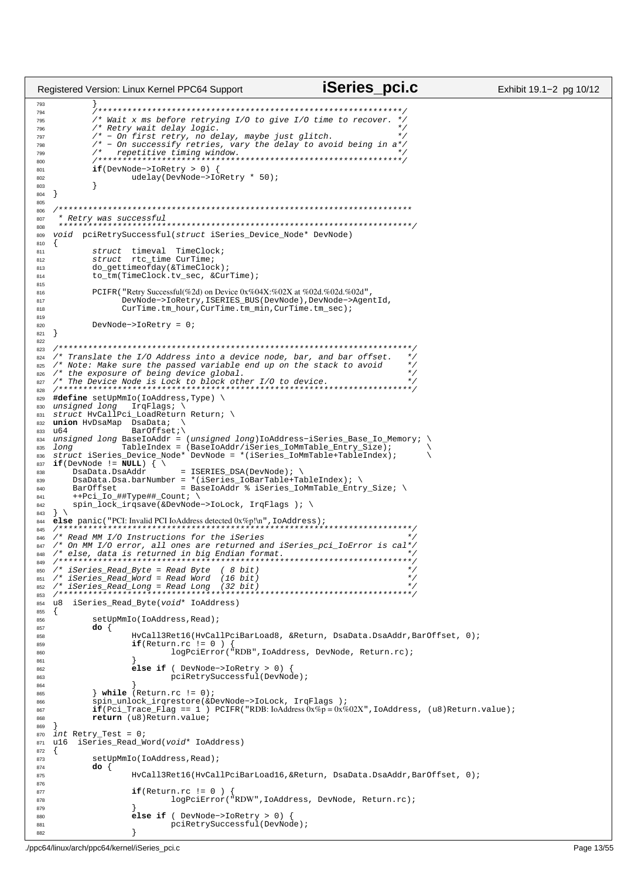```
iSeries pci.c
Registered Version: Linux Kernel PPC64 Support
                                                                                                    Exhibit 19.1-2 pg 10/12
793
            794
            /* Wait x ms before retrying I/O to give I/O time to recover. *
795
            /* Retry wait delay logic.
796
            / \kappa--1, wate actor 1031.<br>
/* - On first retry, no delay, maybe just glitch.<br>
/* - On successify retries, vary the delay to avoid being in a*/
797
798
            \frac{1}{2}799
800
            if(DevNode->IORetry > 0) {
801
                    udelay(DevNode->IoRetry * 50);
802803
            \}\}804
805
   806
    * Retry was successful
007\star \star808void pciRetrySuccessful(struct iSeries_Device_Node* DevNode)
809810
   \left\{ \right.struct timeval TimeClock;
811
            struct rtc_time CurTime;<br>do_gettimeofday(&TimeClock);
812
813
            to_tm(TimeClock.tv_sec, &CurTime);
814
815
816
            PCIFR ("Retry Successful(%2d) on Device 0x%04X:%02X at %02d.%02d.%02d",
817
                  DevNode->IoRetry, ISERIES_BUS(DevNode), DevNode->AgentId,
818
                  CurTime.tm_hour, CurTime.tm_min, CurTime.tm_sec);
819
            DevNode->IoRetry = 0;
820
   \}821
822823
   /* Translate the I/O Address into a device node, bar, and bar offset.
                                                                                \star.
824
                                                                                \star/* Note: Make sure the passed variable end up on the stack to avoid
825
   \frac{1}{2} the exposure of being device global.
826
   827
                                                               te e e e e e e e e e e e e e e e
828
   #define setUpMmIo(IoAddress, Type) \
829
   unsigned long
                   TrqFlags; \
830
   struct HvCallPci_LoadReturn Return; \
831
   union HvDsaMap DsaData;
832
   unsigned long Baroffset;<br>
unsigned long BaseIoAddr = (unsigned long)IoAddress-iSeries_Base_Io_Memory;
833
834
   dong<br>
Iong TableIndex = (BaseIoAddr/iSeries_IoMmTable_Entry_Size);<br>struct iSeries_Device_Node* DevNode = *(iSeries_IoMmTable+TableIndex);
835
   long
836
   if(DevNode != \overline{NULL}) \{ \ \ \ }837
                              = ISERIES_DSA(DevNode);
       DsaData.DsaAddr
838
        \frac{1}{1} DsaData.Dsa.barNumber = *(iSeries_IoBarTable+TableIndex);
839
                               = BaseIoAddr % iSeries_IoMmTable_Entry_Size; \
840
        BarOffset
        ++Pci_Io_##Type##_Count; \
841
842spin_lock_irqsave(&DevNode->IoLock, IrqFlags ); \
  \mathcal{L}843
   else panic ("PCI: Invalid PCI IoAddress detected 0x\%p!\n\mid", IoAddress);
844
                                                               '<br>++++++++++++++++++
845
   846
847848
849
   /* iSeries_Read_Byte = Read Byte ( 8 bit)<br>/* iSeries_Read_Word = Read Word (16 bit)
                                                                                 \star850
851
   \frac{1}{1} iSeries_Read_Long = Read Long (32 bit)
852
                                               853
   u8 iSeries_Read_Byte(void* IoAddress)
854
855
   \{856
            setUpMmIo(IoAddress, Read);
            do \{857
                    HyCall3Ret16(HyCallPciBarLoad8, &Return, DsaData.DsaAddr,BarOffset, 0);
858
                    if(Return.rc != 0) {<br>logPciError("RDB",IoAddress, DevNode, Return.rc);
859
860
861
                     e^{i\theta} if ( DevNode->IoRetry > 0) \theta862
                             pciRetrySuccessful(DevNode);
863
864
            \} while (Return.rc != 0);
865
866spin_unlock_irqrestore(&DevNode->IoLock, IrqFlags );
            \overline{\textbf{if}}(\overline{\text{Pci}}_T\text{trace_Flag} == 1) PCIFR("RDB: IoAddress 0x%p = 0x%02X", IoAddress, (u8) Return.value);<br>
return (u8) Return.value;
867
868
869
870
   int Retry_Test = 0;
   ul6 iSeries_Read_Word(void* IoAddress)
871
872
   \{setUpMmIo(IoAddress, Read);
873
            do \{874
                    HvCall3Ret16(HvCallPciBarLoad16, &Return, DsaData.DsaAddr, BarOffset, 0);
875
876
                    if(Return.rc != 0)877
                             logPciError("RDW", IoAddress, DevNode, Return.rc);
878
879
880
                     else if ( DevNode->IORetry > 0)881
                             pciRetrySuccessful(DevNode);
882
                     J
```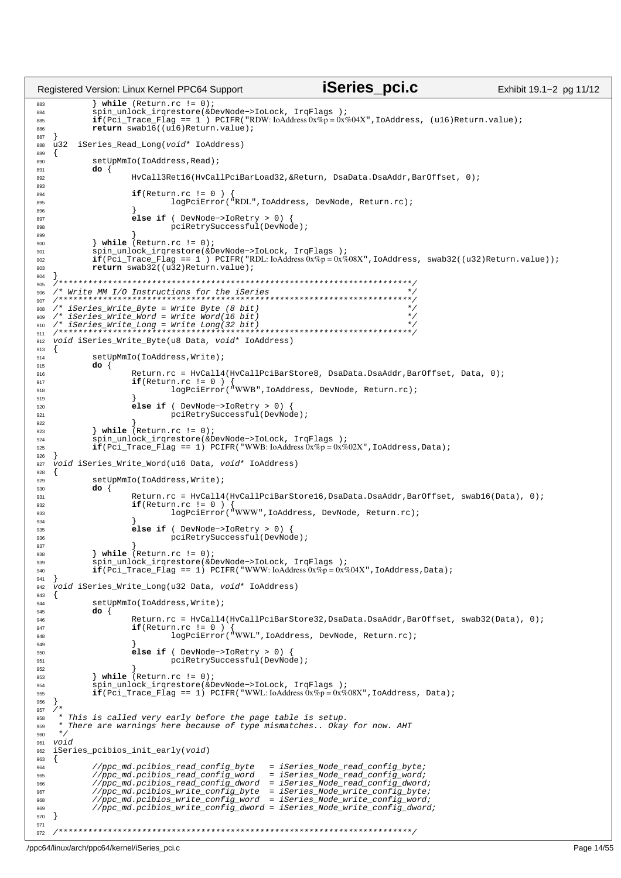```
iSeries pci.c
                                                                                                      Exhibit 19.1-2 pg 11/12
Registered Version: Linux Kernel PPC64 Support
             \} while (Return.rc != 0);
883
            spin unlock irgrestore(&DevNode->IoLock, IrgFlags);
884
            \frac{1}{2} \frac{1}{2} \frac{1}{2} \frac{1}{2} \frac{1}{2} \frac{1}{2} \frac{1}{2} \frac{1}{2} \frac{1}{2} \frac{1}{2} \frac{1}{2} \frac{1}{2} \frac{1}{2} \frac{1}{2} \frac{1}{2} \frac{1}{2} \frac{1}{2} \frac{1}{2} \frac{1}{2} \frac{1}{2} \frac{1}{2} \frac{1}{2} 885
            return swab16 ((u16) Return. value);
886
887
   u32 iSeries Read Long(void* IoAddress)
888
889
   \{setUpMmIo(IoAddress.Read);
890
89'do \{892
                     HvCall3Ret16(HvCallPciBarLoad32, &Return, DsaData.DsaAddr, BarOffset, 0);
893
                     if(Return.rc := 0)894
                              n.rc != 0 ) {<br>loqPciError("RDL",IoAddress, DevNode, Return.rc);
895
896
                     e^{i\text{Re}} if ( DevNode->IoRetry > 0) \frac{1}{2}007pciRetrySuccessful(DevNode);
808
899
            \} while (Return.rc != 0);
900
            901902903
904
    905
   906
907
   /* iSeries_Write_Byte = Write Byte (8 \text{ bit})908\frac{1}{2}iSeries_Mrite_Djcc miles byce (c Sic)
909
   910
91'void iSeries_Write_Byte(u8 Data, void* IoAddress)
Q<sub>12</sub>913
   \{setUpMmIo(IoAddress, Write);
914do \{915
916
                     Return.rc = HvCall4(HvCallPciBarStore8, DsaData.DsaAddr,BarOffset, Data, 0);
917
                     if(Return.rc != 0 ) {<br>logPciError("WWB", IoAddress, DevNode, Return.rc);
Q1R919
                     else if ( DevNode->IoRetry > 0) {
920
                             pciRetrySuccessful(DevNode);
921922\frac{1}{2} while (Return rd (= 0))
923
            spin_unlock_irgrestore(&DevNode->IoLock, IrgFlags );
924
            \mathbf{i}\mathbf{\tilde{f}} (Pci_Trace_Flag == 1) PCIFR ("WWB: loAddress \hat{0}x\%p = 0x\%02X", IoAddress, Data);
925
926
   void iSeries_Write_Word(u16 Data, void* IoAddress)
927
928
   \{setUpMmIo(IoAddress, Write);
929
930
            do \{931Return.rc = HyCall4(HyCallPciBarStore16, DsaData.DsaAddr, BarOffset, swab16(Data), 0);
032if(Return.rc != 0 ) {<br>logPciError("WWW".IoAddress. DevNode. Return.rc);
933934
                     else if ( DevNode->IoRetry > 0) {
935
936
                             pciRetrySuccessful(DevNode);
Q<sub>27</sub>\frac{1}{2} while (Return.rc != 0);
938
            spin_unlock_irqrestore(&DevNode->IoLock, IrqFlags);
939
            \mathbf{if}(\overrightarrow{pc_1})Trace_Flag == 1) PCIFR("WWW:IoAddress0x%p=0x%04X",IoAddress,Data);
940
941
   void iSeries_Write_Long(u32 Data, void* IoAddress)
942
943
            setUpMmIo(IoAddress, Write);
944
945
            do \{946Return.rc = HyCall4(HyCallPciBarStore32,DsaData.DsaAddr,BarOffset, swab32(Data), 0);
947if(Ret.urn.rc := 0)n.rc := 0 / {<br>logPciError("WWL",IoAddress, DevNode, Return.rc);
QAB949
                     else if ( DevNode->IoRetry > 0) {
950
                             pciRetrySuccessful(DevNode);
951
952
            \frac{1}{2} while (Return.rc != 0);
953
            spin_unlock_irqrestore(&DevNode->IoLock, IrqFlags);
954
            \textbf{if}(\text{Pci\_Trace\_Flag == 1}) PCIFR("WWL: IoAddress \overline{0}x\%p = 0x\%08X", IoAddress, Data);
955
956
   \rightarrow957
    * This is called very early before the page table is setup.
958
    \starThere are warnings here because of type mismatches.. Okay for now. AHT
959
960
    \star /
   v \circ i961
   iSeries_pcibios_init_early(void)
962\left\{ \right.963
            //ppc_md.pcibios_read_config_byte
                                                   = iSeries_Node_read_config_byte;
964
            //ppc_md.pcibios_read_config_word
                                                   = iSeries_Node_read_config_word;
965
966
            //ppc_md.pcibios_read_config_dword = iSeries_Node_read_config_dword;
                                                  = iSeries_Node_write_config_byte;
            //ppc_md.pcibios_write_config_byte
967
            //ppc_md.pcibios_write_config_word
                                                   = iSeries_Node_write_config_word;
968
            //ppc_md.pcibios_write_config_dword = iSeries_Node_write_config_dword;
969
970
   \}971
   972
```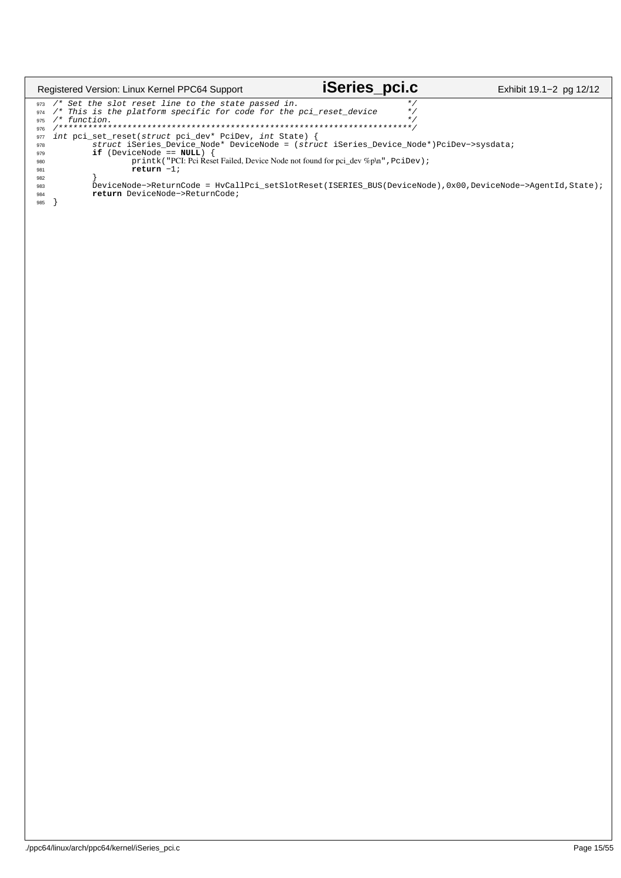| Registered Version: Linux Kernel PPC64 Support                                                                                                                                                                                                                                                                                                                                                                                                                                                                                                                                                                                                                     | <b>iSeries_pci.c</b> | Exhibit 19.1–2 pg 12/12 |
|--------------------------------------------------------------------------------------------------------------------------------------------------------------------------------------------------------------------------------------------------------------------------------------------------------------------------------------------------------------------------------------------------------------------------------------------------------------------------------------------------------------------------------------------------------------------------------------------------------------------------------------------------------------------|----------------------|-------------------------|
| $973$ /* Set the slot reset line to the state passed in.<br>/* This is the platform specific for code for the pci reset device<br>974<br>/* function.<br>975<br>976<br>int pci_set_reset(struct pci_dev* PciDev, int State) {<br>977<br>struct iSeries Device Node* DeviceNode = (struct iSeries Device Node*)PciDev->sysdata;<br>978<br>$if$ (DeviceNode == $NULL$ )<br>979<br>printk ("PCI: Pci Reset Failed, Device Node not found for pci dev %p\n", PciDev);<br>980<br>return $-1;$<br>981<br>982<br>DeviceNode->ReturnCode = HvCallPci setSlotReset(ISERIES BUS(DeviceNode),0x00,DeviceNode->AgentId,State);<br>983<br>return DeviceNode->ReturnCode;<br>984 |                      |                         |
| 985                                                                                                                                                                                                                                                                                                                                                                                                                                                                                                                                                                                                                                                                |                      |                         |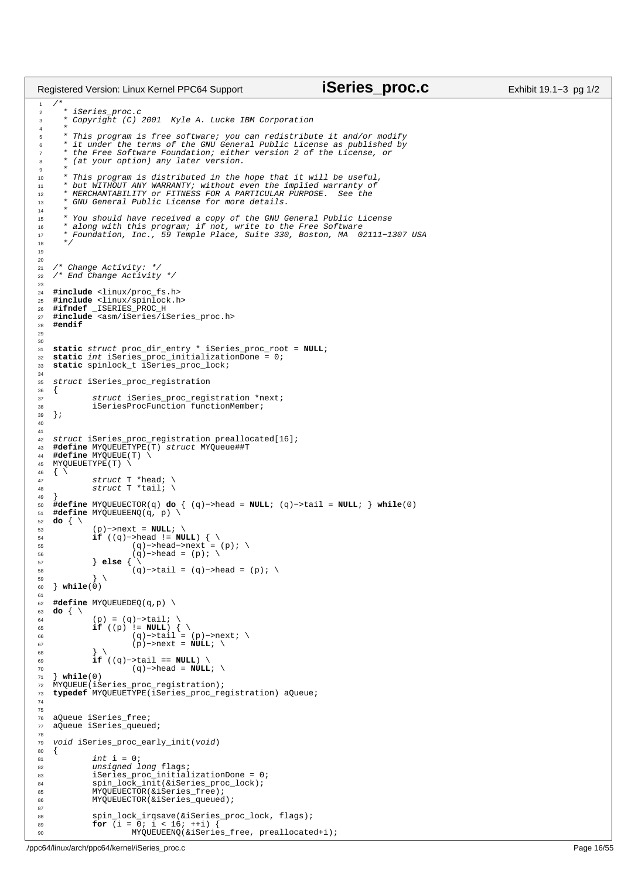```
/*
2 * iSeries_proc.c
3 * Copyright (C) 2001 Kyle A. Lucke IBM Corporation
 4 * 
 5 * This program is free software; you can redistribute it and/or modify
6 * it under the terms of the GNU General Public License as published by
7 * the Free Software Foundation; either version 2 of the License, or
8 * (at your option) any later version.
 9 * 
10 * This program is distributed in the hope that it will be useful,
11 * but WITHOUT ANY WARRANTY; without even the implied warranty of
12 * MERCHANTABILITY or FITNESS FOR A PARTICULAR PURPOSE. See the
13 * GNU General Public License for more details.
\frac{14}{15}15 * You should have received a copy of the GNU General Public License
16 * along with this program; if not, write to the Free Software
17 * Foundation, Inc., 59 Temple Place, Suite 330, Boston, MA 02111−1307 USA
18 *19
20
21 / * Change Activity: */
22 /* End Change Activity */
23
24 #include <linux/proc_fs.h>
    25 #include <linux/spinlock.h>
 26 #ifndef _ISERIES_PROC_H
27 #include <asm/iSeries/iSeries_proc.h>
28 #endif
29
3031 static struct proc_dir_entry * iSeries_proc_root = NULL;
    32 static int iSeries_proc_initializationDone = 0;
33 static spinlock_t iSeries_proc_lock;
34
35 struct iSeries_proc_registration
    \{37 struct iSeries_proc_registration *next;
38 iSeriesProcFunction functionMember;
39 };
40
41
42 struct iSeries_proc_registration preallocated[16];
43 #define MYQUEUETYPE(T) struct MYQueue##T
44 #define MYQUEUE(T) \
    MYQUEUETYPE(T) \
46 \begin{matrix} 46 \\ 47 \end{matrix}47 struct T *head; \
48 struct T *tail; \
\frac{49}{50}50 #define MYQUEUECTOR(q) do { (q)−>head = NULL; (q)−>tail = NULL; } while(0)
51 #define MYQUEUEENQ(q, p) \
\begin{array}{ccc} 52 & \mathbf{do} & \left\{ \begin{array}{c} \setminus \\ \setminus \end{array} \right. \\ 53 & \end{array}53 (p)−>next = NULL; \
 54 if ((q)−>head != NULL) { \
55 (q)−>head−>next = (p); \
56 (q)−>head = (p); \
57 } else { \
                \} else \{\ \ \ \ \58 (q)->tail = (q)->head = (p); \
 59 } \
60 } while(0)
61
62 #define MYQUEUEDEQ(q,p) \
63 do \begin{cases} \sqrt{64} \end{cases}(p) = (q)->tail; \
 65 if ((p) != NULL) { \
66 (q)−>tail = (p)−>next; \
67 (p)−>next = NULL; \
 68 \Big\}69 if ((q)−>tail == NULL) \
                           70 (q)−>head = NULL; \
71 } while(0)
72 MYQUEUE(iSeries_proc_registration);<br>73 typedef MYOUEUETYPE(iSeries proc_re
    73 typedef MYQUEUETYPE(iSeries_proc_registration) aQueue;
74
75
76 aQueue iSeries_free;
77 aQueue iSeries_queued;
78
79 void iSeries_proc_early_init(void)
\begin{matrix} 80 \\ 81 \end{matrix} \quad \begin{matrix} \phantom{00} \left\{ \begin{array}{ccc} 1 \end{array} \right. \\ \phantom{0} \end{matrix}int i = 0;82 unsigned long flags;
83 iSeries_proc_initializationDone = 0;
 84 spin_lock_init(&iSeries_proc_lock);
85 MYQUEUECTOR(&iSeries_free);
86 MYQUEUECTOR(&iSeries_queued);
87
88 spin_lock_irqsave(&iSeries_proc_lock, flags);<br>
for (i = 0; i < 16; i+i) {
                for (i = 0; i < 16; ++i) {
Registered Version: Linux Kernel PPC64 Support iSeries_proc.c Exhibit 19.1−3 pg 1/2
```
MYQUEUEENQ(&iSeries\_free, preallocated+i);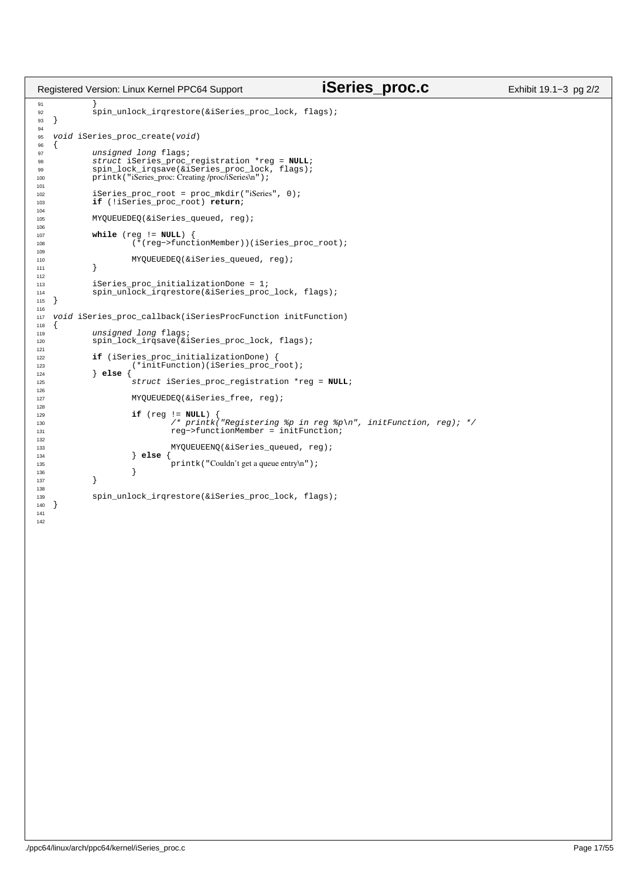```
91<br>92
             spin_unlock_irgrestore(&iSeries_proc_lock, flags);
93 }
94
95 void iSeries_proc_create(void)
96<br>97
97 unsigned long flags;
98 struct iSeries_proc_registration *reg = NULL;
99 spin_lock_irqsave(&iSeries_proc_lock, flags);<br>100 printk("iSeries_proc: Creating /proc/iSeries\n");
             printk("iSeries_proc: Creating /proc/iSeries\n");
101
102 iSeries_proc_root = proc_mkdir("iSeries", 0);
103 if (!iSeries_proc_root) return;
104
105 MYQUEUEDEQ(&iSeries_queued, reg);
106
107 while (reg != NULL) {<br>108 (*(reg->funct
                      108 (*(reg−>functionMember))(iSeries_proc_root);
109
110 MYQUEUEDEQ(&iSeries_queued, reg);<br>111   }
111 }
112
113 iSeries_proc_initializationDone = 1;<br>114 spin_unlock_irgrestore(&iSeries_proc
   spin_unlock_irqrestore(&iSeries_proc_lock, flags);<br>}
115 }
116
117 void iSeries_proc_callback(iSeriesProcFunction initFunction)
118 \{119 119 unsigned long flags;<br>120 119 100k irosaye(&i
             spin_lock_irqsave(&iSeries_proc_lock, flags);
121
122 if (iSeries_proc_initializationDone) {<br>
123 (*initFunction)(iSeries_proc_root);<br>
124 else {
125 struct iSeries_proc_registration *reg = NULL;
126
127 MYQUEUEDEQ(&iSeries free, reg);
128
129 if (reg != NULL) {<br>
130 /* printk("Registering %p in reg %p\n", initFunction, reg); */<br>
131 reg->functionMember = initFunction;
132
133 MYQUEUEENQ(&iSeries_queued, reg);<br>
134 else {
134 } else {
                      \text{printk}("Couldn't get a queue entry\n");
136 }
137 }
138
   spin_unlock_irqrestore(&iSeries_proc_lock, flags);<br>}
140 }
141
142
Registered Version: Linux Kernel PPC64 Support iSeries_proc.c Exhibit 19.1−3 pg 2/2
```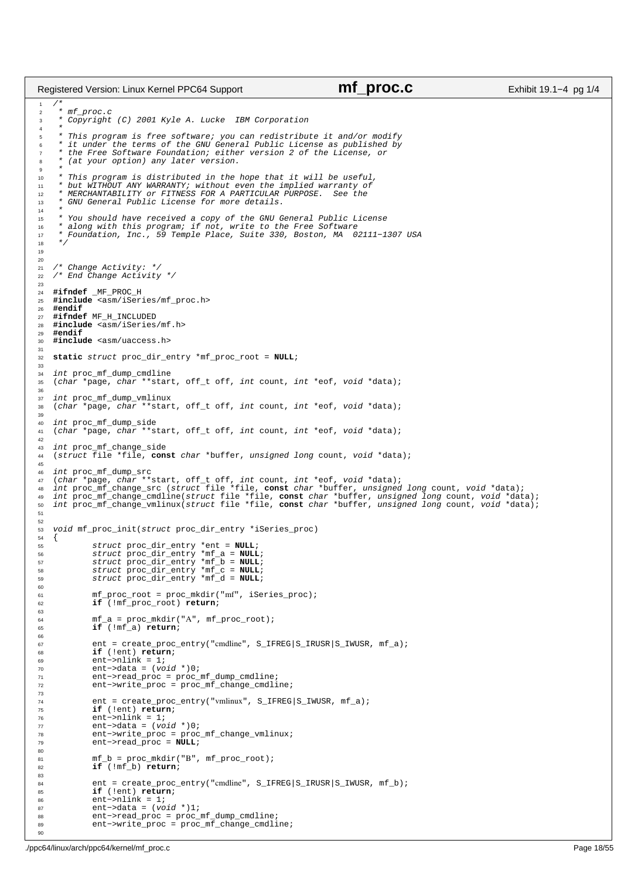```
\frac{1}{1}2 * mf_proc.c
3 * Copyright (C) 2001 Kyle A. Lucke IBM Corporation
 4 * 
 5 * This program is free software; you can redistribute it and/or modify
6 * it under the terms of the GNU General Public License as published by
7 * the Free Software Foundation; either version 2 of the License, or
8 * (at your option) any later version.
 9 * 
10 * This program is distributed in the hope that it will be useful,
11 * but WITHOUT ANY WARRANTY; without even the implied warranty of
12 * MERCHANTABILITY or FITNESS FOR A PARTICULAR PURPOSE. See the
<sup>13</sup> * GNU General Public License for more details.
 14 * 
15 * You should have received a copy of the GNU General Public License
16 * along with this program; if not, write to the Free Software
17 * Foundation, Inc., 59 Temple Place, Suite 330, Boston, MA 02111−1307 USA
1819
20
21 / * Change Activity: */
22 /* End Change Activity */
23
24 #ifndef _MF_PROC_H
    25 #include <asm/iSeries/mf_proc.h>
26 #endif
    27 #ifndef MF_H_INCLUDED
28 #include <asm/iSeries/mf.h>
29 #endif
    30 #include <asm/uaccess.h>
31
32 static struct proc_dir_entry *mf_proc_root = NULL;
33
34 int proc_mf_dump_cmdline
35 (char *page, char **start, off_t off, int count, int *eof, void *data);
36
37 int proc_mf_dump_vmlinux<br>38 (char *page, char **start
    38 (char *page, char **start, off_t off, int count, int *eof, void *data);
39
40 int proc_mf_dump_side
41 (char *page, char **start, off_t off, int count, int *eof, void *data);
42
 43 int proc_mf_change_side
44 (struct file *file, const char *buffer, unsigned long count, void *data);
45
 46 int proc_mf_dump_src
47 (char *page, char **start, off_t off, int count, int *eof, void *data);
 48 int proc_mf_change_src (struct file *file, const char *buffer, unsigned long count, void *data);
49 int proc_mf_change_cmdline(struct file *file, const char *buffer, unsigned long count, void *data);
50 int proc_mf_change_vmlinux(struct file *file, const char *buffer, unsigned long count, void *data);
51
52
    void mf_proc_init(struct proc_dir_entry *iSeries_proc)
\begin{matrix}54 & \{\\ & 55 & \end{matrix}55 struct proc_dir_entry *ent = NULL;
 56 struct proc_dir_entry *mf_a = NULL;
57 struct proc_dir_entry *mf_b = NULL;
58 struct proc_dir_entry *mf_c = NULL;
59 struct proc_dir_entry *mf_d = NULL;
60
61 mf_proc_root = proc_mkdir("mf", iSeries_proc);
62 if (!mf_proc_root) return;
63
               mf_a = proc_mkdir("A", mf\_proc\_root);65 if (!mf_a) return;
66
67 ent = create_proc_entry("cmdline", S_IFREG|S_IIRUSR|S_IIWUSR, mf_a);<br>68 if (!ent) return;
68 if (!ent) return;
69 ent−>nlink = 1;<br>70 ent−>data = (vo
               70 ent−>data = (void *)0;
 71 ent−>read_proc = proc_mf_dump_cmdline;
72 ent−>write_proc = proc_mf_change_cmdline;
73
74 ent = create_proc_entry("vmlinux", S_IFREG|S_IWUSR, mf_a);
 75 if (!ent) return;
76 ent−>nlink = 1;
77 ent−>data = (void *)0;<br>78 ent−>write proc = proc
78 ent−>write_proc = proc_mf_change_vmlinux;
               79 ent−>read_proc = NULL;
80
\text{mf}_b = \text{proc}_\text{mkdir}("B", \text{mf}_\text{proc\_root});82 if (!mf_b) return;
83
84 ent = create_proc_entry("cmdline", S_IFREG|S_IRUSR|S_IWUSR, mf_b);<br>if (lent) return;
               85 if (!ent) return;
\begin{array}{ll}\n\text{86} & \text{ent} -\text{mlink} = 1; \\
\text{87} & \text{ent} -\text{data} = (\text{vo})\n\end{array}87 ent−>data = (void *)1;<br>88 ent−>read_proc = proc_
<sup>88</sup> ent−>read_proc = proc_mf_dump_cmdline;<br>88 ent−>write proc = proc_mf_change_cmdline;
Registered Version: Linux Kernel PPC64 Support mf_proc.c Exhibit 19.1−4 pg 1/4
```
ent−>write\_proc = proc\_mf\_change\_cmdline;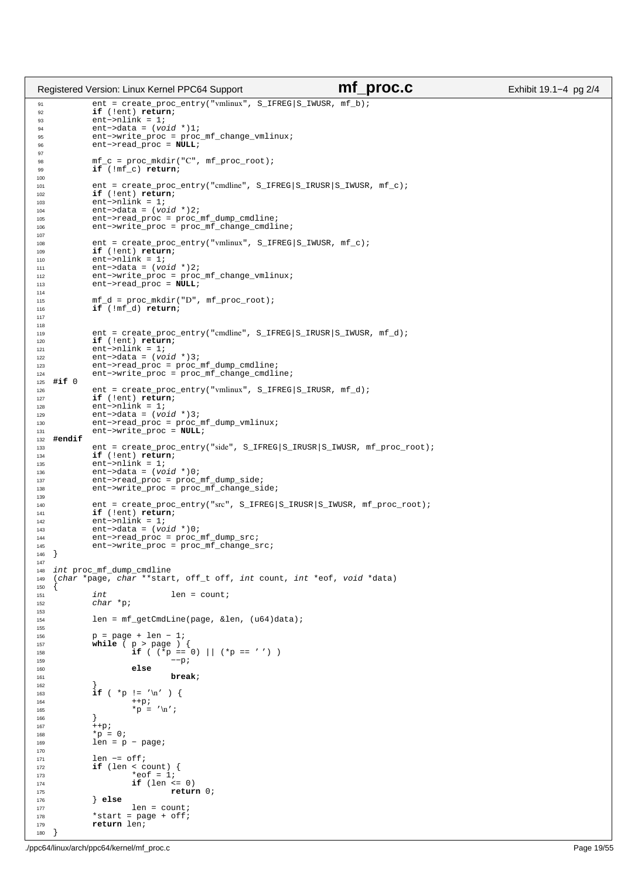```
91 ent = create_proc_entry("vmlinux", S_IFREG|S_IWUSR, mf_b);
92 if (!ent) return;
\frac{32}{93} ent−>nlink = 1;<br>\frac{94}{94} ent−>data = (vo
94 ent−>data = (void *)1;<br>95 ent−>write_proc = proc
95 ent−>write_proc = proc_mf_change_vmlinux;
96 ent−>read_proc = NULL;
97
98 mf_c = proc_mkdir("C", mf\_proc\_root);<br>99 if (!mf c) return;
             99 if (!mf_c) return;
100
101 ent = create_proc_entry("cmdline", S_IFREG|S_IRUSR|S_IWUSR, mf_c);
102 if (!ent) return;
103 ent−>nlink = 1;
104 ent−>data = (void * )2i<br>105 ent−>read proc = proc =
105 ent−>read_proc = proc_mf_dump_cmdline;
106 ent−>write_proc = proc_mf_change_cmdline;
107
108 ent = create_proc_entry("vmlinux", S_IFREG|S_IIWUSR, mf_c);<br>109 if (!ent) return;
109 if (!ent) return;<br>110 ent->nlink = 1;
110 ent−>nlink = 1;
111 ent−>data = (void *)2;
112 ent−>write_proc = proc_mf_change_vmlinux;<br>113 ent−>read_proc = NULL;
             113 ent−>read_proc = NULL;
114
115 mf_d = proc_mkdir("D", mf\_proc\_root);116 if (!mf_d) return;
117
118
119 ent = create_proc_entry("cmdline", S_IFREG|S_IRUSR|S_IWUSR, mf_d);<br>if (lent) return;
              120 if (!ent) return;
121 ent−>nlink = 1;<br>122 ent−>data = (vo
              ent ->data = (void *)3;
123 ent−>read_proc = proc_mf_dump_cmdline;
124 ent−>write_proc = proc_mf_change_cmdline;
125 #if 0
              ent = create_proc_entry("vmlinux", S_IFREG|S_IRUSR, mf_d);
127 if (!ent) return;
128 ent−>nlink = 1;<br>
129 ent−>data = (vo
129 ent−>data = (void *)3;<br>130 ent−>read_proc = proc_1
130 ent−>read_proc = proc_mf_dump_vmlinux;
131 ent−>write_proc = NULL;
132 #endif
133 ent = create_proc_entry("side", S_IFREG|S_IRUSR|S_IWUSR, mf_proc_root);<br>134 if (!ent) return;
134 if (!ent) return;<br>135 ent->nlink = 1;
135 ent−>nlink = 1;
136 ent−>data = (void *)0;
137 ent−>read_proc = proc_mf_dump_side;<br>138 ent->write_proc = proc_mf_change_si
              138 ent−>write_proc = proc_mf_change_side;
139
140 ent = create_proc_entry("src", S_IFREG|S_IRUSR|S_IWUSR, mf_proc_root);
141 if (!ent) return;
142 ent−>nlink = 1;<br>
143 ent−>data = (vo
              143 ent−>data = (void *)0;
144 ent−>read_proc = proc_mf_dump_src;
145 ent−>write_proc = proc_mf_change_src;
146 }
147
148 int proc_mf_dump_cmdline
149 (char *page, char **start, off_t off, int count, int *eof, void *data)
150 {
151 int len = count;
152 char *p;
153 
             len = mf_getCmdLine(page, &len, (u64)data);
155 
156 p = page + len – 1;<br>157 while ( p > page )
157 while ( p > page ) {
158 if ( (*p == 0) || (*p == ' ') )
159 -p;
160 else
161 break;
162<br>163
163 if ( *_{p} != '\n' ) {<br>
164 i ++p;
                        _{\rm ++p};165 *p = ' \ln' ;<br>166 }
166 }
167 ++p;<br>
168 *p = 0;
169 len = p − page;
170 
             len −= off;
172 if (len < count) {<br>
^*eof = 1;
174 if (len <= 0)
                                 175 return 0;
176 } else
177<br>177 len = count;<br>178 *start = page + off;
178 *start = page + off;<br>179 *return len;
             179 return len;
180 }
Registered Version: Linux Kernel PPC64 Support mf_proc.c Exhibit 19.1−4 pg 2/4
```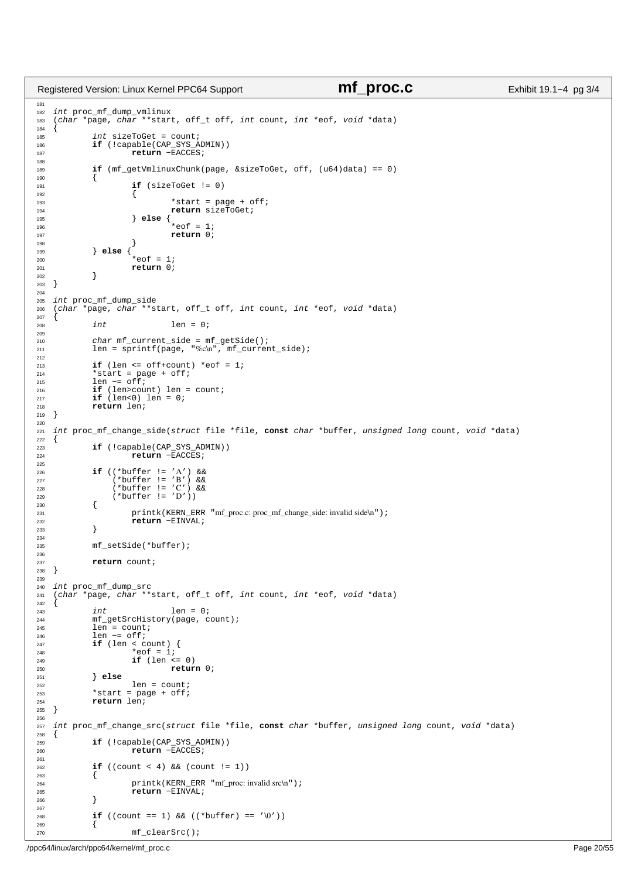```
181
<sup>182</sup> int proc_mf_dump_vmlinux
183 (char *page, char **start, off_t off, int count, int *eof, void *data)
184 {
185 int sizeToGet = count;
186 if (!capable(CAP_SYS_ADMIN))
187 return −EACCES;
188
189 if (mf_getVmlinuxChunk(page, &sizeToGet, off, (u64)data) == 0)
190<br>191
                       if (sizeToGet != 0)
192 \left\{193 *start = page + off;<br>194 *return sizeToGet;
194 return sizeToGet;<br>
195 else {
                       195 } else {
\stareof = 1;<br>
\stareof = 1;<br>
\stareturn 0;
197 return 0;<br>198 f
\left\{\right. \right\}199 } else {
200<br>
201<br>
201<br>
201<br>
201<br>
201<br>
201<br>
201<br>
201return 0;
\begin{array}{c} 202 \\ 203 \end{array} }
203 }
204
205 int proc_mf_dump_side
206 (char *page, char **start, off_t off, int count, int *eof, void *data)
207 {
              \begin{aligned} &\text{int}\qquad \qquad \text{len = 0;} \end{aligned}209
210 char mf_current_side = mf_getSide();
211 len = sprintf(page, "%c\n", mf_current_side);
212
213 if (len \le of f+count) * eof = 1;<br>
\frac{1}{214} * start = page + of f;
214 *start = page + off;<br>
215 len == off;215 len −= off;
216 if (len>count) len = count;
217 if (len<0) len = 0;<br>
218 return len;
<sup>218</sup> return len;<br>
<sup>219</sup> }
   219 }
220
221 int proc_mf_change_side(struct file *file, const char *buffer, unsigned long count, void *data)
222 {
<sup>223</sup> if (!capable(CAP_SYS_ADMIN))<br><sup>224</sup> return -EACCES;
                       return −EACCES;
225
226 if ((*buffer != 'A') &&
227 (*buffer != 'B') &&
228 (*buffer != 'C') &&
229 (*buffer != 'D'))
230 {
230 {<br>
printk(KERN_ERR "mf_proc.c: proc_mf_change_side: invalid side\n");<br>
return -EINVAL;
              2<br>232 return −EINVAL;
233 }
234
235 mf_setSide(*buffer);
236
237 return count;
238 }
239
240 int proc_mf_dump_src
241 (char *page, char **start, off_t off, int count, int *eof, void *data)
242 \begin{cases} 243 \end{cases}243 int len = 0;<br>244 mf getSrcHistory(page, C)
             244 mf_getSrcHistory(page, count);
245 len = count;
246 len −= off;
247 if (len < count) {
248 *eof = 1;
249 if (len <= 0)
                                 250 return 0;
251 } else
252<br>253 \star start = page + off;
253 *start = page + off;<br>254 return len;
             254 return len;
255 }
256
257 int proc_mf_change_src(struct file *file, const char *buffer, unsigned long count, void *data)
258<br>259259 if (!capable(CAP_SYS_ADMIN))
260 return −EACCES;
261
262 if ((count < 4) && (count != 1))
263 \{<br>264
264 printk(KERN_ERR "mf_proc: invalid src\n");<br>
265<br>
265<sup>2</sup> return −EINVAL;
266 }
267
268 if ((count == 1) && ((*buffer) == '\0'))
269 {
Registered Version: Linux Kernel PPC64 Support mf_proc.c Exhibit 19.1−4 pg 3/4
```
270 mf clearSrc();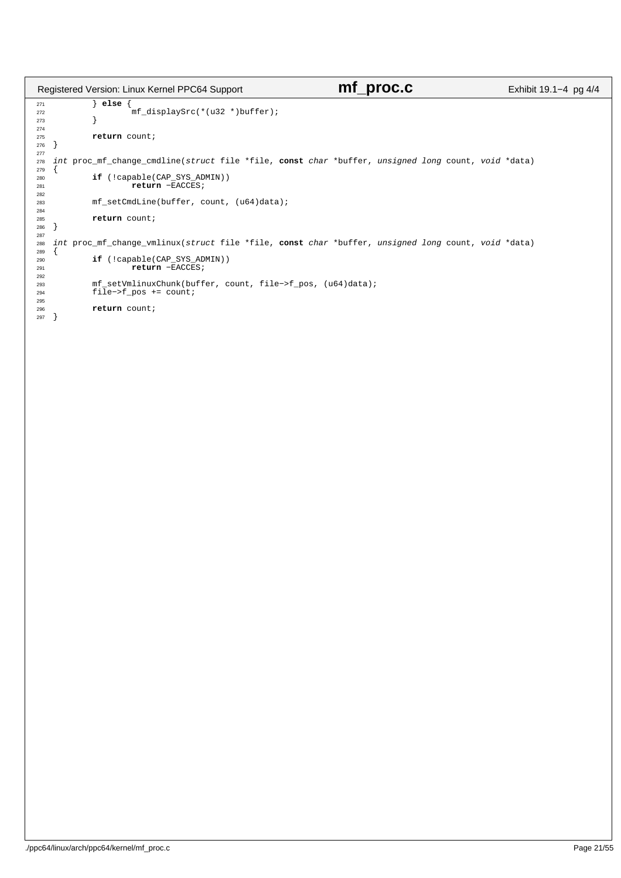```
271 } else {
272 mf_displaySrc(*(u32 *)buffer);
\begin{array}{c} 273 \end{array}274
275 return count;
   \}277
278 int proc_mf_change_cmdline(struct file *file, const char *buffer, unsigned long count, void *data)
279 {
280 if (!capable(CAP_SYS_ADMIN))
281 return −EACCES;
282
            283 mf_setCmdLine(buffer, count, (u64)data);
284
285 return count;
286 }
287
288 int proc_mf_change_vmlinux(struct file *file, const char *buffer, unsigned long count, void *data)
289 {
290 if (!capable(CAP_SYS_ADMIN))
291 return −EACCES;
292
293 mf_setVmlinuxChunk(buffer, count, file−>f_pos, (u64)data);
            294 file−>f_pos += count;
295
            return count;
\begin{bmatrix} 296 \\ 297 \end{bmatrix}Registered Version: Linux Kernel PPC64 Support mf_proc.c Exhibit 19.1−4 pg 4/4
```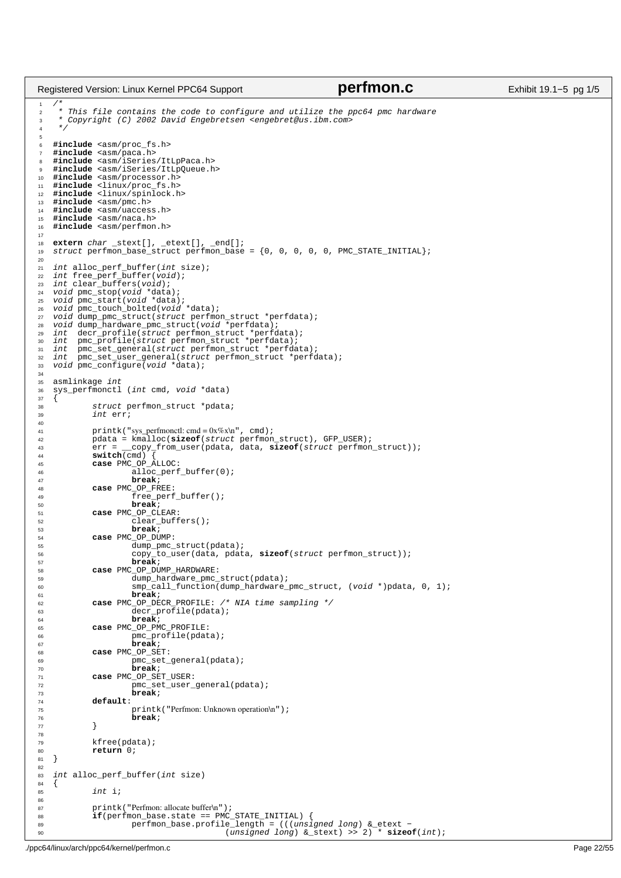| Registered Version: Linux Kernel PPC64 Support                                                                                                                                                                                                                                                                                                                                                                                                                                                                                                                                                                                                                            | perfmon.c                                                         | Exhibit 19.1-5 pg 1/5 |
|---------------------------------------------------------------------------------------------------------------------------------------------------------------------------------------------------------------------------------------------------------------------------------------------------------------------------------------------------------------------------------------------------------------------------------------------------------------------------------------------------------------------------------------------------------------------------------------------------------------------------------------------------------------------------|-------------------------------------------------------------------|-----------------------|
| $/$ *<br>$\mathbf{1}$<br>* This file contains the code to configure and utilize the ppc64 pmc hardware<br>$\overline{2}$<br>* Copyright (C) 2002 David Engebretsen <engebret@us.ibm.com><br/>3<br/><math display="inline">^{\star}/</math><br/>4</engebret@us.ibm.com>                                                                                                                                                                                                                                                                                                                                                                                                    |                                                                   |                       |
| 5<br>#include <asm proc_fs.h=""><br/>6<br/>#include <asm paca.h=""><br/><math>\overline{7}</math><br/>#include <asm iseries="" itlppaca.h=""><br/>8<br/>#include <asm iseries="" itlpqueue.h=""><br/>9<br/>#include <asm processor.h=""><br/>10<br/>#include <linux proc_fs.h=""><br/>11<br/>#include <linux spinlock.h=""><br/>12<br/>#include <asm pmc.h=""><br/>13<br/>#include <asm uaccess.h=""><br/>14<br/>#include <asm naca.h=""><br/>15<br/>#include <asm perfmon.h=""><br/>16</asm></asm></asm></asm></linux></linux></asm></asm></asm></asm></asm>                                                                                                             |                                                                   |                       |
| 17<br>$extern char _stext[]$ , $etext[]$ , $end[]$ ;<br>18<br>struct perfmon_base_struct perfmon_base = $\{0, 0, 0, 0, 0, 0, 0\}$ PMC_STATE_INITIAL};<br>19                                                                                                                                                                                                                                                                                                                                                                                                                                                                                                               |                                                                   |                       |
| 20<br>int alloc_perf_buffer(int size);<br>21<br>int free_perf_buffer(void);<br>22<br>int clear buffers(void);<br>23<br>void pmc_stop(void *data);<br>24<br>void pmc_start(void *data);<br>25<br>void pmc_touch_bolted(void *data);<br>26<br>void dump_pmc_struct(struct perfmon_struct *perfdata);<br>27<br>void dump_hardware_pmc_struct(void *perfdata);<br>28<br>decr_profile(struct perfmon_struct *perfdata);<br>int<br>29<br>pmc_profile(struct perfmon_struct *perfdata);<br>int<br>30<br>int pmc_set_general(struct perfmon_struct *perfdata);<br>31<br>int pmc_set_user_general(struct perfmon_struct *perfdata);<br>32<br>void pmc_configure(void *data);<br>33 |                                                                   |                       |
| 34<br>asmlinkage <i>int</i><br>35<br>sys_perfmonctl ( <i>int</i> cmd, void *data)<br>36                                                                                                                                                                                                                                                                                                                                                                                                                                                                                                                                                                                   |                                                                   |                       |
| 37<br>struct perfmon_struct *pdata;<br>38<br>int err;<br>39                                                                                                                                                                                                                                                                                                                                                                                                                                                                                                                                                                                                               |                                                                   |                       |
| 40<br>$printk("sys\_perfmonctl: cmd = 0x%x\n'n", cmd);$<br>41<br>$pdata = kmalloc(sizeof(struct perfrom\_struct), GFP_USER);$<br>42<br>$err = \_\text{copy\_from\_user(pdata, data, sizeof (struct perfrom\_struct))$ ;<br>43<br>$switch(\text{cmd})$ {<br>44<br>case PMC_OP_ALLOC:<br>45<br>$alloc\_perf\_buffer(0);$<br>46<br>break;<br>47<br>case PMC_OP_FREE:<br>48                                                                                                                                                                                                                                                                                                   |                                                                   |                       |
| $free\_perf\_buffer()$ ;<br>49<br>break;<br>50<br>case PMC_OP_CLEAR:<br>51                                                                                                                                                                                                                                                                                                                                                                                                                                                                                                                                                                                                |                                                                   |                       |
| $clear$ buffers();<br>52<br>break;<br>53<br>case PMC_OP_DUMP:<br>54<br>dump_pmc_struct(pdata);<br>55<br>copy_to_user(data, pdata, sizeof(struct perfmon_struct));<br>56<br>break;<br>57<br>case PMC_OP_DUMP_HARDWARE:<br>58                                                                                                                                                                                                                                                                                                                                                                                                                                               |                                                                   |                       |
| dump_hardware_pmc_struct(pdata);<br>59<br>60<br>break;<br>61                                                                                                                                                                                                                                                                                                                                                                                                                                                                                                                                                                                                              | smp_call_function(dump_hardware_pmc_struct, (void *)pdata, 0, 1); |                       |
| case PMC_OP_DECR_PROFILE: /* NIA time sampling */<br>62<br>$decr\_profile$ (pdata);<br>63<br>break;<br>64                                                                                                                                                                                                                                                                                                                                                                                                                                                                                                                                                                 |                                                                   |                       |
| case PMC_OP_PMC_PROFILE:<br>65<br>$pmc\_profile$ (pdata);<br>66<br>break;<br>67<br>case PMC_OP_SET:<br>68                                                                                                                                                                                                                                                                                                                                                                                                                                                                                                                                                                 |                                                                   |                       |
| pmc_set_general(pdata);<br>69<br>break;<br>70<br>case PMC_OP_SET_USER:<br>71<br>pmc_set_user_general(pdata);<br>72                                                                                                                                                                                                                                                                                                                                                                                                                                                                                                                                                        |                                                                   |                       |
| break;<br>73<br>default:<br>74<br>printk ("Perfmon: Unknown operation\n");<br>75<br>break;<br>76<br>$\mathcal{F}$<br>77                                                                                                                                                                                                                                                                                                                                                                                                                                                                                                                                                   |                                                                   |                       |
| 78<br>$kfree(pdata)$ ;<br>79<br>return 0;<br>80<br>81                                                                                                                                                                                                                                                                                                                                                                                                                                                                                                                                                                                                                     |                                                                   |                       |
| 82<br>int alloc_perf_buffer(int size)<br>83                                                                                                                                                                                                                                                                                                                                                                                                                                                                                                                                                                                                                               |                                                                   |                       |
| $\left\{ \right.$<br>84<br>int i;<br>85<br>86<br>printk("Perfmon: allocate buffer\n");<br>87                                                                                                                                                                                                                                                                                                                                                                                                                                                                                                                                                                              |                                                                   |                       |
| $if (performon\_base.state == PMC\_STATE\_INITIAL)$ {<br>88<br>$perfmon_base.profile_length = (((unsigned long) & etc. -$<br>89<br>90                                                                                                                                                                                                                                                                                                                                                                                                                                                                                                                                     | (unsigned long) $&$ _stext) >> 2) * sizeof(int);                  |                       |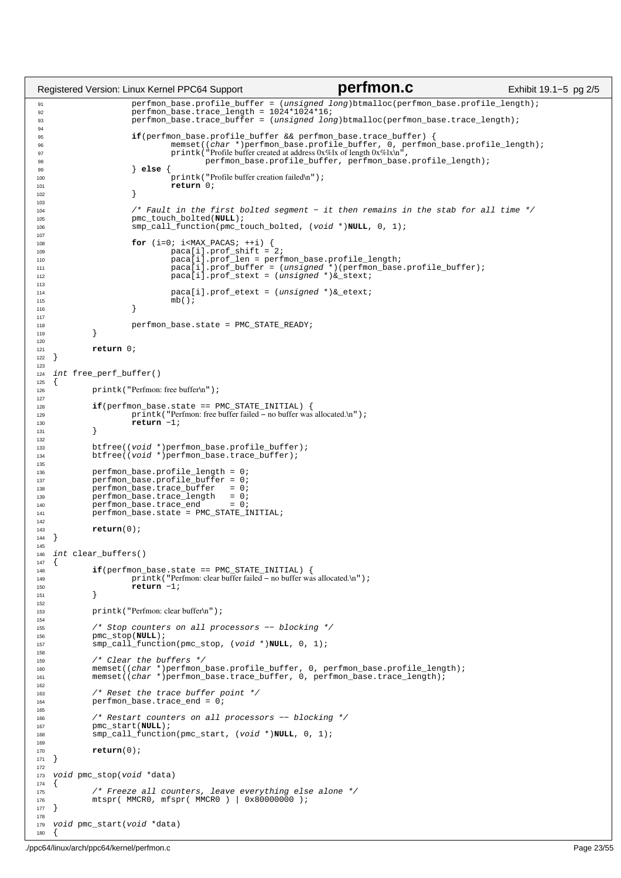```
91 perfmon_base.profile_buffer = (unsigned long)btmalloc(perfmon_base.profile_length);
92 perfmon_base.trace_length = 1024*1024*16;
93 perfmon_base.trace_buffer = (unsigned long)btmalloc(perfmon_base.trace_length);
94
 if(perfmon_base.profile_buffer && perfmon_base.trace_buffer) {<br>
96 memset((char *)perfmon_base.profile_buffer, 0, perfmon_base.profile_length);<br>
97 printk("Profile buffer created at address 0x%lx of length 0x%lx\n",
98 perfmon_base.profile_buffer, perfmon_base.profile_length);<br>99
99 } else {
100 printk ("Profile buffer creation failed\n");<br>
101 prints (\overrightarrow{b});
                          <sup>1</sup> return 0;
102 }
103
104 /* Fault in the first bolted segment − it then remains in the stab for all time */
                          pmc_touch_bolted(NULL);
106 smp_call_function(pmc_touch_bolted, (void *)NULL, 0, 1);
107
108 for (i=0; i<MAX_PACAS; ++i) {<br>paca[i].prof_shift = 2;
110 paca[i].prof_len = perfmon_base.profile_length;
111 paca[i].prof_buffer = (unsigned *)(perfmon_base.profile_buffer);
112 pacalil.prof_stext = (unsigned *)&_stext;
113
114 paca[i].prof_etext = (unsigned *) &_etext;<br>mb();
                          \frac{1}{1} mb();
\left\{\n \begin{array}{ccc}\n 116 & & \\
 & & \\
 & & \\
 & & \\
 & & \\
 & & \\
 & & \\
 & & \\
 & & \\
 & & \\
 & & \\
 & & \\
 & & \\
 & & \\
 & & \\
 & & \\
 & & \\
 & & \\
 & & \\
 & & \\
 & & \\
 & & \\
 & & \\
 & & \\
 & & \\
 & & \\
 & & \\
 & & \\
 & & \\
117
118 perfmon_base.state = PMC_STATE_READY;
119 }
120121 return 0;<br>122 }
122 }
123
124 int free_perf_buffer() 
125 \{<br>126printk("Perfmon: free buffer\n");
127
<sup>128</sup> if(perfmon_base.state == PMC_STATE_INITIAL) {<br>129 printk("Perfmon:free buffer failed - no buffer was
129 printk ("Perfmon: free buffer failed – no buffer was allocated.\n");<br>
\begin{array}{c}\n130 \\
\text{return } -1; \\
\end{array}return −1;
131 }
132
133 btfree((void *)perfmon_base.profile_buffer); 
134 btfree((void *)perfmon_base.trace_buffer); 
135
136 perfmon_base.profile_length = 0;
137 perfmon_base.profile_buffer = 0;
138 perfmon_base.trace_buffer = 0;<br>139 perfmon_base.trace_length = 0;
139 perfmon_base.trace_length<br>
140 perfmon base.trace end
140 perfmon_base.trace_end = 0;
141 perfmon_base.state = PMC_STATE_INITIAL; 
142<br>143
               return(0);
144 }
145
146 int clear_buffers()
147 {
if(perfmon_base.state == PMC_STATE_INITIAL) {<br>printk("Perfmon: clear buffer failed − no buffer was allocated.\n");
150 return −1;
151 }
152
153 printk("Perfmon: clear buffer\n");
154
155 /* Stop counters on all processors −− blocking */
156 pmc_stop(NULL);<br>157 mpcall functi
               157 smp_call_function(pmc_stop, (void *)NULL, 0, 1);
158
159 /* Clear the buffers */
160 memset((char *)perfmon_base.profile_buffer, 0, perfmon_base.profile_length);
161 memset((char *)perfmon_base.trace_buffer, 0, perfmon_base.trace_length);
162
163 /* Reset the trace buffer point */<br>164 perfmon base.trace_end = 0;
               perfmon\_base.trace\_end = 0;165
166 /* Restart counters on all processors −− blocking */
167 pmc_start(NULL);<br>168 smp call functio
               168 smp_call_function(pmc_start, (void *)NULL, 0, 1);
169
170 return(0);<br>171 }
    171 }
172
173 void pmc_stop(void *data) 
174 {<br>175175 /* Freeze all counters, leave everything else alone */
176 mtspr( MMCR0, mfspr( MMCR0 ) | 0x80000000 );
177 }
178
179 void pmc_start(void *data) 
180 {
Registered Version: Linux Kernel PPC64 Support perfmon.c Exhibit 19.1−5 pg 2/5
```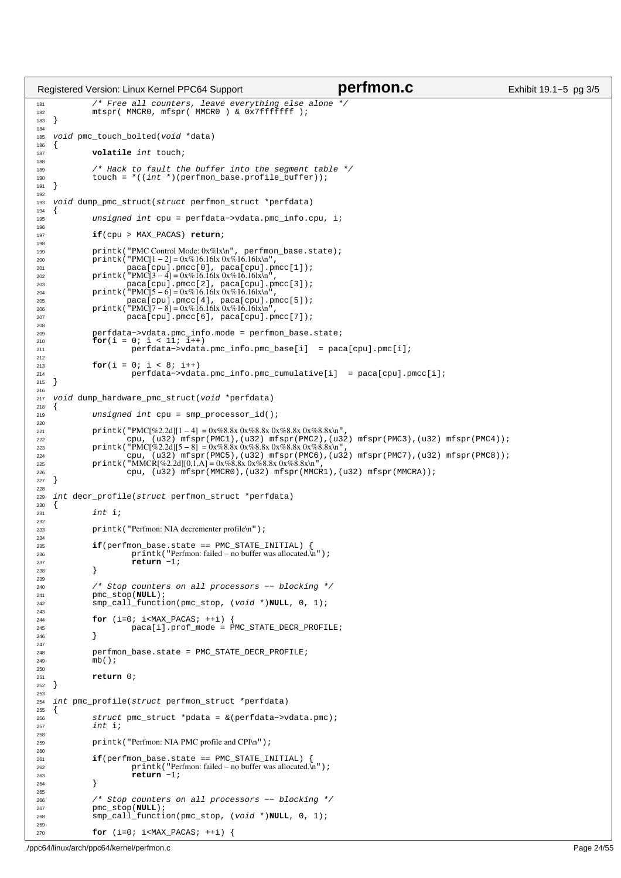```
181 /* Free all counters, leave everything else alone */
182 mtspr( MMCR0, mfspr( MMCR0 ) & 0x7fffffff );
183 }
184
185 void pmc_touch_bolted(void *data) 
186 {
187 volatile int touch;
188
189 /* Hack to fault the buffer into the segment table */
190 touch = *((int *)(perfmon_base.profile_buffer));
191 }
192
193 void dump_pmc_struct(struct perfmon_struct *perfdata)<br>194 {
\begin{matrix} 194 \\ 195 \end{matrix}unsigned int cpu = perfdata−>vdata.pmc info.cpu, i;
196
197 if(cpu > MAX_PACAS) return;
198
199 printk("PMC Control Mode: 0x%lx\n", perfmon_base.state);<br>
200 printk("PMC[1 − 2] = 0x%16.16lx\0x%16.16lx\n",<br>
201 paca[cpu].pmcc[0], paca[cpu].pmcc[1]);<br>
printk("PMC[3 − 4] = 0x%16.16lx\n%16.16lx\n",
203 paca[cpu].pmcc[2], paca[cpu].pmcc[3]);
204 printk("PMC[5 − 6] = 0x%16.16lx 0x%16.16lx\n",
205 paca[cpu].pmcc[4], paca[cpu].pmcc[5]);
206 printk("PMC[7 − 8] = 0x%16.16lx 0x%16.16lx\n",
207 paca[cpu].pmcc[6], paca[cpu].pmcc[7]);
208
209 perfdata−>vdata.pmc_info.mode = perfmon_base.state;
210 for(i = 0; i < 11; i++) 
211 perfdata−>vdata.pmc_info.pmc_base[i] = paca[cpu].pmc[i];
212
213 for(i = 0; i < 8; i++))<br>214 for(i = 0; i < 8; i++))
214 perfdata->vdata.pmc_info.pmc_cumulative[i] = paca[cpu].pmcc[i];<br>215 }
    }
216
217 void dump_hardware_pmc_struct(void *perfdata) 
218 {
              unsigned int cpu = smp\_processor_id();
220
221 printk("PMC[%2.2d][1 − 4] = 0x%8.8x 0x%8.8x 0x%8.8x 0x%8.8x\n",
222 cpu, (u32) mfspr(PMC1),(u32) mfspr(PMC2),(u32) mfspr(PMC3),(u32) mfspr(PMC4));
223 printk("PMC[%2.2d][5 - 8] = 0x%8.8x 0x%8.8x 0x%8.8x 0x%8.8x 0x%8.8x\n",<br>224 cpu, (u32) mfspr(PMC5), (u32) mfspr(PMC6), (u3
224 cpu, ( u32) mfspr(PMC5),(u32) mfspr(PMC6),(u32) mfspr(PMC7),(u32) mfspr(PMC8));<br>225 printk("MMCRJ%2.2d][0,1.A] = 0x%8.8x 0x%8.8x 0x%8.8x\n",
              printk("MMCR[%2.2d][0,1,A] = 0x%8.8x0x%8.8x0x%8.8x\text{m}226 cpu, (u32) mfspr(MMCR0),(u32) mfspr(MMCR1),(u32) mfspr(MMCRA));
227 }
228<br>229
    int decr_profile(struct perfmon_struct *perfdata)
230 {
231 int i;
232<br>233
              printk("Perfmon: NIA decrementer profile\n");
234
235 if(perfmon_base.state == PMC_STATE_INITIAL) {
236 printk("Perfmon: failed − no buffer was allocated.\n");<br>
237 printk("Perfmon: failed − no buffer was allocated.\n");
              return −1;
238 }
239
240 /* Stop counters on all processors −− blocking */
241 pmc_stop(NULL); 
242 smp_call_function(pmc_stop, (void *)NULL, 0, 1);
243<br>244for (i=0; i<sub>MAX_PACAS; ++i) {
245 paca[i].prof_mode = PMC_STATE_DECR_PROFILE;<br>246 }
246247
248 perfmon_base.state = PMC_STATE_DECR_PROFILE;<br>249 mb();
              m b();
250
251 return 0;
252 }
253
254 int pmc_profile(struct perfmon_struct *perfdata) 
255 \{256 struct pmc_struct *pdata = &(perfdata->vdata.pmc);<br>257 int i;
              int i;
258
259 printk("Perfmon: NIA PMC profile and CPI\n");
260261 if(perfmon_base.state == PMC_STATE_INITIAL) {
262 printk ("Perfmon: failed – no buffer was allocated.\ln");<br>
\frac{263}{263}<sup>2</sup>/<sub>1</sub> return −1;
264
265
266 /* Stop counters on all processors -- blocking */<br>267 mmc stop(NULL);
267 pmc_stop(NULL)<br>268 smp_call_funct:
               268 smp_call_function(pmc_stop, (void *)NULL, 0, 1);
269
270 for (i=0; i<MAX_PACAS; ++i) {
Registered Version: Linux Kernel PPC64 Support perfmon.c Exhibit 19.1−5 pg 3/5
```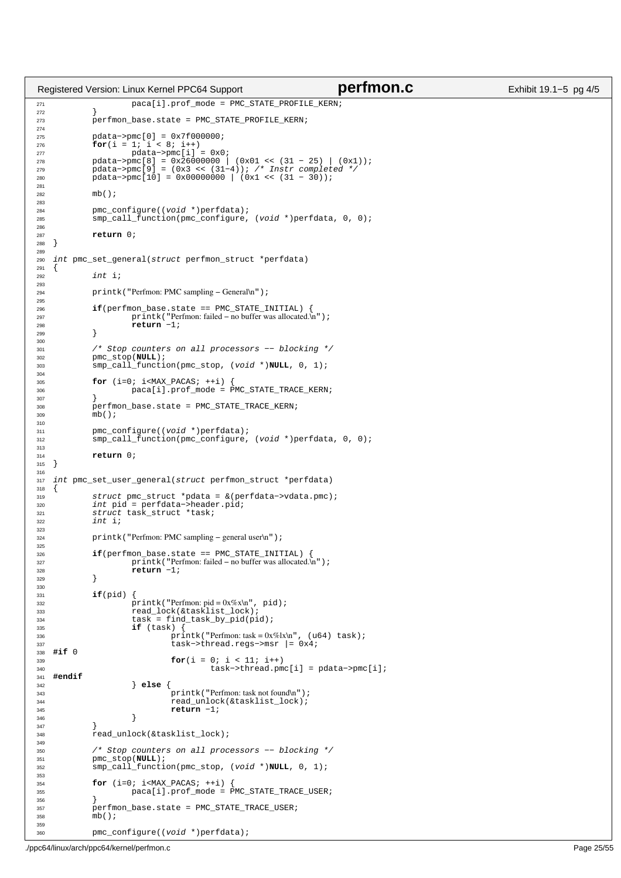```
271 paca[i].prof_mode = PMC_STATE_PROFILE_KERN;
272 }
              perfmon_base.state = PMC_STATE_PROFILE_KERN;
274
275 pdata−>pmc[0] = 0x7f000000;
276 for(i = 1; i < 8; i++) 
277 pdata−>pmc[i] = 0x0;
278 pdata−>pmc[8] = 0x26000000 | (0x01 << (31 − 25) | (0x1));
279 pdata−>pmc[9] = (0x3 << (31−4)); /* Instr completed */
280 pdata−>pmc[10] = 0x00000000 | (0x1 << (31 − 30));
281
282 mb();
283
284 pmc_configure((void *)perfdata);<br>285 smp_call_function(pmc_configure)
              \texttt{amp\_call\_function}(\texttt{pmc\_configure}, \ (\texttt{void *}) \texttt{perfdata}, \ 0, \ 0);286
<sup>287</sup> return 0;<br>
<sup>288</sup> }
   \rightarrow289
290 int pmc_set_general(struct perfmon_struct *perfdata) \{291 {
292 int i;
293
294 printk("Perfmon: PMC sampling − General\n");
295
296 if(perfmon_base.state == PMC_STATE_INITIAL) {<br>297 printk("Perfmon:failed − no buffer was allocated.\n");
298 return −1;<br>
299 }
299 }
300301 /* Stop counters on all processors -- blocking */<br>302 pmc stop(NULL);
              pmc_stop(NULL);
303 smp_call_function(pmc_stop, (void *)NULL, 0, 1);
304
305 for (i=0; i<MAX_PACAS; ++i) {
306 paca[i].prof_mode = PMC_STATE_TRACE_KERN;
307 }
308 perfmon_base.state = PMC_STATE_TRACE_KERN;<br>309 mb();
              mb();
310
311 pmc_configure((void *)perfdata);
312 smp_call_function(pmc_configure, (void *)perfdata, 0, 0);
313
314 return 0;
   315 }
316
317 int pmc_set_user_general(struct perfmon_struct *perfdata) 
\begin{matrix}\n318 \\
319\n\end{matrix}319 struct pmc_struct *pdata = &(perfdata->vdata.pmc);<br>320 int pid = perfdata->header.pid;
320 int pid = perfdata−>header.pid;
321 struct task_struct *task;
322 int i;
323
324 printk("Perfmon: PMC sampling – general user\n");
325
326 if(perfmon_base.state == PMC_STATE_INITIAL) {<br>327 printk("Perfmon:failed − no buffer was allocated.\n");
328 return −1;<br>329 }
329 }
330
331 if(pid) {
332 printk("Perfmon: pid = 0x%x\n", pid);<br>333 pread lock(&tasklist lock);
<sup>333</sup> read_lock(&tasklist_lock);<br><sup>334</sup> task = find task by pid(pi
                         \text{task} = \text{find\_task\_by\_pid(pid)};
335 if (task) {
\frac{1}{2} printk("Perfmon: task = 0x%lx\n", (u64) task);
337<br>338 #if 0 task−>thread.regs->msr |= 0x4;
338 #if 0
339 for(i = 0; i < 11; i++)<br>
540 task->thread.pmc[i] = pdata->pmc[i];
341 #endif
342 } else {
343 printk("Perfmon: task not found\n");<br>344 printk("Perfmon: task not found\n");
                                   read_unlock(&tasklist_lock);
345 return −1;<br>346 f
346 }
347 }
              read_unlock(&tasklist_lock);
349
350 /* Stop counters on all processors −− blocking */
351 pmc_stop(NULL);<br>352 smp_call_functi
              352 smp_call_function(pmc_stop, (void *)NULL, 0, 1);
353
354 for (i=0; i<sub>1</sub><i><sup>2</sup></i> <b>MAX_PACAS;</b> ++i)<br>355 356 366 361 367 366 369 369\frac{1}{2} paca[i].prof_mode = PMC_STATE_TRACE_USER;
356<br>357
357 perfmon_base.state = PMC_STATE_TRACE_USER;<br>358 mb();
              mb();
359
360 pmc_configure((void *)perfdata);
Registered Version: Linux Kernel PPC64 Support perfmon.c Exhibit 19.1−5 pg 4/5
```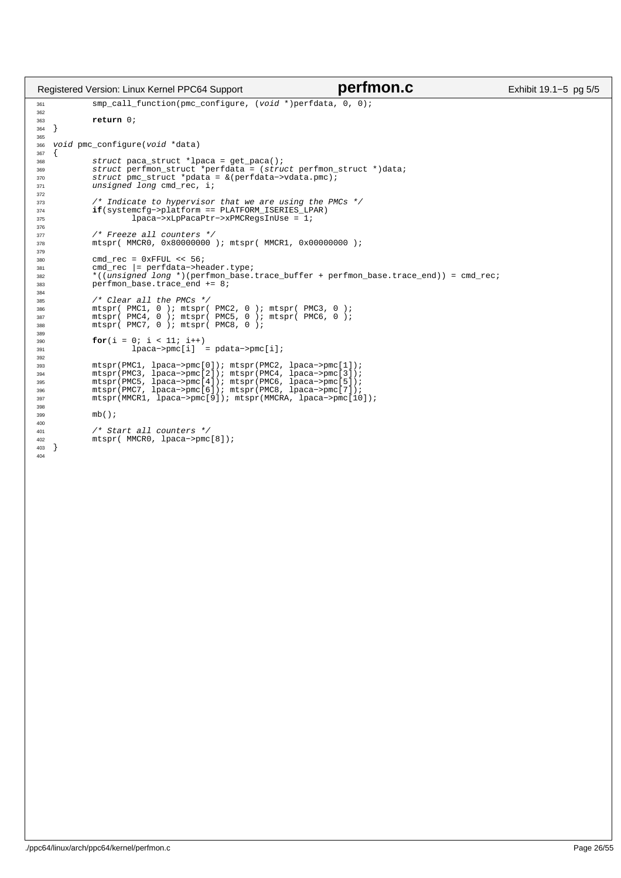```
361 smp_call_function(pmc_configure, (void *)perfdata, 0, 0);
362
363 return 0;
364 }
365
366 void pmc_configure(void *data)
\begin{array}{c} 367 \\ 368 \end{array}368 struct paca_struct *lpaca = get_paca();
369 struct perfmon_struct *perfdata = (struct perfmon_struct *)data;
370 struct pmc_struct *pdata = &(perfdata−>vdata.pmc);
371 unsigned long cmd_rec, i;
372
\frac{373}{373} /* Indicate to hypervisor that we are using the PMCs */<br>\mathbf{if}(\text{systemcfg--plaintext}) = \text{PLATFORM\_ISERIES\_LPAR})374 if(systemcfg->platform == PLATFORM_ISERIES_LPAR)<br>375 lDACA->xLDPACAPtr->xPMCRegsInUse = 1;
                              lpaca->xLpPacaPtr->xPMCRegsInUse = 1;
376
377 /* Freeze all counters */<br>378 mtspr( MMCRO, 0x80000000
                 mtspr( MMCR0, 0x800000000); mtspr( MMCR1, 0x000000000);
379
380 cmd_rec = 0xFFUL << 56;<br>381 cmd_rec |= perfdata->header.type;<br>382 *((unsigned long *)(perfmon_base.trace_buffer + perfmon_base.trace_end)) = cmd_rec;<br>383 perfmon_base.trace_end += 8;
384
385 /* Clear all the PMCs */
386 mtspr( PMC1, 0 ); mtspr( PMC2, 0 ); mtspr( PMC3, 0 );
387 mtspr( PMC4, 0 ); mtspr( PMC5, 0 ); mtspr( PMC6, 0 );
388 mtspr( PMC7, 0 ); mtspr( PMC8, 0 );
389
390 for(i = 0; i < 11; i++)
391 lpaca−>pmc[i] = pdata−>pmc[i];
392
993<br>
mtspr(PMC1, lpaca->pmc[0]); mtspr(PMC2, lpaca->pmc[1]);<br>
mtspr(PMC3, lpaca->pmc[2]); mtspr(PMC4, lpaca->pmc[3]);<br>
mtspr(PMC5, lpaca->pmc[4]); mtspr(PMC6, lpaca->pmc[5]);<br>
mtspr(MMCR1, lpaca->pmc[9]); mtspr(MMCRA, lpac
398<br>399
                 mb();
400
401 /* Start all counters */
402 mtspr( MMCR0, lpaca−>pmc[8]);
403 }
404
Registered Version: Linux Kernel PPC64 Support perfmon.c Exhibit 19.1−5 pg 5/5
```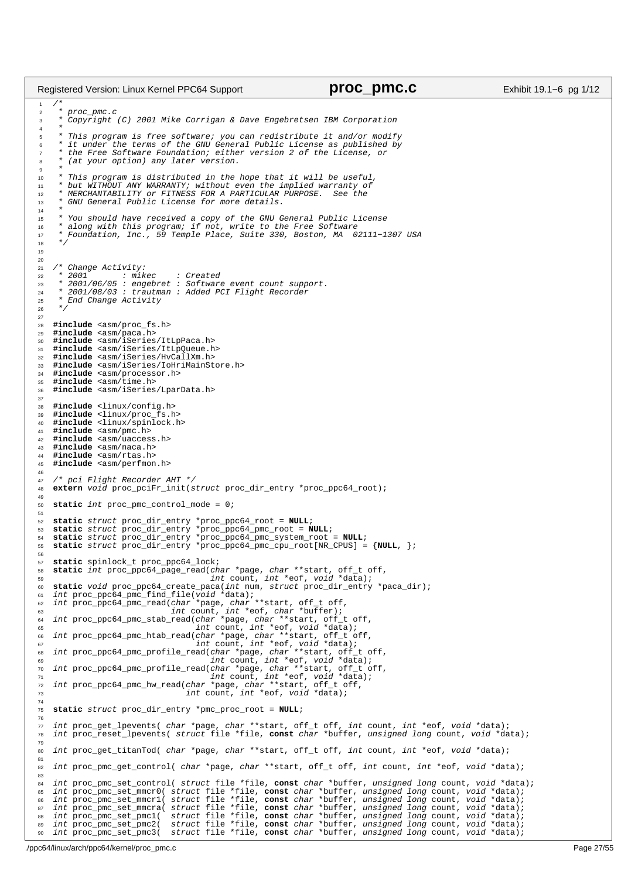$/$ \* \* proc\_pmc.c \* Copyright (C) 2001 Mike Corrigan & Dave Engebretsen IBM Corporation \* <sup>5</sup> \* This program is free software; you can redistribute it and/or modify <sup>6</sup> \* it under the terms of the GNU General Public License as published by \* the Free Software Foundation; either version 2 of the License, or \* (at your option) any later version. <sup>9</sup> \* \* This program is distributed in the hope that it will be useful, <sup>11</sup> \* but WITHOUT ANY WARRANTY; without even the implied warranty of <sup>12</sup> \* MERCHANTABILITY or FITNESS FOR A PARTICULAR PURPOSE. See the <sup>13</sup> \* GNU General Public License for more details. \* <sup>15</sup> \* You should have received a copy of the GNU General Public License <sup>16</sup> \* along with this program; if not, write to the Free Software <sup>17</sup> \* Foundation, Inc., 59 Temple Place, Suite 330, Boston, MA 02111−1307 USA \*/  $21 / *$  Change Activity: \* 2001 : mikec : Created <sup>23</sup> \* 2001/06/05 : engebret : Software event count support. \* 2001/08/03 : trautman : Added PCI Flight Recorder \* End Change Activity 26  $*$  / **#include** <asm/proc\_fs.h> <sup>29</sup> **#include** <asm/paca.h> **#include** <asm/iSeries/ItLpPaca.h> **#include** <asm/iSeries/ItLpQueue.h> **#include** <asm/iSeries/HvCallXm.h> **#include** <asm/iSeries/IoHriMainStore.h> **#include** <asm/processor.h> **#include** <asm/time.h> **#include** <asm/iSeries/LparData.h> **#include** <linux/config.h> **#include** <linux/proc\_fs.h> **#include** <linux/spinlock.h> 41 **#include** <asm/pmc.h><br>42 **#include** <asm/uacces **#include** <asm/uaccess.h> 43 **#include** <asm/naca.h><br>44 **#include** <asm/rtas.h> **#include** <asm/rtas.h> **#include** <asm/perfmon.h> 47 /\* pci Flight Recorder AHT \*/<br>48 **extern** void proc pciFr init(s **extern** void proc\_pciFr\_init(struct proc\_dir\_entry \*proc\_ppc64\_root); **static** int proc\_pmc\_control\_mode = 0; s2 static struct proc\_dir\_entry \*proc\_ppc64\_root = NULL;<br>s3 static struct proc\_dir\_entry \*proc\_ppc64\_pmc\_root = NULL;<br>s4 static struct proc\_dir\_entry \*proc\_ppc64\_pmc\_system\_root = NULL;<br>s5 static struct proc\_dir\_entry \*pro **static** spinlock\_t proc\_ppc64\_lock; **static** int proc\_ppc64\_page\_read(char \*page, char \*\*start, off\_t off, <sup>59</sup> int count, int \*eof, void \*data); **static** void proc\_ppc64\_create\_paca(int num, struct proc\_dir\_entry \*paca\_dir); <sup>61</sup> int proc\_ppc64\_pmc\_find\_file(void \*data); int proc\_ppc64\_pmc\_read(char \*page, char \*\*start, off\_t off, <sup>63</sup> int count, int \*eof, char \*buffer); <sup>64</sup> int proc\_ppc64\_pmc\_stab\_read(char \*page, char \*\*start, off\_t off, <sup>65</sup> int count, int \*eof, void \*data); <sup>66</sup> int proc\_ppc64\_pmc\_htab\_read(char \*page, char \*\*start, off\_t off, <sup>67</sup> int count, int \*eof, void \*data); int proc\_ppc64\_pmc\_profile\_read(char \*page, char \*\*start, off\_t off, int count, int \*eof, void \*data);<br>n int proc\_ppc64\_pmc\_profile\_read(char \*page, char \*\*start, off\_t off,<br>n<br>n int proc\_ppc64\_pmc\_hw\_read(char \*page, char \*\*start, off\_t off,<br>nt proc\_ppc64\_pmc\_hw\_read(char \*page, char \*\*star **static** struct proc\_dir\_entry \*pmc\_proc\_root = **NULL**; int proc\_get\_lpevents( char \*page, char \*\*start, off\_t off, int count, int \*eof, void \*data); <sup>78</sup> int proc\_reset\_lpevents( struct file \*file, **const** char \*buffer, unsigned long count, void \*data); 80 int proc\_get\_titanTod( char \*page, char \*\*start, off\_t off, int count, int \*eof, void \*data); 82 int proc\_pmc\_get\_control( char \*page, char \*\*start, off\_t off, int count, int \*eof, void \*data); % int proc\_pmc\_set\_control( struct file \*file, const char \*buffer, unsigned long count, void \*data);<br>% int proc\_pmc\_set\_mmcr0( struct file \*file, const char \*buffer, unsigned long count, void \*data);<br>% int proc\_pmc\_set\_mmc <sup>88</sup> int proc\_pmc\_set\_pmc1( struct file \*file, **const** char \*buffer, unsigned long count, void \*data); int proc\_pmc\_set\_pmc2( struct file \*file, **const** char \*buffer, unsigned long count, void \*data); int proc\_pmc\_set\_pmc3( struct file \*file, **const** char \*buffer, unsigned long count, void \*data); Registered Version: Linux Kernel PPC64 Support **proc\_pmc.c proc\_pmc.c** Exhibit 19.1–6 pg 1/12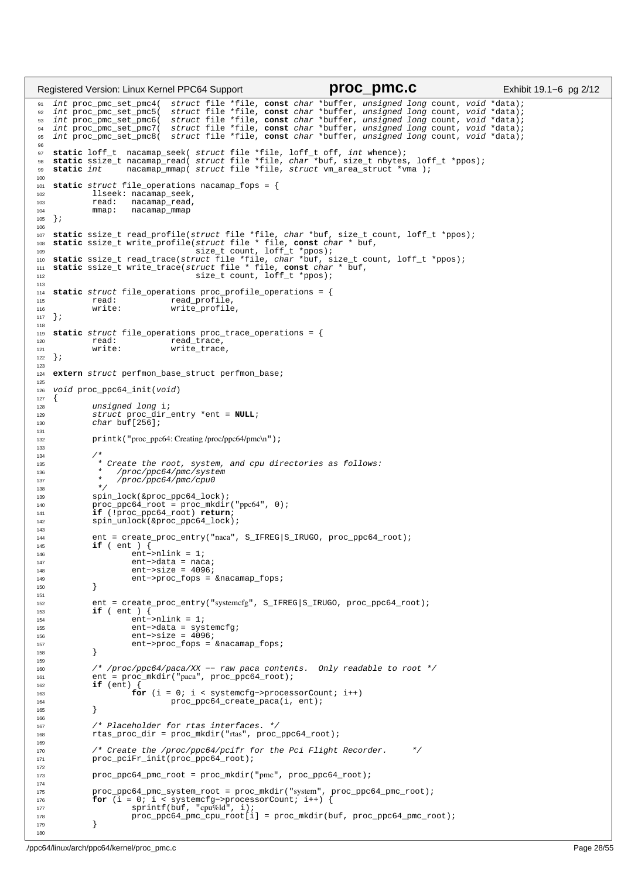```
wint proc_pmc_set_pmc4( struct file *file, const char *buffer, unsigned long count, void *data);<br>wint proc_pmc_set_pmc5( struct file *file, const char *buffer, unsigned long count, void *data);<br>wint proc_pmc_set_pmc6( 
95 int proc_pmc_set_pmc8( struct file *file, const char *buffer, unsigned long count, void *data);
96
97 static loff_t nacamap_seek( struct file *file, loff_t off, int whence);<br>98 static ssize_t nacamap_read( struct file *file, char *buf, size_t nbytes, loff_t *ppos);<br>99 static int     nacamap_mmap( struct file *
100
101 static struct file_operations nacamap_fops = {
102 llseek: nacamap_seek,
103 read: nacamap_read,
104 mmap: nacamap_mmap
105 } ;
106
107 static ssize_t read_profile(struct file *file, char *buf, size_t count, loff_t *ppos);
108 static ssize_t write_profile(struct file * file, const char * buf,<br>109<br>110 static ssize_t read_trace(struct file *file, char *buf, size_t count, loff_t *ppos);<br>111 static ssize_t write_trace(struct file * file, const c
112 size_t count, loff_t *ppos);
113
114 static struct file_operations proc_profile_operations = {
                                 read_profile,
116 write: write_profile,
117 } ;
118
119 static struct file_operations proc_trace_operations = {
              read: read_trace,<br>write: write trace
121 write: write_trace,<br>122 };
   122 };
123
124 extern struct perfmon_base_struct perfmon_base;
125
126 void proc_ppc64_init(void)
\begin{array}{c} 127 \\ 128 \end{array}128 unsigned long i;<br>
129 struct proc_dir
129 struct proc_dir_entry *ent = NULL;<br>
130 char buf[256];
131
132 printk("proc_ppc64: Creating /proc/ppc64/pmc\n");
133
134<br>135
               * Create the root, system, and cpu directories as follows:
136 * /proc/ppc64/pmc/system<br>
137 * /proc/ppc64/pmc/cpu0
137 * /proc/ppc64/pmc/cpu0<br>138 */138 * /139 spin_lock(&proc_ppc64_lock);<br>140 proc_ppc64_root_=_proc_mkdir
140 proc_ppc64_root = proc_mkdir("ppc64", 0);
141 if (!proc_ppc64_root) return;
142 spin unlock(&proc_ppc64_lock);
143
144 ent = create_proc_entry("naca", S_IFREG|S_IRUGO, proc_ppc64_root);<br>\mathbf{if} (ent ) {
              145 if ( ent ) {
146 ent−>nlink = 1;<br>
147 ent->data = nac
                        ent->data = naca;
148 ent−>size = 4096;<br>149 ent−>proc_fops =
149 ent−>proc_fops = &nacamap_fops;
              \}151
152 ent = create_proc_entry("systemcfg", S_IFREG|S_IRUGO, proc_ppc64_root);<br>153 if (ent ) {
153 if (ent ) {<br>154 if ent –
                        ent->nlink = 1;
155 ent−>data = systemcfg;
156 ent−>size = 4096;
157 ent−>proc_fops = &nacamap_fops;
158 }
159
160 /* /proc/ppc64/paca/XX −− raw paca contents. Only readable to root */
161 ent = proc_mkdir("paca", proc_ppc64_root);
162 if (ent) {
163 for (i = 0; i < systemcfg->processorCount; i++)<br>proc_ppc64_create_paca(i, ent);
                                  proc_ppc64_create_paca(i, ent);
165 }
166
167 /* Placeholder for rtas interfaces. */<br>168 168 rtas proc dir = proc mkdir("rtas", proc
              rtas\_proc\_dir = proc\_mkdir("rtas", proc\_ppc64\_root);169
170 /* Create the /proc/ppc64/pcifr for the Pci Flight Recorder. */
171 proc_pciFr_init(proc_ppc64_root);
172
173 proc_ppc64_pmc_root = proc_mkdir("pmc", proc_ppc64_root);
174
175 proc_ppc64_pmc_system_root = proc_mkdir("system", proc_ppc64_pmc_root);
176 for (i = 0; i < systemcfg−>processorCount; i++) {
177 sprintf(buf, "cpu%ld", i); 
178 proc_ppc64_pmc_cpu_root[i] = proc_mkdir(buf, proc_ppc64_pmc_root);<br>179
              \}180
Registered Version: Linux Kernel PPC64 Support proc_pmc.c Exhibit 19.1−6 pg 2/12
```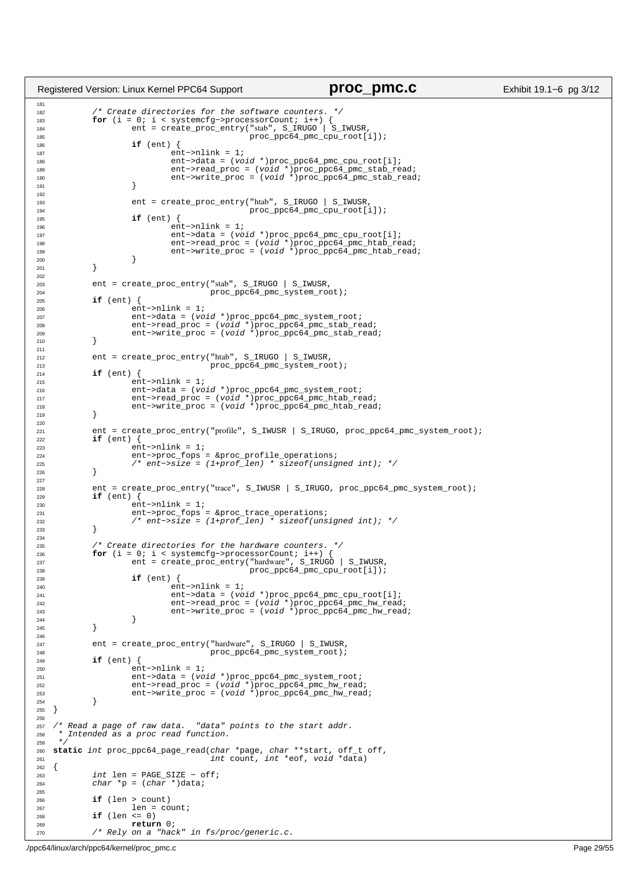```
181
182 /* Create directories for the software counters.
183 for (i = 0; i < systemcfg->processorCount; i++) {<br>
ent = create_proc_entry("stab", S_IRUGO | S_IWUSR,
185 proc_ppc64_pmc_cpu_root[i]);<br>186 if (ent.) {
                      if (ent)187 ent−>nlink = 1;<br>
ent−>nlink = 1;<br>
ent−>data = (vo
188 ent−>data = (void *)proc_ppc64_pmc_cpu_root[i];<br>ent->read proc = (void *)proc ppc64 pmc stab re
189 ent−>read_proc = (void *)proc_ppc64_pmc_stab_read;
190 ent−>write_proc = (void *)proc_ppc64_pmc_stab_read;
191 \Big\}192
193 ent = create_proc_entry("htab", S_IRUGO | S_IWUSR,<br>194 proc ppc64 pmc cpu root[
\frac{194}{195} proc_ppc64_pmc_cpu_root[i]);
                      if (ent) { }196 ent−>nlink = 1;<br>
ent−>nlink = 1;<br>
ent−>data = (vo
197 ent−>data = (void *)proc_ppc64_pmc_cpu_root[i];<br>ent->read proc = (void *)proc ppc64 pmc_thab re
198 ent−>read_proc = (void *)proc_ppc64_pmc_htab_read;
199 ent−>write_proc = (void *)proc_ppc64_pmc_htab_read;
200 }
201 }
202
203 ent = create_proc_entry("stab", S_IRUGO | S_IWUSR,<br>204 proc_ppc64_pmc_system_roc
204<br>205 if (ent) { proc_ppc64_pmc_system_root);
             if (ent) \{206 ent−>nlink = 1;
207 ent−>data = (void *)proc_ppc64_pmc_system_root;
208 ent−>read_proc = (void *)proc_ppc64_pmc_stab_read;
209 ent−>write_proc = (void *)proc_ppc64_pmc_stab_read;
210 \Big\}211
212 ent = create_proc_entry("htab", S_IRUGO | S_IWUSR, 
213<br>214 if (ent) { proc_ppc64_pmc_system_root);
214 if (ent) {
215 ent−>nlink = 1;
216 ent−>data = (void *)proc_ppc64_pmc_system_root;
217 ent−>read_proc = (void *)proc_ppc64_pmc_htab_read;
218 ent−>write_proc = (void *)proc_ppc64_pmc_htab_read;
219 }
220
221 ent = create_proc_entry("profile", S_IWWSR | S_IRWGG, proc\_ppc64\_pmc_System\_root;<br>222 if (ent) {
222 if (ent) {
223 ent−>nlink = 1;<br>224 ent−>proc_fops
224 ent−>proc_fops = &proc_profile_operations;<br>225 /* ent−>size = (1+prof len) * sizeof(unsig
                      225 /* ent−>size = (1+prof_len) * sizeof(unsigned int); */
226 }
227
228 ent = create_proc_entry("trace", S_IWUSR | S_IRUGO, proc_ppc64_pmc_system_root);<br>
if (ent) {
229 if (ent) {
230 ent−>nlink = 1;
231 ent−>proc_fops = &proc_trace_operations;
232 /* ent−>size = (1+prof_len) * sizeof(unsigned int); */
233 }
234
235 /* Create directories for the hardware counters. */
236 for (i = 0; i < systemcfg->processorCount; i++) {<br>ent = create_proc_entry("hardware", S_IRUGO | S_IWUSR,
238<br>239 if (ent.) { 239239 if (ent) {
240 ent−>nlink = 1;
241 ent−>data = (void *)proc_ppc64_pmc_cpu_root[i];
242 ent−>read_proc = (void *)proc_ppc64_pmc_hw_read;
243 ent−>write_proc = (void *)proc_ppc64_pmc_hw_read;
244 }
245 \Big\}246
247 ent = create_proc_entry("hardware", S_IRUGO | S_IWUSR,<br>248 proc prof4 pmc system root);
248<br>
249 if (ent) {<br>
proc_ppc64_pmc_system_root);
249 if (ent) {
                      250 ent−>nlink = 1;
251 ent−>data = (void *)proc_ppc64_pmc_system_root;
252 ent−>read_proc = (void *)proc_ppc64_pmc_hw_read;
253 ent−>write_proc = (void *)proc_ppc64_pmc_hw_read;<br>254 and 254
254 }
255 }
256
257 /* Read a page of raw data. "data" points to the start addr.
258 * Intended as a proc read function.
259 */
260 static int proc_ppc64_page_read(char *page, char **start, off_t off,
261 int count, int *eof, void *data)
262 {<br>263
263 int \text{len} = \text{PAGE\_SIZE} - \text{off};<br>
264 char \text{*}p = (char \text{*})data;char *p = (char *)data;265
266 if (len > count)
267<br>
268 if (len <= 0)
268 if (len <= 0)
                      return 0;
270 /* Rely on a "hack" in fs/proc/generic.c.
Registered Version: Linux Kernel PPC64 Support proc_pmc.c proc_pmc.c Exhibit 19.1–6 pg 3/12
```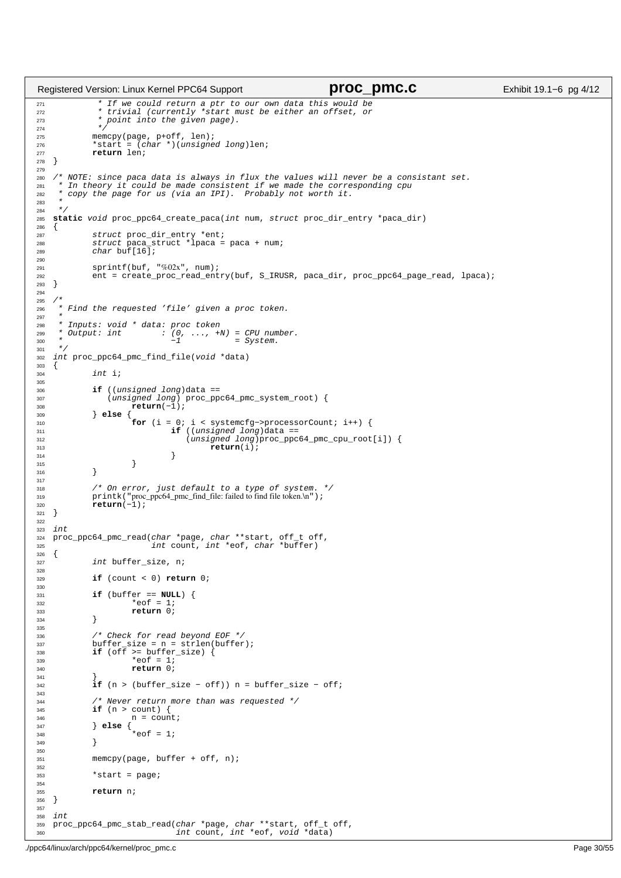```
271 * If we could return a ptr to our own data this would be
272 * trivial (currently *start must be either an offset, or
273 * point into the given page).<br>274 * *
274<br>275
275 memcpy(page, p+off, len);
276 *start = (char *)(unsigned long)len;
277 return len;
278 }
279
% /* NOTE: since paca data is always in flux the values will never be a consistant set.<br>281 * In theory it could be made consistent if we made the corresponding cpu<br>283 * copy the page for us (via an IPI). Probably not wor
284 */<br>285 Sta
   285 static void proc_ppc64_create_paca(int num, struct proc_dir_entry *paca_dir)
286 \begin{cases} 286 \\ 287 \end{cases}287 struct proc_dir_entry *ent;<br>288 struct paca struct *lpaca =
288 struct paca_struct *lpaca = paca + num;<br>289 struct paca_struct *lpaca = paca + num;
              char buf[16];
290
291 sprintf(buf, "%02x", num);
292 ent = create_proc_read_entry(buf, S_IRUSR, paca_dir, proc_ppc64_page_read, lpaca);<br>293 }
   \{294
295 /*<sup>216</sup> * Find the requested 'file' given a proc token.<br><sup>218</sup> *
297 *
298 * Inputs: void * data: proc token<br>299 * Output: int : (0, ..., +i
299 \rightarrow \text{Output:} int : (0, \ldots, +N) = CPU number.<br>
-1 = System.301<br>302int proc_ppc64_pmc_find_file(void *data)
303 \begin{matrix} 304 \end{matrix}int i;
305
306 if ((unsigned long)data == 
307 (unsigned long) proc_ppc64_pmc_system_root) {
308 return(−1); 
309 } else {
310 for (i = 0; i < systemcfg−>processorCount; i++) {
311 if ((unsigned long)data ==
312 (unsigned long)proc_ppc64_pmc_cpu_root[i]) {
313 return(i); 
\left\{\right\}315 }
316 }
317
318 \frac{\pi}{2} On error, just default to a type of system. */<br>319 printk ("proc ppc64 pmc find file: failed to find file token.\n");
319 printk ("proc_ppc64_pmc_find_file: failed to find file token.\n");<br>\text{return } (-1);
              320 return(−1); 
321 }
322
323 int
324 proc_ppc64_pmc_read(char *page, char **start, off_t off, 
325 int count, int *eof, char *buffer)
326 \quad \{
327int buffer_size, n;
328
329 if (count < 0) return 0;
330
331 if (buffer == NULL) {
*eof = 1;<br>333 *eof = 1;<br>return 0;
333 return 0;
              \left\{ \right\}335
<sup>336</sup> /* Check for read beyond EOF */<br>337 buffer size = n = strlen(buffer
337 buffer_size = n = strlen(buffer);
338 if (off >= buffer_size) {
*eof = 1;<br>*eof = 1;<br>*eof = 1;
                        340 return 0;
341 }
               342 if (n > (buffer_size − off)) n = buffer_size − off;
343
344 /* Never return more than was requested */
345 if (n > count) {<br>346 if n = count346 n = count;
347 } else {
348 *eof = 1;
\frac{349}{ } }
350
351 memcpy(page, buffer + off, n);
352
              *start = page;354
355 return n;
356 }
357
358 int<br>359 pro
    proc_ppc64_pmc_stab_read(char *page, char **start, off_t off,
360 int count, int *eof, void *data)
Registered Version: Linux Kernel PPC64 Support proc_pmc.c proc_pmc.c Exhibit 19.1–6 pg 4/12
```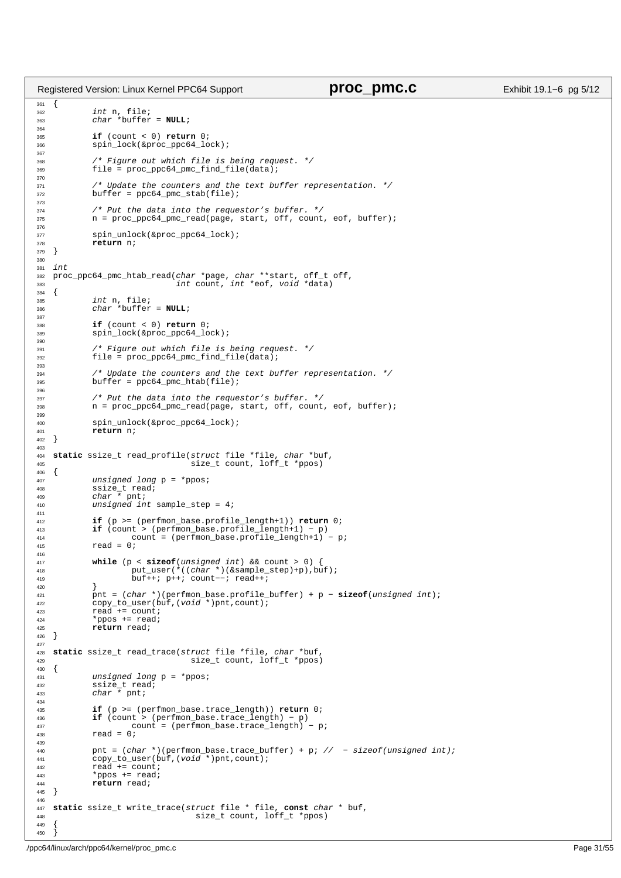```
361 \{<br>362
362 int n, file;
363 char *buffer = NULL;
364
365 if (count < 0) return 0;
              spin_lock(&proc_ppc64_lock);
367
368 \frac{1}{2} /* Figure out which file is being request. */<br>369 file = proc ppc64 pmc find file(data);
              file = proc\_ppc64\_pmc\_find\_file(data);370
371 /* Update the counters and the text buffer representation. */
372 buffer = ppc64_pmc_stab(file);
373
374 /* Put the data into the requestor's buffer. */<br>375 n = proc ppc64 pmc read(page, start, off, count
              n = proc_ppc64_pmc_read(page, start, off, count, eof, buffer);
376
377 spin_unlock(&proc_ppc64_lock);
\frac{378}{379} return n;
   \rightarrow380
381 int
382 proc_ppc64_pmc_htab_read(char *page, char **start, off_t off, 
383 int count, int *eof, void *data)
384 {<br>385
385 int n, file;
386 char *buffer = NULL;
387
388 if (count < 0) return 0;
389 spin_lock(&proc_ppc64_lock);
390391 /* Figure out which file is being request. */<br>392 file = proc ppc64 pmc find file(data);
              392 file = proc_ppc64_pmc_find_file(data);
393<br>394
394 /* Update the counters and the text buffer representation. */<br>395 buffer = ppc64 pmc htab(file);
              buffer = ppc64\_pmc_htab(file);396
397 /* Put the data into the requestor's buffer. */<br>398 n = proc_ppc64_pmc_read(page, start, off, count
              n = \text{proc\_ppc64\_pm\_read(page, start, off, count, eof, buffer)};
399
400 spin_unlock(&proc_ppc64_lock);
401 return n;
   \{403
404 static ssize_t read_profile(struct file *file, char *buf,
                                       size_t count, loff_t *ppos)
\begin{matrix} 406 \\ 407 \end{matrix}407 unsigned long p = *ppos;<br>408 ssize t read;408 ssize_t read;
409 char * pnt;
410 unsigned int sample_step = 4;
411
412 if (p >= (perfmon_base.profile_length+1)) return 0;<br>413 if (count > (perfmon base.profile length+1) - p)
413 if (count > (perfmon_base.profile_length+1) − p)<br>if (count = (perfmon_base.profile_length+1) − p)
414 count = (perfmon_base.profile_length+1) – p;<br>415 read = 0;
              read = 0i416
417 while (p < sizeof(unsigned int) && count > 0) {
418 put_user(*((char *)(&sample_step)+p),buf);
419 buf++; p++; count−−; read++;
420 }
421 pnt = (char *)(perfmon_base.profile_buffer) + p − sizeof(unsigned int);
422 copy_to_user(buf,(void *)pnt,count);
423 read += count;
424 *ppos += read;
425 return read;
   \rightarrow427
428 static ssize_t read_trace(struct file *file, char *buf,
429 size_t count, loff_t *ppos)
    \{431 unsigned long p = *ppos;<br>432 ssize_t read;
432 ssize_t read;
433 char * pnt;
434
435 if (p >= (perfmon_base.trace_length)) return 0;
436 if (count > (perfmon_base.trace_length) − p)
437 count = (perfmon_base.trace_length) – p;<br>
438 read = 0;
              read = 0;439
440 pnt = (char *)(perfmon_base.trace_buffer) + p; // − sizeof(unsigned int);
441 copy_to_user(buf,(void *)pnt,count);
442 read + = count i<br>443 *ppos + = read i443 *ppos += read;<br>444 return read;
    <sup>1</sup>/<sub>1</sub> return read;
445 }
446
447 static ssize_t write_trace(struct file * file, const char * buf,
                                        size_t count, loff_t *ppos)
449Registered Version: Linux Kernel PPC64 Support proc_pmc.c Exhibit 19.1−6 pg 5/12
```
}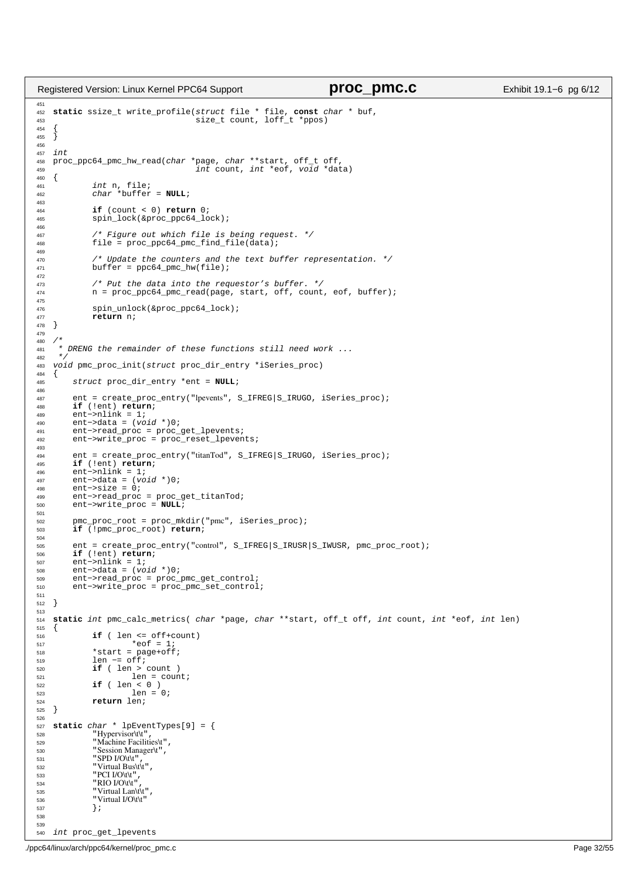```
451
452 static ssize_t write_profile(struct file * file, const char * buf,
453 size_t count, loff_t *ppos)
454 {
455 }
456
457 int<br>458 pro
458 proc_ppc64_pmc_hw_read(char *page, char **start, off_t off,<br>459 int count, int *eof, void *dat
\frac{459}{460} \left\{\n\begin{array}{ccc}\n1 & -1 & -1 \\
1 & -1 & -1\n\end{array}\n\right. \frac{1}{2} int count, int *eof, void *data)
\begin{matrix}\n460 & \{ \\
461 & \end{matrix}461 int n, file;
462 char *buffer = NULL;
463
464 if (count < 0) return 0;
               spin_lock(&proc_ppc64_lock);
466<br>467
467 /* Figure out which file is being request. */<br>468 file = proc ppc64 pmc find file(data);
              file = proc\_ppc64\_pmc\_find\_file(data);469
470 /* Update the counters and the text buffer representation. */
471 buffer = ppc64_pmc_hw(file);
472
473 \frac{473}{474} /* Put the data into the requestor's buffer. */<br>474 n = \text{proc\_ppo64\_pm} read(page, start, off, count
               n = proc\_ppc64\_pmc\_read(page, start, off, count, eof, buffer);475
476 spin_unlock(&proc_ppc64_lock);
477 return n;
478 }
479
480 /481 * DRENG the remainder of these functions still need work ...
482
483 void pmc_proc_init(struct proc_dir_entry *iSeries_proc)
484 {<br>485485 struct proc_dir_entry *ent = NULL;
486
487 ent = create_proc_entry("lpevents", S_IFREG|S_IRUGO, iSeries_proc);<br>
if (!ent) return;
488 if (!ent) return;
489 ent−>nlink = 1;<br>490 ent−>data = (vo
         490 ent−>data = (void *)0;
491 ent−>read_proc = proc_get_lpevents;
492 ent−>write_proc = proc_reset_lpevents;
493
494 ent = create_proc_entry("titanTod", S_IFREG|S_IRUGO, iSeries_proc);<br>495 if (!ent) return;
495 if (!ent) return;
496 ent−>nlink = 1;
497 ent−>data = (void *)0;
498 ent−>size = 0;<br>499 ent−>read proc
499 ent−>read_proc = proc_get_titanTod;<br>500 ent−>write_proc = NIII.I;
         500 ent−>write_proc = NULL;
501
502 pmc_proc_root = proc_mkdir("pmc", iSeries_proc);<br>503 if (!pmc proc root) return;
         503 if (!pmc_proc_root) return;
504
505 ent = create_proc_entry("control", S_IFREG|S_IRUSR|S_IWUSR, pmc_proc_root);
506 if (!ent) return;
         ent−>nlink = 1;
508 ent−>data = (void *)0;
509 ent−>read_proc = proc_pmc_get_control;
         510 ent−>write_proc = proc_pmc_set_control;
511
512 }
513
514 static int pmc_calc_metrics( char *page, char **start, off_t off, int count, int *eof, int len)
515 \begin{matrix} 5 \end{matrix}516 if ( len <= off+count)
517 *eof = 1;
518 *start = page+off;<br>519 1en -= off;
519 len −= \text{of } f;<br>520 if (len >
               520 if ( len > count )
\frac{525}{521} len = count;<br>\frac{1}{22} if (len < 0 )
522 if ( 1en < 0 )<br>523 1en =523 len = 0;<br>524 return len;
               524 return len;
525 }
526
527 static char * lpEventTypes[9] = {<br>528 Hypervisor\t\t",
528 "Hypervisor\t\t",
529 "Machine Facilities\t",
530 "Session Manager\t",<br>531 "SPD I/O\t\t",
               "SPD I/O\t\t"
532 "Virtual Bus\t\t"<br>533 "PCI I/O\t\t",
^{533} "PCI I/O\t\t",<br>^{534} "RIO I/O\t\t"
534 "RIO I/O\t\t",
                \overline{\text{Virtual Lanh}}536 "Virtual I/O\t\t"
               \left.\right. } \left.\right.538
539
540 int proc_get_lpevents
Registered Version: Linux Kernel PPC64 Support proc_pmc.c proc_pmc.c Exhibit 19.1–6 pg 6/12
```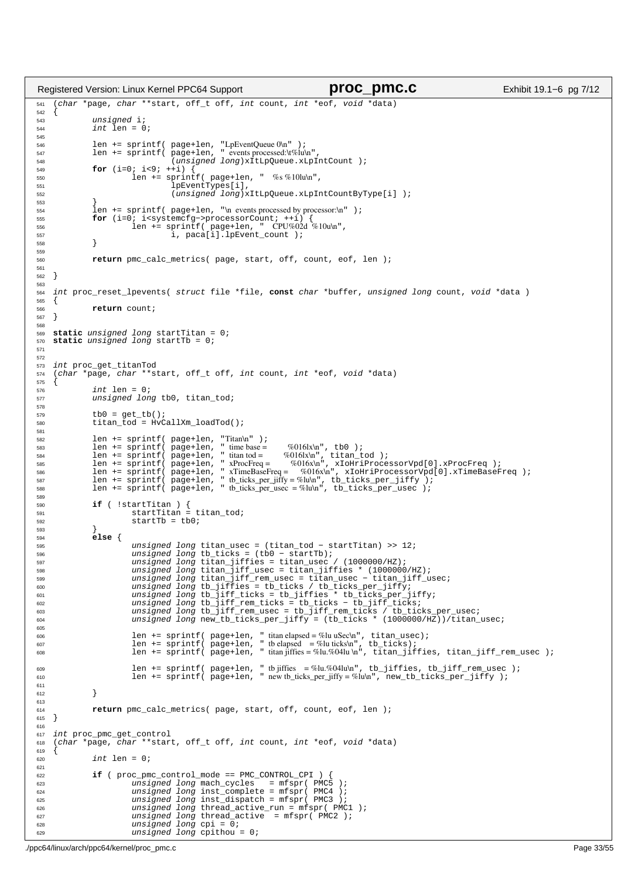```
541 (char *page, char **start, off_t off, int count, int *eof, void *data)
542 {
543 unsigned i;<br>544 int len = 0
                 int len = 0;
545
546 len += sprintf( page+len, "LpEventQueue 0\n" );
547 len += sprintf( page+len, " events processed:\t%lu\n",
548 (unsigned long)xItLpQueue.xLpIntCount );
549 for (i=0; i<9; ++i)<br>550 for i=1 n+1 n+1550 len += \text{spring}(\text{page+len}, \text{'''}, \%)<br>\text{log}(\text{OPT})551 lpEventTypes[i],
552 (unsigned long)xItLpQueue.xLpIntCountByType[i] );
553 }
554 len += sprintf( page+len, "\n events processed by processor:\n" );<br>\frac{1}{2}555 for (i=0; i<systemcfg->processorCount; ++i) {<br>556 len += sprintf( page+len, " CPU%02d %10u\n",<br>557 i, paca[i].lpEvent_count );
558 }
559
560 return pmc_calc_metrics( page, start, off, count, eof, len );
561
562 }
563
564 int proc_reset_lpevents( struct file *file, const char *buffer, unsigned long count, void *data )
565 {
566 return count;
567}
568
569 static unsigned long startTitan = 0;
570 static unsigned long startTb = 0;
571
572
573 int proc_get_titanTod<br>574 (char *page, char **s
     574 (char *page, char **start, off_t off, int count, int *eof, void *data)
575<br>576
                 int \text{len} = 0;
577 unsigned long tb0, titan_tod;
578
579 tb0 = get_tb();<br>580 titan tod = HvCtitan\_tod = HvCallXm\_loadTod();
581
582 len += sprintf( page+len, "Titan\n" );
583 len += sprintf( page+len, " time base = %016lx\n", tb0 );
584 len += sprintf( page+len, " titan tod = %016lx\n", titan_tod );
582<br>
1en += sprintf( page+len, " time base = %016x\n", tb0 );<br>
1en += sprintf( page+len, " titantod = %016x\n", titan_tod );<br>
1en += sprintf( page+len, " xProcFreq = %016x\n", xIoHriProcessorVpd[0].xProcFreq );<br>
1en += sp
%% len += sprintf( page+len, "xTimeBaseFreq = %016x\n", xIoHriProcessorVpd[0].xTimeBaseFreq );<br>%87 len += sprintf( page+len, " tb_ticks_per_jiffy = %lu\n", tb_ticks_per_jiffy );<br>%88 len += sprintf( page+len, " tb_ticks_per
580590 if ( !startTitan ) {<br>591 startTitan = titan_tod;
592 startTb = tb0;
593 }
594 else {
595 unsigned long titan_usec = (titan_tod − startTitan) >> 12;
596 unsigned long tb_ticks = (tb0 − startTb);
597 unsigned long titan_jiffies = titan_usec / (1000000/HZ);
598 unsigned long titan_jiff_usec = titan_jiffies * (1000000/HZ);
599 unsigned long titan_jiff_rem_usec = titan_usec − titan_jiff_usec;
600 unsigned long tb_jiffies = tb_ticks / tb_ticks_per_jiffy;
601 unsigned long tb_jiff_ticks = tb_jiffies * tb_ticks_per_jiffy;
602 unsigned long tb_jiff_rem_ticks = tb_ticks − tb_jiff_ticks;
603 unsigned long tb_jiff_rem_usec = tb_jiff_rem_ticks / tb_ticks_per_usec;
604 unsigned long new_tb_ticks_per_jiffy = (tb_ticks * (1000000/HZ))/titan_usec;
605
606 len += sprintf( page+len, " titan elapsed = %lu uSec\n", titan_usec);
607 len += sprintf( page+len, " tb elapsed = %lu ticks\n", tb_ticks);
608 len += sprintf( page+len, " titan jiffies = %lu.%04lu \n", titan_jiffies, titan_jiff_rem_usec );
609 len += sprintf( page+len, " tb jiffies = %lu.%04lu\n", tb_jiffies, tb_jiff_rem_usec );
610 len += sprintf( page+len, " new tb_ticks_per_jiffy = %lu\n", new_tb_ticks_per_jiffy );
611
612 }
613
614 return pmc_calc_metrics( page, start, off, count, eof, len );
615}
616
617 int proc_pmc_get_control
618 (char *page, char **start, off_t off, int count, int *eof, void *data)
619
\sin \theta int len = 0;
621
622 if ( \text{proc\_pm} \text{control\_mode} == \text{PMC\_CONTROL_CPI} )<br>623 insigned long mach cycles = mfspr( PMC
623 unsigned long mach_cycles = mfspr( PMC5 );
624 unsigned long inst_complete = mfspr( PMC4 );
625 unsigned long inst_dispatch = mfspr( PMC3 );
626 unsigned long thread_active_run = mfspr( PMC1 );
627 unsigned long thread_active = mfspr(\overline{PMC2});<br>for the unsigned long cpi = 0;
                             unsigned long cpi = 0;
629 unsigned long cpithou = 0;
Registered Version: Linux Kernel PPC64 Support proc_pmc.c Exhibit 19.1−6 pg 7/12
```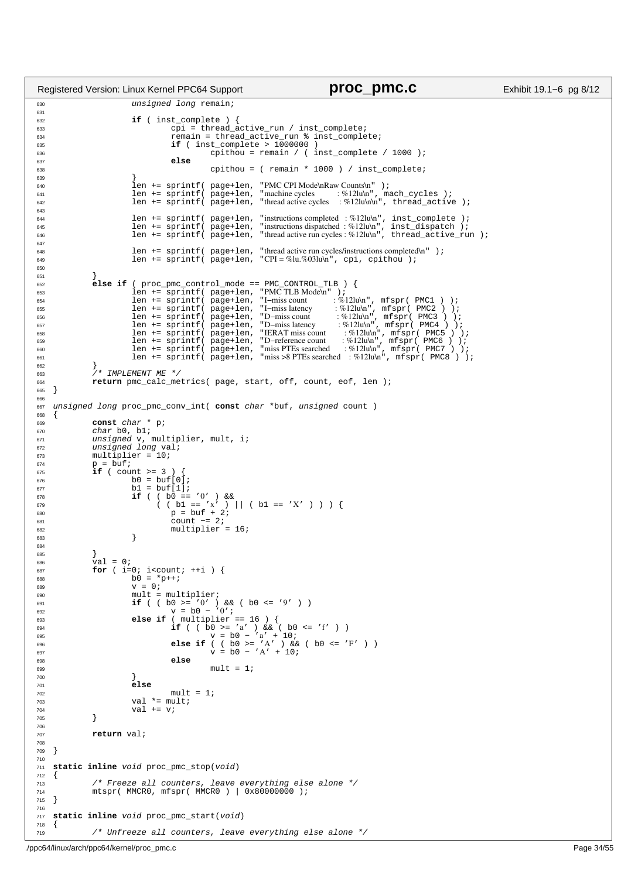```
630 unsigned long remain;
631
632 if ( inst_complete ) {
                                         cpi = thread_active_run / inst_complete;
634 remain = thread_active_run % inst_complete;
635 if ( inst_complete > 1000000 ) 
\begin{array}{c|c|c|c|c} \text{636} & \text{cption} & \text{cption} & \text{c } \\ \text{637} & \text{else} & \text{else} & \text{cquad} \end{array}637 else
\text{cpi} cpithou = ( remain * 1000 ) / inst_complete;
639 }
640 len += sprintf( page+len, "PMC CPI Mode\nRaw Counts\n" );
641 len += sprintf( page+len, "machine cycles : %12lu\n", mach_cycles );
642 len += sprintf( page+len, "thread active cycles : %12lu\n\n", thread_active );
643
len += sprintf( page+len, "instructions completed :%12lu\n", inst_complete );<br>len += sprintf( page+len, "instructions dispatched :%12lu\n", inst_dispatch );<br>len += sprintf( page+len, "thread active run cycles:%12lu\n", thr
647
648 len += sprintf( page+len, "thread active run cycles/instructions completed\n" );
649 len += sprintf( page+len, "CPI = %lu.%03lu\n", cpi, cpithou );
650
651 }
652 else if ( proc_pmc_control_mode == PMC_CONTROL_TLB ) {
653 len += sprintf( page+len, "PMC TLB Mode\n" );
len += sprintf(page+len, "I-miss count :%12lu\n", mfspr(PMC1 ) );<br>
len += sprintf(page+len, "I-miss latency :%12lu\n", mfspr(PMC2 ) );<br>
len += sprintf(page+len, "D-miss latency :%12lu\n", mfspr(PMC2 ) );<br>
len += sprintf(pa
662<br>663
^{662} ^{663} ^{}/ ^{\star} IMPLEMENT ME ^{*}/<br>^{664} return pmc calc me
664 return pmc_calc_metrics( page, start, off, count, eof, len );
    \}666
667 unsigned long proc_pmc_conv_int( const char *buf, unsigned count )
668 \t{669}const char * p;
670 char b0, b1;
671 unsigned v, multiplier, mult, i;
rac{672}{673} unsigned long val;<br>rac{1}{673} multiplier = 10;
\begin{array}{ll}\n\text{673} & \text{multiplier = } 10; \\
\text{674} & \text{p = but};\n\end{array}674 p = buf;
675 if ( count >= 3 ) {
676<br>
677<br>
677<br>
67 = 67<br>
67 = 61<br>
67 = 61<br>
69 = 61<br>
61 = 61<br>
61 = 61677<br>
677<br>
678<br>
i f (b) =678 if ( \begin{array}{c} 678 \\ 679 \end{array} ( \begin{array}{c} 678 \\ 1 \end{array} ( \begin{array}{c} 679 \\ 1 \end{array} ) = \begin{array}{c} 679 \\ 1 \end{array} ( \begin{array}{c} 271 \\ 1 \end{array} ) = \begin{array}{c} 271 \\ 1 \end{array} ( \begin{array}{c} 271 \\ 1 \end{array} ) = \begin{array}{c} 271 \\ 1 \end{array} ) = \begin{array}{c} c count -2;<br>c count -2;<br>c multiplier
\begin{array}{c} 682 \text{ multiplier} = 16; \\ 683 \text{ }\end{array}683 }
684
685 }
                 \text{val} = 0;
687 for ( i=0; i<count; +i ) {<br>
688 h = *p++;
688 b0 = *p++;<br>689 s = 0;\overline{v} = 0;690 mult = multiplier;
691 if ( ( b0 >= '0' ) && ( b0 <= '9' ) )<br>
v = b0 - '0';693 else if ( multiplier == 16 ) {
if ( ( b0 >= 'a' ) && ( b0 <= 'f' ) )<br>
v = b0 - 'a' + 10;<br>
else if ( ( b0 >= 'A' ) && ( b0 <= 'F' ) )<br>
else if ( b0 = 'A' ) && ( b0 <= 'F' ) )
698 else
                                                     mul<sup>t = 1</sup>
700 }
701 else
702 mult = 1;<br>703 \text{val} \neq \text{mult};val * = \text{mult};704 val += v;<br>705705 }
706
707 return val;
708
709 }
710
711 static inline void proc_pmc_stop(void)
712 {<br>713713 /* Freeze all counters, leave everything else alone */
714 mtspr( MMCR0, mfspr( MMCR0 ) | 0x80000000 );
715 }
716
717 static inline void proc_pmc_start(void)
718 {
719 /* Unfreeze all counters, leave everything else alone */
Registered Version: Linux Kernel PPC64 Support proc_pmc.c Exhibit 19.1−6 pg 8/12
```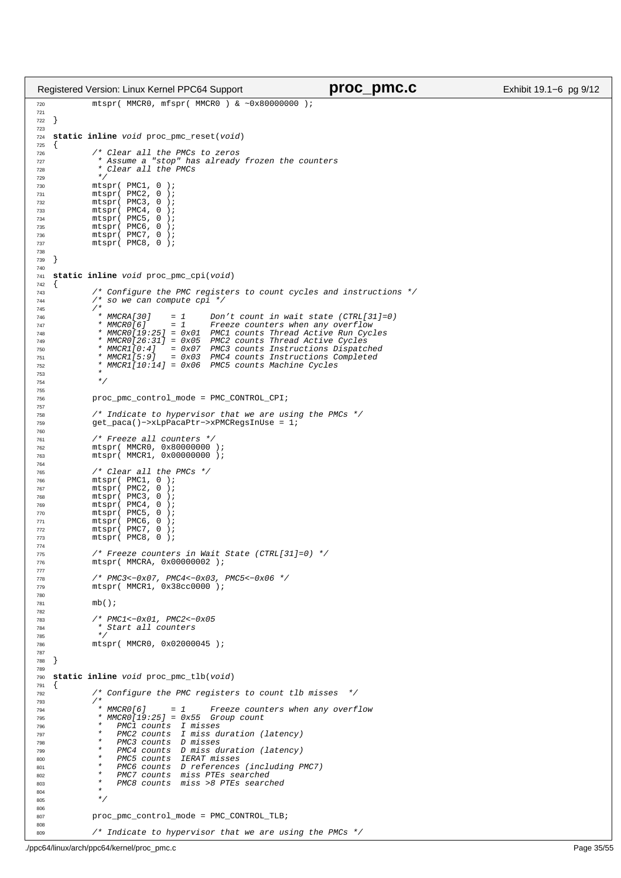```
720 mtspr( MMCR0, mfspr( MMCR0 ) & ~0x80000000 );
721
722 }
723
724 static inline void proc_pmc_reset(void)
   \{726 /* Clear all the PMCs to zeros 
727 * Assume a "stop" has already frozen the counters
728 * Clear all the PMCs
729 * /<br>730 ^{\text{m}}ts
              mtspr( PMC1, 0 );
731 mtspr(PMC2, 0);<br>732 mtspr(PMC3, 0);
732 mtspr(PMC3, 0);<br>733 mtspr(PMC4, 0);
733 mtspr(PMC4, 0);<br>734 mtspr(PMC5, 0);
              mtspr( PMC5, 0
735 mtspr( PMC6, 0 );
736 mtspr( PMC7, 0 );
737 mtspr( PMC8, 0 );
738
739 }
740
741 static inline void proc_pmc_cpi(void)
\begin{matrix} 742 & \{\\ 743 & \end{matrix}743 /* Configure the PMC registers to count cycles and instructions */<br>744 /* So we can compute cpi */
              7* so we can compute cpi */745 /*<br>746 /*<br>746 * MMCRA[30]
746 * MMCRA[30] = 1 Don't count in wait state (CTRL[31]=0)<br>
747 * MMCRO[6] = 1 Freeze counters when any overflow
                * MMCRO[6] = 1 Freeze counters when any overflow<br>* MMCRO[19:25] = 0x01 PMC1 counts Thread Active Run Cyc
748 * MMCR0[19:25] = 0x01 PMC1 counts Thread Active Run Cycles
749 * MMCR0[26:31] = 0x05 PMC2 counts Thread Active Cycles
749 * MMCRO[26:31] = 0x05 PMC2 counts Thread Active Cycles<br>750 * MMCR1[0:4] = 0x07 PMC3 counts Instructions Dispatched<br>751 * MMCR1[5:9] = 0x03 PMC4 counts Instructions Completed
                                             PMC4 counts Instructions Completed
752 * MMCR1[10:14] = 0x06 PMC5 counts Machine Cycles
753 *754 * /
755
756 proc_pmc_control_mode = PMC_CONTROL_CPI;
757
758 \frac{758}{759} /* Indicate to hypervisor that we are using the PMCs */<br>759 \frac{758}{759} aet pacal)->xLpPacaPtr->xPMCRegsInUse = 1;
              759 get_paca()−>xLpPacaPtr−>xPMCRegsInUse = 1;
760
761 * Freeze all counters */<br>762 mtspr( MMCRO, 0x80000000
762 mtspr( MMCR0, 0x800000000);<br>763 mtspr( MMCR1, 0x00000000);
              mtspr( MMCR1, 0x00000000 );
764
765 \frac{75}{766} /* Clear all the PMCs */<br>766 mtspr( PMC1, 0 );
766 mtspr (PMC1, 0<br>767 mtspr (PMC2, 0
767 mtspr(PMC2, 0);<br>768 mtspr(PMC3, 0);
768 mtspr(PMC3, 0<br>769 mtspr(PMC4 0
769 mtspr(PMC4, 0);<br>770 mtspr(PMC5, 0);
              mtspr( PMC5, 0);<br>mtspr( PMC6, 0);
771 mtspr (PMC6, 0<br>772 mtspr (PMC7, 0
772 mtspr(PMC7, 0);<br>773 mtspr(PMC8, 0);
              mtspr( PMC8, 0 );
774
775 /* Freeze counters in Wait State (CTRL[31]=0) */<br>776 mtspr(MMCRA, 0x00000002);
              mtspr( MMCRA, 0x00000002 );
777
778 /* PMC3<−0x07, PMC4<−0x03, PMC5<−0x06 */
              mtspr( MMCR1, 0x38cc0000 );
780
781 mb();
782
              783 /* PMC1<−0x01, PMC2<−0x05
784 * Start all counters<br>785 */
785 * /786 mtspr( MMCR0, 0x02000045 );
787
788 }
789
790 static inline void proc_pmc_tlb(void)
\begin{matrix} 791 \\ 792 \end{matrix}792 /* Configure the PMC registers to count tlb misses */<br>7937 *<br>* MMCRO[6]
794 * MMCR0[6] = 1 Freeze counters when any overflow
795 * MMCR0[19:25] = 0x55 Group count
796 * PMC1 counts I misses
797 * PMC2 counts I miss duration (latency)<br>* PMC3 counts D misses
                    PMC3 counts D misses
799 * PMC4 counts D miss duration (latency)
                    PMC5 counts IERAT misses
801 * PMC6 counts D references (including PMC7)<br>802 * PMC7 counts miss PTEs searched
802 * PMC7 counts miss PTEs searched<br>803 * PMC8 counts miss >8 PTEs search
803 * PMC8 counts miss >8 PTEs searched
804 \star805 * /806
807 proc_pmc_control_mode = PMC_CONTROL_TLB;
808
809 /* Indicate to hypervisor that we are using the PMCs */
Registered Version: Linux Kernel PPC64 Support proc_pmc.c Exhibit 19.1−6 pg 9/12
```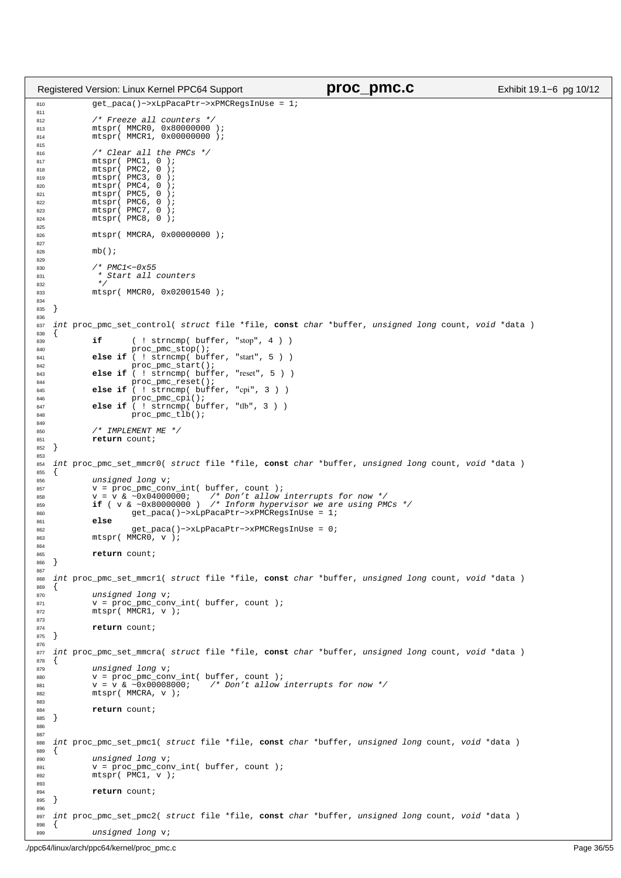```
810 get_paca()−>xLpPacaPtr−>xPMCRegsInUse = 1;
811
812 /* Freeze all counters *<br>813 mtspr( MMCRO, 0x80000000
            mtspr( MMCR0, 0x80000000 );
814 mtspr( MMCR1, 0x00000000 );
815
816 /* Clear all the PMCs */
817 mtspr( PMC1, 0 );<br>818 mtspr( PMC2, 0 );
818 mtspr(PMC2, 0);<br>819 mtspr(PMC3, 0);
819 mtspr(PMC3, 0);<br>820 mtspr(PMC4, 0);
            mtspr( PMC4, 0
821 mtspr(PMC5, 0);<br>822 mtspr(PMC6, 0);
822 mtspr(PMC6, 0<br>823 mtspr(PMC7, 0
\text{mtspr}(\text{PMC7}, 0)<br>\text{mtspr}(\text{PMC7}, 0)mtspr( PMC8, 0 );
825
826 mtspr( MMCRA, 0x00000000 );
827
828 mb();
829
830 /* PMC1<-0x55
831 * Start all counters
832 */
833 mtspr( MMCR0, 0x02001540 );
834
835 }
836
837 int proc_pmc_set_control( struct file *file, const char *buffer, unsigned long count, void *data )
838 \{<br>830839 if ( ! strncmp( buffer, "stop", 4 ) )
840 proc_pmc_stop();
841 else if ( ! strncmp( buffer, "start", 5 ) )
842 proc_pmc_start();
843 else if ( ! strncmp( buffer, "reset", 5 ) )
844 proc_pmc_reset();
845 else if ( ! strncmp( buffer, "cpi", 3 ) )
846 proc_pmc_cpi();
847 else if ( ! strncmp( buffer, "tlb", 3 ) )
848 proc_pmc_tlb();
849
850 /* IMPLEMENT ME */
851 return count;
852 }
853
854 int proc_pmc_set_mmcr0( struct file *file, const char *buffer, unsigned long count, void *data )
855 {
856 unsigned long v;<br>857 v = proc pmc con
857 v = proc_pmc_conv_int( buffer, count );<br>858 v = V \& \sim 0.201900000; /* Don't allow
858 v = v & ~0x04000000; /* Don't allow interrupts for now */<br>859 if ( v & ~0x80000000 ) /* Inform hypervisor we are using PMCs */<br>860 get_paca()−>xLpPacaPtr->xPMCRegsInUse = 1;
861 else
                      862 get_paca()−>xLpPacaPtr−>xPMCRegsInUse = 0;
863 mtspr( MMCR0, v );
864
865 return count;
866 }
867
868 int proc_pmc_set_mmcr1( struct file *file, const char *buffer, unsigned long count, void *data )
   \{870 unsigned long v;
871 v = proc_pmc_conv_int( buffer, count );<br>872 mtspr( MMCR1, v );
873
874 return count;
875 }
876
877 int proc_pmc_set_mmcra( struct file *file, const char *buffer, unsigned long count, void *data )
878 \{ 879unsigned long v;
880 v = proc_pmc_conv_int( buffer, count );
881 v = v & ~0x00008000; /* Don't allow interrupts for now */
882 mtspr( MMCRA, v );
883
884 return count;
885 }
886
887
888 int proc_pmc_set_pmc1( struct file *file, const char *buffer, unsigned long count, void *data )
889 {
            unsigned long v;
V = \text{proc\_pm\_conv\_int}(\text{buffer, count});mtspr( PMC1, v );
893
894 return count;
895 }
896
897 int proc_pmc_set_pmc2( struct file *file, const char *buffer, unsigned long count, void *data )
898 {
899 unsigned long v;
Registered Version: Linux Kernel PPC64 Support proc_pmc.c Exhibit 19.1−6 pg 10/12
```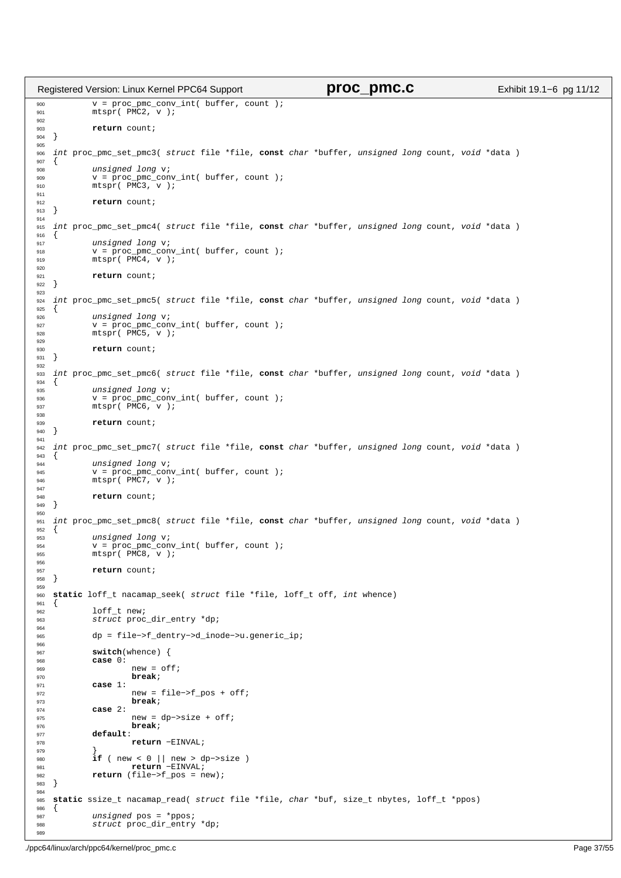```
900 v = proc_pmc_conv_int( buffer, count );
901 mtspr( PMC2, v );
902
903 return count;
904 }
905
906 int proc_pmc_set_pmc3( struct file *file, const char *buffer, unsigned long count, void *data )
907 \{<br>908
\begin{array}{ccc}\n\text{908} & \text{unsigned long v;} \\
\text{908} & \text{v = proc one;} \\
\end{array}909 V = \overline{proc\_pm} \overline{conv\_int} ( buffer, count );<br>910 m \times spr(PMC3. V);
             mtspr( PMC3, v );
911<br>912
912 return count;<br>913 }
   \}914
915 int proc_pmc_set_pmc4( struct file *file, const char *buffer, unsigned long count, void *data )
916 {
917 unsigned long v;<br>918 v = proc pmc con
918 v = \text{proc\_pmc} = \text{conv\_int}(\text{buffer}, \text{count});<br>919 m \text{tspr}(\text{PMC4}, v);mtspr( PMC4, v );
920
921 return count;<br>\begin{bmatrix} 922 \end{bmatrix}\{923
924 int proc_pmc_set_pmc5( struct file *file, const char *buffer, unsigned long count, void *data )
925 \{926 unsigned long v;
927 v = proc_pmc_conv_int( buffer, count );<br>
928 mtspr( PMC5, v );
029
930 return count;
931 }
932
933 int proc_pmc_set_pmc6( struct file *file, const char *buffer, unsigned long count, void *data )
934 \{<br>935
             unsigned long v;
936 v = proc_pmc_conv_int( buffer, count );<br>
937 mtspr( PMC6, v );
938
939 return count;
940 }
941
942 int proc_pmc_set_pmc7( struct file *file, const char *buffer, unsigned long count, void *data )
943 \{<br>944
             unsigned long v;
945 v = proc_pmc_conv_int( buffer, count );
946 mtspr( PMC7, v );
947<br>948
             return count;
949 }
950
951 int proc_pmc_set_pmc8( struct file *file, const char *buffer, unsigned long count, void *data )
952 \{<br>953
953 \frac{0.953}{V} unsigned long v;
             v = \text{proc\_pmc\_conv\_int} buffer, count );
955 mtspr(\overline{PMC8}, \overline{v});
956
957 return count;
958 }
959
960 static loff_t nacamap_seek( struct file *file, loff_t off, int whence)
961 \{962\}962 loff_t new;<br>963 struct proc
             struct proc_dir_entry *dp;
964
965 dp = file−>f_dentry−>d_inode−>u.generic_ip;
966
967 switch(whence) {<br>968 case 0:
968 case 0:
                      new = off;970 break;<br>971 case 1:
971 case 1:<br>972
972 new = file->f_pos + off;<br>973 break;
                      973 break;
974 case 2:
975 new = dp->size + off;
976 break;<br>977 default:
977 default:
                      978 return −EINVAL;
979 }
980 if ( new < 0 || new > dp−>size )
981 return −EINVAL;
982 return (file−>f_pos = new);
983 }
984
985 static ssize_t nacamap_read( struct file *file, char *buf, size_t nbytes, loff_t *ppos)
986 {
987 unsigned pos = *ppos;<br>988 struct proc dir entry
             struct proc_dir_entry *dp;
989
Registered Version: Linux Kernel PPC64 Support proc_pmc.c Exhibit 19.1−6 pg 11/12
```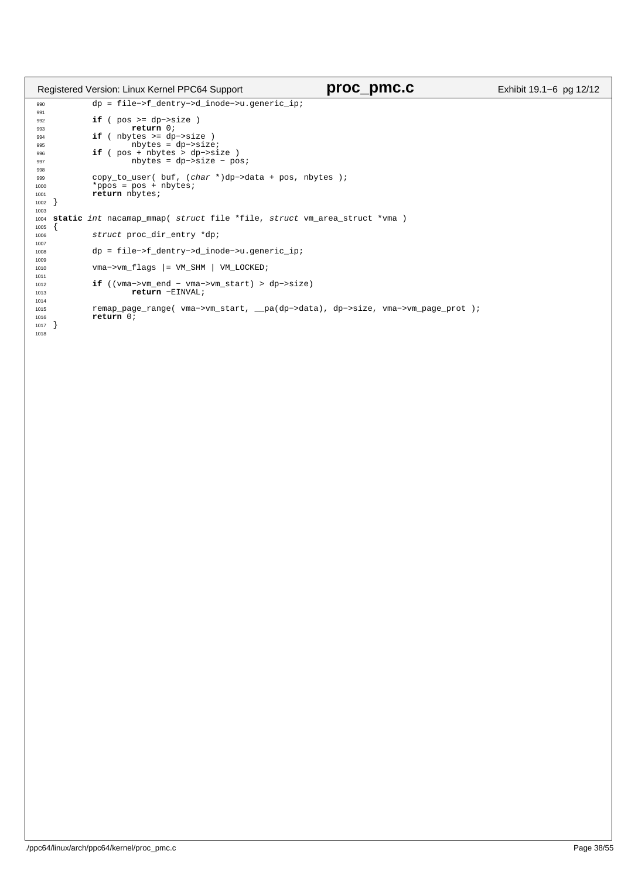|                      | Registered Version: Linux Kernel PPC64 Support                                                        | proc_pmc.c | Exhibit 19.1-6 pg 12/12 |
|----------------------|-------------------------------------------------------------------------------------------------------|------------|-------------------------|
| 990<br>991           | $dp = file \rightarrow f_dentry \rightarrow d_inode \rightarrow u.geteric_i$                          |            |                         |
| 992<br>993           | if ( $pos \geq d p \geq size$ )<br>return 0;                                                          |            |                         |
| 994                  | if ( $nbytes$ >= $dp\rightarrow size$ )                                                               |            |                         |
| 995<br>996           | $nbytes = dp->size;$<br>if ( $pos + nbytes > dp->size$                                                |            |                         |
| 997<br>998           | $nbytes = dp->size - posi$                                                                            |            |                         |
| 999<br>1000          | copy_to_user( buf, $(char *)dp->data + pos, nbytes)$ ;<br>*ppos = $pos + nbytes$                      |            |                         |
| 1001<br>1002         | return nbytes;                                                                                        |            |                         |
| 1003<br>1004<br>1005 | static int nacamap_mmap( struct file *file, struct vm_area_struct *vma )                              |            |                         |
| 1006<br>1007         | struct proc_dir_entry *dp;                                                                            |            |                         |
| 1008<br>1009         | $dp = file \rightarrow f \text{dentry} \rightarrow d \text{inode} \rightarrow u \text{,}$ qeneric ip; |            |                         |
| 1010<br>1011         | $vma->vm_f \, \, \text{Lags}$ = VM_SHM   VM_LOCKED;                                                   |            |                         |
| 1012<br>1013<br>1014 | <b>if</b> (( $v$ ma-> $v$ m end - $v$ ma-> $v$ m start) > dp-> $s$ ize)<br>return -EINVAL;            |            |                         |
| 1015<br>1016<br>1017 | remap_page_range( vma->vm_start, _pa(dp->data), dp->size, vma->vm_page_prot );<br>return 0;           |            |                         |
| 1018                 |                                                                                                       |            |                         |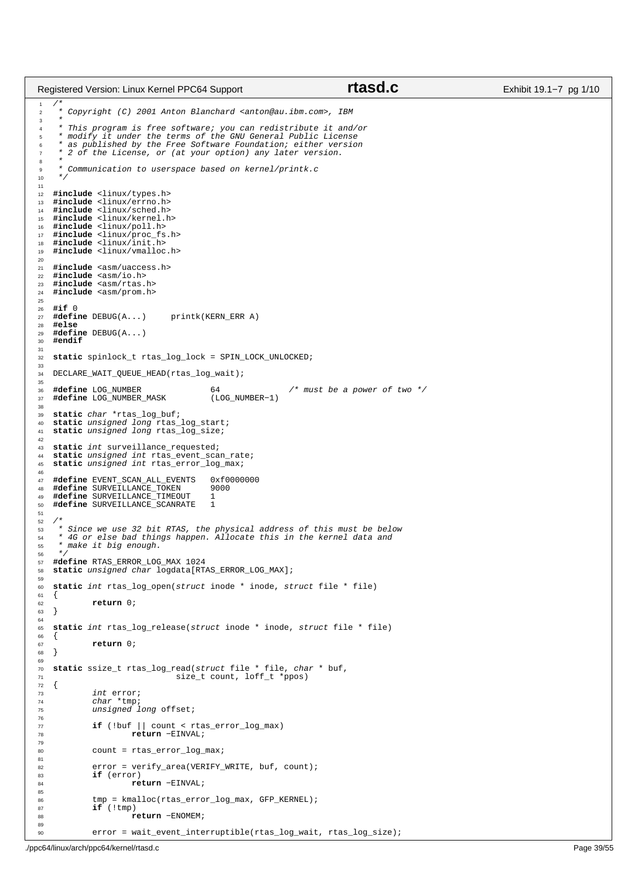```
\frac{1}{1}2 * Copyright (C) 2001 Anton Blanchard <anton@au.ibm.com>, IBM
\frac{3}{4}4 * This program is free software; you can redistribute it and/or
 5 * modify it under the terms of the GNU General Public License
6 * as published by the Free Software Foundation; either version
<sup>7</sup> * 2 of the License, or (at your option) any later version.
 8 *
     9 * Communication to userspace based on kernel/printk.c
1011
12 #include <linux/types.h>
13 #include <linux/errno.h><br>
#include <linux/sched.h>
14 #include <linux/sched.h>
   15 #include <linux/kernel.h>
16 #include <linux/poll.h>
17 #include <linux/proc_fs.h><br>
#include <linux/init.h>
18 #include <linux/init.h>
   19 #include <linux/vmalloc.h>
20
21 #include <asm/uaccess.h>
22 #include <asm/io.h>
23 #include <asm/rtas.h>
24 #include <asm/prom.h>
25
26 #if 0
    27 #define DEBUG(A...) printk(KERN_ERR A)
28 #else
29 #define DEBUG(A...)<br>30 #endif
    30 #endif
31
32 static spinlock_t rtas_log_lock = SPIN_LOCK_UNLOCKED;
33
34 DECLARE_WAIT_QUEUE_HEAD(rtas_log_wait);
35
36 #define LOG_NUMBER 64 /* must be a power of two */
37 #define LOG_NUMBER_MASK
38
39 static char *rtas_log_buf;
40 static unsigned long rtas_log_start;
41 static unsigned long rtas_log_size;
42
43 static int surveillance_requested;<br>44 static unsigned int rtas_event_sca
44 static unsigned int rtas_event_scan_rate;<br>45 static unsigned int rtas error log max;
   static unsigned int rtas_error_log_max;
\frac{46}{47}47 #define EVENT_SCAN_ALL_EVENTS 0xf0000000
48 #define SURVETLLANCE_TOKEN 9<br>49 #define SURVEILLANCE TIMEOUT 1
49 #define SURVEILLANCE_TIMEOUT 1
   #define SURVEILLANCE_SCANRATE
51
52 \frac{4}{53} *
     * Since we use 32 bit RTAS, the physical address of this must be below
54 * 4G or else bad things happen. Allocate this in the kernel data and<br>55 * make it big enough
     * make it big enough.
56<br>57
   57 #define RTAS_ERROR_LOG_MAX 1024
58 static unsigned char logdata[RTAS_ERROR_LOG_MAX];
59
60 static int rtas_log_open(struct inode * inode, struct file * file)
61 {
62 return 0;
   \}64
65 static int rtas_log_release(struct inode * inode, struct file * file)
66 {
67 return 0;<br>68}
   \rightarrow69
70 static ssize_t rtas_log_read(struct file * file, char * buf,
\frac{1}{71} size_t count, loff_t *ppos)
\begin{matrix} 72 & \left\{ 73 & \right. \end{matrix}73 int error;<br>74 char *tmp;
             char *tmp;
75 unsigned long offset;
76
77 if (!buf || count < rtas_error_log_max)<br>78 return -EINVAL;
                       78 return −EINVAL;
79
80 count = rtas error log max;
81
82 error = verify_area(VERIFY_WRITE, buf, count);<br>83 if (error)
83 if (error)
                      84 return −EINVAL;
85
86 tmp = kmalloc(rtas_error_log_max, GFP_KERNEL);<br>87 if (!tmp)
\mathbf{if} \text{ (1tmp)}88 return −ENOMEM;
89
90 error = wait_event_interruptible(rtas_log_wait, rtas_log_size);
Registered Version: Linux Kernel PPC64 Support rtasd.c Exhibit 19.1−7 pg 1/10
```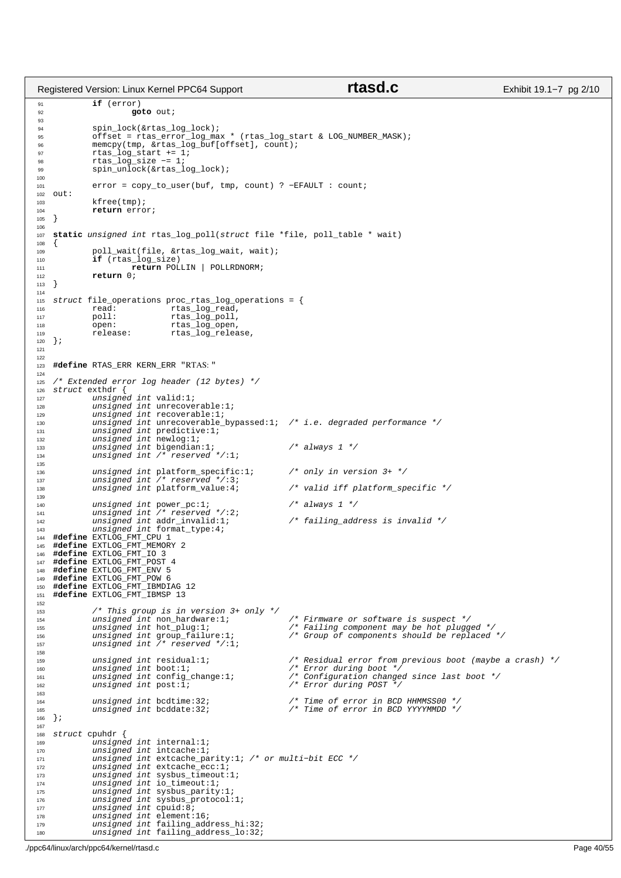Registered Version: Linux Kernel PPC64 Support **rtasd.c** Exhibit 19.1−7 pg 2/10

```
91 if (error)
                          92 goto out;
93
94 spin_lock(&rtas_log_lock);
 95 offset = rtas_error_log_max * (rtas_log_start & LOG_NUMBER_MASK);
96 memcpy(tmp, &rtas_log_buf[offset], count);
 97 rtas_log_start += 1;
98 rtas_log_size −= 1;
99 spin_unlock(&rtas_log_lock);
100
101 error = copy_to_user(buf, tmp, count) ? −EFAULT : count;
102 out:
103 kfree(tmp);<br>104 return erro
               return error;
105 }
106
107 static unsigned int rtas_log_poll(struct file *file, poll_table * wait)
108 \{<br>109109 poll_wait(file, &rtas_log_wait, wait);
110 if (rtas_log_size)<br>111 return POL
                         111 return POLLIN | POLLRDNORM;
112 return 0;<br>113 }
   \{1, 3, \ldots\}114
115 struct file_operations proc_rtas_log_operations = {<br>
116 read: rtas_log_read,<br>
117 poll: rtas log poll,
116 read: rtas_log_read,
117 poll: rtas_log_poll,
118 open: rtas_log_open,<br>119 open: rtas_log_open,<br>119 release: rtas_log_relea
119 release: rtas_log_release,
120 } ;
121
122
123 #define RTAS_ERR KERN_ERR "RTAS: "
124
125 /* Extended error log header (12 bytes) */<br>126 struct exthdr {
   struct exthdr {
127 unsigned int valid:1;<br>128 unsigned int unrecove
128 unsigned int unrecoverable:1;<br>129 unsigned int recoverable:1;
129 unsigned int recoverable:1;<br>130 unsigned int unrecoverable
               unsigned int unrecoverable_bypassed:1; /* i.e. degraded performance */
131 unsigned int predictive:1;<br>132 unsigned int newlog:1;
132 unsigned int newlog:1;<br>133 unsigned int hewlog:1;<br>133 unsigned int bigendian
133 unsigned int bigendian:1; \frac{1}{1} /* always 1 */<br>134 unsigned int /* reserved */:1;
                                    reserved */:1;
135
136 unsigned int platform_specific:1; /* only in version 3+ */
137 unsigned int /* reserved */:3;
138 unsigned int platform_value:4; /* valid iff platform_specific */
139
140 unsigned int power_pc:1; /* always 1 */
141 unsigned int /* reserved */:2;
142 unsigned int addr_invalid:1; <br>142 unsigned int addr_invalid:1; /* failing_address is invalid */<br>143 unsigned int format type:4;
               unsigned int format_type:4;
144 #define EXTLOG_FMT_CPU 1
145 #define EXTLOG_FMT_MEMORY 2
146 #define EXTLOG_FMT_IO 3
147 #define EXTLOG_FMT_POST 4
148 #define EXTLOG_FMT_ENV 5<br>149 #define EXTLOG FMT POW 6
149 #define EXTLOG_FMT_POW 6
150 #define EXTLOG_FMT_IBMDIAG 12
151 #define EXTLOG_FMT_IBMSP 13
152
153 /* This group is in version 3+ only */
154 unsigned int non_hardware:1; /* Firmware or software is suspect */
155 unsigned int hot_plug:1; /* Failing component may be hot plugged */
156 unsigned int group_failure:1; /* Group of components should be replaced */
155 unsigned int hot_plug:1;<br>156 unsigned int group_failure:1;<br>157 unsigned int /* reserved */:1;
158
159 unsigned int residual:1; /* Residual error from previous boot (maybe a crash) */
               unsigned int residual:1;<br>unsigned int boot:1;<br>unsigned int config_change:1;
161 unsigned int config_change:1; /* Configuration changed since last boot */
162 unsigned int post:1; /* Error during POST */
163
164 unsigned int bcdtime:32; /* Time of error in BCD HHMMSS00 */
165 unsigned int bcddate:32; \frac{1}{165} /* Time of error in BCD YYYYMMDD */
166 };
167
168 struct cpuhdr \{169unsigned int internal:1;170 unsigned int intcache:1;<br>171 unsigned int extrache pa
               171 unsigned int extcache_parity:1; /* or multi−bit ECC */
172 unsigned int extcache_ecc:1;<br>173 unsigned int sysbus timeout:
173 unsigned int sysbus_timeout:1;<br>174 unsigned int io timeout:1;
174 unsigned int io_timeout:1;<br>175 unsigned int sysbus parity
               unsigned int sysbus_parity:1;
176 unsigned int sysbus_protocol:1;<br>177 unsigned int could:8;
177 unsigned int cpuid:8;<br>178 unsigned int element:
178 unsigned int element:16;<br>179 unsigned int failing add
               unsigned int failing_address_hi:32;
180 unsigned int failing_address_lo:32;
```
./ppc64/linux/arch/ppc64/kernel/rtasd.c Page 40/55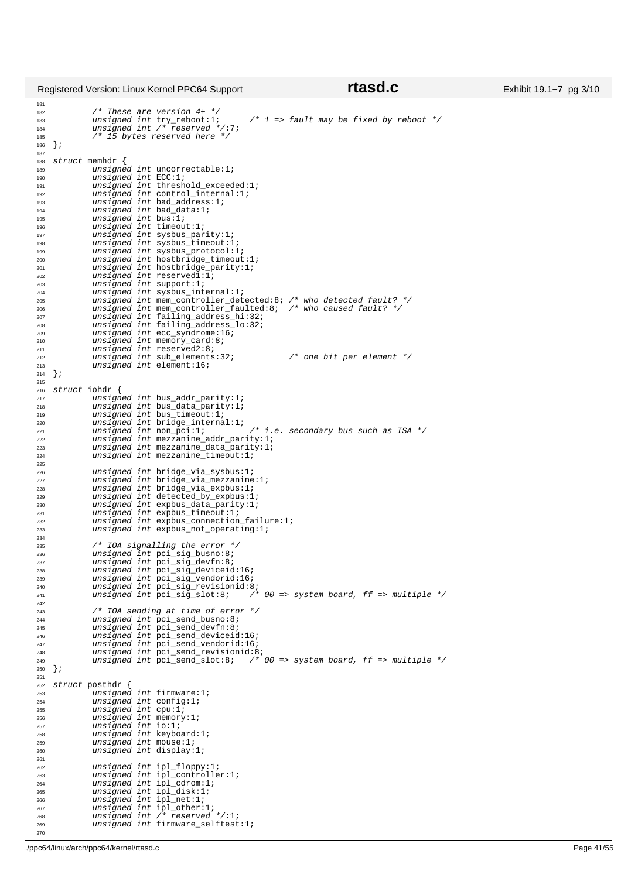|                   | Registered Version: Linux Kernel PPC64 Support                                     | rtasd.c                                                                         | Exhibit 19.1-7 pg 3/10 |
|-------------------|------------------------------------------------------------------------------------|---------------------------------------------------------------------------------|------------------------|
| 181<br>182<br>183 | $\frac{1}{2}$ These are version 4+ $\frac{\pi}{2}$<br>unsigned int $try_reboot:1;$ | $\frac{\pi}{2}$ => fault may be fixed by reboot */                              |                        |
| 184<br>185<br>186 | unsigned int $/*$ reserved $*/:7;$<br>/* 15 bytes reserved here */<br>$\}$ ;       |                                                                                 |                        |
| 187<br>188        | struct memhdr {                                                                    |                                                                                 |                        |
| 189               | unsigned int uncorrectable:1;                                                      |                                                                                 |                        |
| 190               | unsigned int $ECC:1$                                                               |                                                                                 |                        |
| 191<br>192        | unsigned int threshold_exceeded:1;<br>$unsigned int control_interestnal:1;$        |                                                                                 |                        |
| 193               | $unsigned int bad\_address:1;$                                                     |                                                                                 |                        |
| 194               | unsigned int bad_data:1;                                                           |                                                                                 |                        |
| 195<br>196        | unsigned int bus:1;<br>unsigned int timeout:1;                                     |                                                                                 |                        |
| 197               | unsigned int sysbus_parity:1;                                                      |                                                                                 |                        |
| 198               | $unsigned int$ sysbus_timeout:1;                                                   |                                                                                 |                        |
| 199<br>200        | unsigned int sysbus_protocol:1;<br>unsigned int hostbridge_timeout:1;              |                                                                                 |                        |
| 201               | unsigned int hostbridge_parity:1;                                                  |                                                                                 |                        |
| 202<br>203        | unsigned int reservedl:1;<br>unsigned int support:1;                               |                                                                                 |                        |
| 204               | $unsigned int$ sysbus_internal:1;                                                  |                                                                                 |                        |
| 205               |                                                                                    | unsigned int mem_controller_detected:8; /* who detected fault? */               |                        |
| 206<br>207        | unsigned int failing_address_hi:32;                                                | unsigned int mem_controller_faulted:8; /* who caused fault? */                  |                        |
| 208               | unsigned int failing_address_lo:32;                                                |                                                                                 |                        |
| 209               | unsigned int ecc_syndrome:16;                                                      |                                                                                 |                        |
| 210<br>211        | $unsigned int memory\_card:8;$<br>unsigned int reserved2:8;                        |                                                                                 |                        |
| 212               | unsigned int sub_elements:32;                                                      | $/*$ one bit per element */                                                     |                        |
| 213<br>214        | unsigned int element:16;<br>$\}$ ;                                                 |                                                                                 |                        |
| 215               |                                                                                    |                                                                                 |                        |
| 216               | struct iohdr {                                                                     |                                                                                 |                        |
| 217<br>218        | unsigned int bus_addr_parity:1;<br>unsigned int bus_data_parity:1;                 |                                                                                 |                        |
| 219               | $unsigned int bus_timeout:1;$                                                      |                                                                                 |                        |
| 220<br>221        | $unsigned int bridge_interestnal:1;$<br>unsigned int non_pci:1;                    | $\sqrt{\frac{1}{\pi}}$ i.e. secondary bus such as ISA $\sqrt[k]{\frac{1}{\pi}}$ |                        |
| 222               | unsigned int mezzanine_addr_parity:1;                                              |                                                                                 |                        |
| 223               | unsigned int mezzanine_data_parity:1;                                              |                                                                                 |                        |
| 224<br>225        | unsigned int mezzanine_timeout:1;                                                  |                                                                                 |                        |
| 226               | $unsigned int bridge\_via\_sysbus:1;$                                              |                                                                                 |                        |
| 227<br>228        | $unsigned int bridge\_via\_mezzanine:1;$<br>$unsigned int bridge\_via\_expbus:1;$  |                                                                                 |                        |
| 229               | unsigned int detected by expbus: $1$ ;                                             |                                                                                 |                        |
| 230               | unsigned int expbus_data_parity:1;                                                 |                                                                                 |                        |
| 231<br>232        | $unsigned int$ expbus_timeout:1;<br>unsigned int expbus_connection_failure:1;      |                                                                                 |                        |
| 233               | $unsigned int$ expbus_not_operating:1;                                             |                                                                                 |                        |
| 234<br>235        | /* IOA signalling the error */                                                     |                                                                                 |                        |
| 236               | unsigned int pci_sig_busno:8;                                                      |                                                                                 |                        |
| 237               | unsigned int pci_sig_devfn:8;                                                      |                                                                                 |                        |
| 238<br>239        | unsigned int pci_sig_deviceid:16;<br>unsigned int pci_sig_vendorid:16;             |                                                                                 |                        |
| 240               | unsigned int pci_sig_revisionid:8;                                                 |                                                                                 |                        |
| 241<br>242        | unsigned int $pci$ sig slot:8;                                                     | $/* 00 => system board, ff => multiple */$                                      |                        |
| 243               | $\frac{*}{\sqrt{2}}$ IOA sending at time of error $\frac{*}{\sqrt{2}}$             |                                                                                 |                        |
| 244               | $unsigned int pci\_send_busno:8;$                                                  |                                                                                 |                        |
| 245<br>246        | $unsigned int pci\_send\_devfn:8;$<br>unsigned int pci_send_deviceid:16;           |                                                                                 |                        |
| 247               | unsigned int pci_send_vendorid:16;                                                 |                                                                                 |                        |
| 248<br>249        | unsigned int pci_send_revisionid:8;                                                | unsigned int pci_send_slot:8; /* 00 => system board, ff => multiple */          |                        |
| 250               | $\{i\}$                                                                            |                                                                                 |                        |
| 251               | struct posthdr {                                                                   |                                                                                 |                        |
| 252<br>253        | $unsigned int$ firmware:1;                                                         |                                                                                 |                        |
| 254               | unsigned int config:1;                                                             |                                                                                 |                        |
| 255<br>256        | unsigned int $cpu:1$<br>unsigned int memory:1;                                     |                                                                                 |                        |
| 257               | unsigned int $\text{i} \circ \text{i} \cdot \text{ii}$                             |                                                                                 |                        |
| 258               | unsigned int keyboard:1;                                                           |                                                                                 |                        |
| 259<br>260        | unsigned int mouse:1;<br>unsigned int display:1;                                   |                                                                                 |                        |
| 261               |                                                                                    |                                                                                 |                        |
| 262<br>263        | $unsigned int$ ipl_floppy:1;<br>$unsigned int$ ipl_controller:1;                   |                                                                                 |                        |
| 264               | $unsigned int$ ipl_cdrom:1;                                                        |                                                                                 |                        |
| 265               | $unsigned int$ ipl_disk:1;                                                         |                                                                                 |                        |
| 266<br>267        | $unsigned int$ ipl_net:1;<br>$unsigned int$ ipl_other:1;                           |                                                                                 |                        |
| 268               | unsigned int $/*$ reserved $*/:1;$                                                 |                                                                                 |                        |
| 269<br>270        | unsigned int firmware_selftest:1;                                                  |                                                                                 |                        |
|                   |                                                                                    |                                                                                 |                        |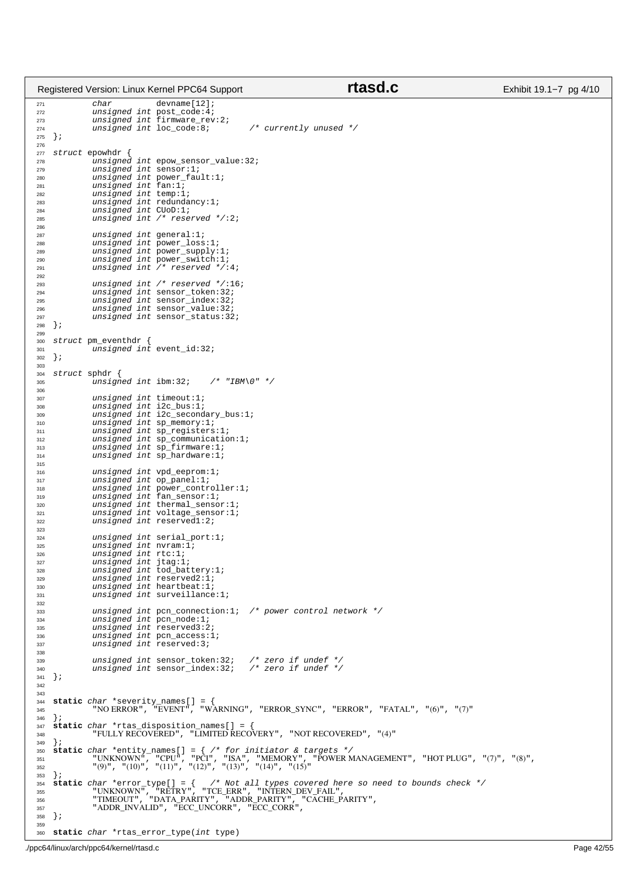|            |               |                                        | Registered Version: Linux Kernel PPC64 Support                      | rtasd.c                                                                                       | Exhibit 19.1–7 pg 4/10 |
|------------|---------------|----------------------------------------|---------------------------------------------------------------------|-----------------------------------------------------------------------------------------------|------------------------|
| 271        |               | char                                   | $d$ evname $[12]$ ;                                                 |                                                                                               |                        |
| 272        |               |                                        | unsigned int post_code:4;                                           |                                                                                               |                        |
| 273        |               |                                        | $unsigned int$ firmware_rev:2;                                      | $\frac{1}{2}$ currently unused */                                                             |                        |
| 274<br>275 | $\}$ ;        |                                        | unsigned int loc_code:8;                                            |                                                                                               |                        |
| 276        |               |                                        |                                                                     |                                                                                               |                        |
| 277        |               | struct epowhdr {                       |                                                                     |                                                                                               |                        |
| 278<br>279 |               |                                        | unsigned int epow_sensor_value:32;<br>unsigned int sensor:1;        |                                                                                               |                        |
| 280        |               |                                        | $unsigned int power\_fault:1;$                                      |                                                                                               |                        |
| 281        |               | unsigned int fan:1;                    |                                                                     |                                                                                               |                        |
| 282        |               | unsigned int temp:1;                   |                                                                     |                                                                                               |                        |
| 283<br>284 |               | unsigned int CUoD:1;                   | unsigned int redundancy: $1$ ;                                      |                                                                                               |                        |
| 285        |               |                                        | unsigned int $/*$ reserved $*/:2;$                                  |                                                                                               |                        |
| 286        |               |                                        |                                                                     |                                                                                               |                        |
| 287<br>288 |               |                                        | unsigned int general:1;<br>$unsigned int power_loss:1;$             |                                                                                               |                        |
| 289        |               |                                        | $unsigned int power\_supply:1;$                                     |                                                                                               |                        |
| 290        |               |                                        | unsigned int power_switch:1;                                        |                                                                                               |                        |
| 291<br>292 |               |                                        | unsigned int $/*$ reserved $*/:4;$                                  |                                                                                               |                        |
| 293        |               |                                        | unsigned int $/*$ reserved $*/:16;$                                 |                                                                                               |                        |
| 294        |               |                                        | unsigned int sensor_token:32;                                       |                                                                                               |                        |
| 295<br>296 |               |                                        | $unsigned int sensor_index:32;$<br>unsigned int sensor_value:32;    |                                                                                               |                        |
| 297        |               |                                        | unsigned int sensor_status:32;                                      |                                                                                               |                        |
| 298        | $\}$ ;        |                                        |                                                                     |                                                                                               |                        |
| 299<br>300 |               | struct pm_eventhdr {                   |                                                                     |                                                                                               |                        |
| 301        |               |                                        | unsigned int event_id:32;                                           |                                                                                               |                        |
| 302        | $\}$ ;        |                                        |                                                                     |                                                                                               |                        |
| 303        |               |                                        |                                                                     |                                                                                               |                        |
| 304<br>305 |               | struct sphdr {<br>unsigned int ibm:32; | $/*$ "IBM\0" */                                                     |                                                                                               |                        |
| 306        |               |                                        |                                                                     |                                                                                               |                        |
| 307        |               |                                        | unsigned int timeout:1;                                             |                                                                                               |                        |
| 308<br>309 |               |                                        | $unsigned int$ $ic_bus:1;$<br>$unsigned int i2c\_secondary_bus:1;$  |                                                                                               |                        |
| 310        |               |                                        | $unsigned int sp_memory:1;$                                         |                                                                                               |                        |
| 311        |               |                                        | unsigned int sp_registers:1;                                        |                                                                                               |                        |
| 312<br>313 |               |                                        | unsigned int sp_communication:1;<br>$unsigned int$ $sp_firmware:1;$ |                                                                                               |                        |
| 314        |               |                                        | $unsigned int sp_hardware:1;$                                       |                                                                                               |                        |
| 315        |               |                                        |                                                                     |                                                                                               |                        |
| 316<br>317 |               |                                        | unsigned int vpd_eeprom:1;<br>$unsigned int op\_panel:1;$           |                                                                                               |                        |
| 318        |               |                                        | unsigned int power_controller:1;                                    |                                                                                               |                        |
| 319        |               |                                        | unsigned int fan_sensor:1;                                          |                                                                                               |                        |
| 320<br>321 |               |                                        | unsigned int thermal_sensor:1;<br>unsigned int voltage_sensor:1;    |                                                                                               |                        |
| 322        |               |                                        | unsigned int reservedl:2;                                           |                                                                                               |                        |
| 323        |               |                                        |                                                                     |                                                                                               |                        |
| 324<br>325 |               |                                        | unsigned int serial port:1;<br>unsigned int nyram:1;                |                                                                                               |                        |
| 326        |               | unsigned int $rtc:1;$                  |                                                                     |                                                                                               |                        |
| 327        |               | unsigned int jtag:1;                   |                                                                     |                                                                                               |                        |
| 328<br>329 |               |                                        | unsigned int tod_battery:1;<br>unsigned int reserved $2:1:$         |                                                                                               |                        |
| 330        |               |                                        | unsigned int heartbeat:1;                                           |                                                                                               |                        |
| 331        |               |                                        | unsigned int surveillance: $1$ ;                                    |                                                                                               |                        |
| 332<br>333 |               |                                        |                                                                     | unsigned int pcn_connection:1; /* power control network */                                    |                        |
| 334        |               |                                        | unsigned int pcn_node:1;                                            |                                                                                               |                        |
| 335        |               |                                        | unsigned int reserved $3:2$                                         |                                                                                               |                        |
| 336<br>337 |               |                                        | unsigned int pcn_access:1;<br>unsigned int reserved:3;              |                                                                                               |                        |
| 338        |               |                                        |                                                                     |                                                                                               |                        |
| 339        |               |                                        | unsigned int sensor_token:32;                                       | /* zero if undef */                                                                           |                        |
| 340<br>341 | $\rightarrow$ |                                        | $unsigned int sensor_index:32;$                                     | /* zero if undef */                                                                           |                        |
| 342        |               |                                        |                                                                     |                                                                                               |                        |
| 343        |               |                                        |                                                                     |                                                                                               |                        |
| 344<br>345 |               |                                        | <b>static</b> <i>char</i> *severity_names[] = {                     | "NO ERROR" , "EVENT" , "WARNING" , "ERROR_SYNC" , "ERROR" , "FATAL" , "(6)" , "(7)"           |                        |
| 346        | $\}$ ;        |                                        |                                                                     |                                                                                               |                        |
| 347        |               |                                        | <b>static</b> <i>char</i> *rtas_disposition_names[] = {             |                                                                                               |                        |
| 348<br>349 | $\}$ ;        |                                        |                                                                     | "FULLY RECOVERED", "LIMITED RECOVERY", "NOT RECOVERED", "(4)"                                 |                        |
| 350        |               |                                        |                                                                     | <b>static</b> char *entity_names[] = $\frac{1}{2}$ /* for initiator & targets */              |                        |
| 351        |               |                                        |                                                                     | "UNKNOWN", "CPU", "PCI", "ISA", "MEMORY", "POWER MANAGEMENT", "HOT PLUG", "(7)", "(8)",       |                        |
| 352<br>353 | $\}$ ;        |                                        | "(9)", "(10)", "(11)", "(12)", "(13)", "(14)", "(15)"               |                                                                                               |                        |
| 354        |               |                                        |                                                                     | <b>static</b> char *error_type[] = { /* Not all types covered here so need to bounds check */ |                        |
| 355        |               |                                        |                                                                     | "UNKNOWN", "RETRY", "TCE_ERR", "INTERN_DEV_FAIL",                                             |                        |
| 356<br>357 |               |                                        | "ADDR_INVALID" , "ECC_UNCORR" , "ECC_CORR" ,                        | "TIMEOUT", "DATA_PARITY", "ADDR_PARITY", "CACHE_PARITY",                                      |                        |
| 358        | $\}$ ;        |                                        |                                                                     |                                                                                               |                        |
| 359        |               |                                        |                                                                     |                                                                                               |                        |
| 360        |               |                                        | static <i>char</i> *rtas_error_type( <i>int</i> type)               |                                                                                               |                        |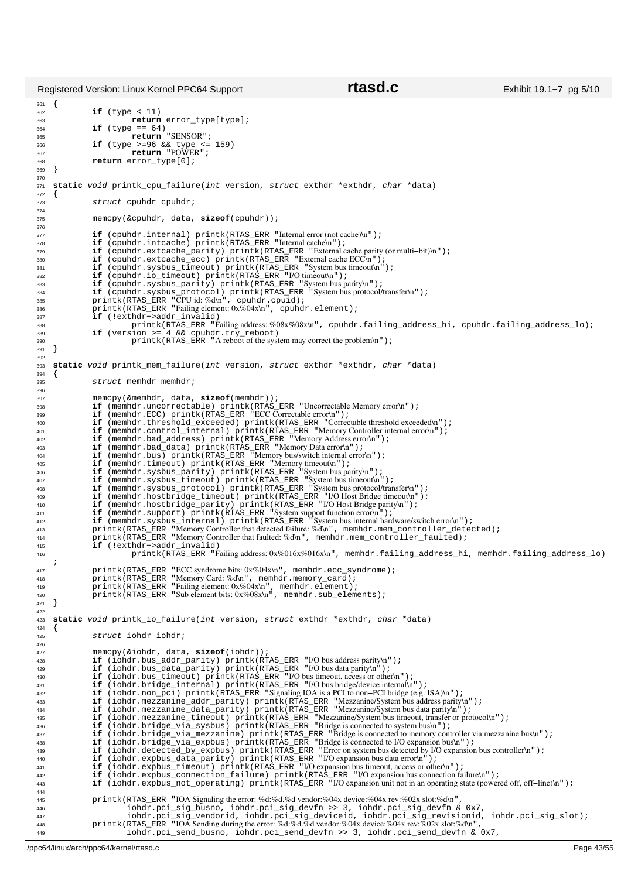361<br>362  $if$   $(t$   $v$ pe  *11)* 363 **return** error\_type[type];<br>364 **if** (type == 64)  $if$  (type == 64)  $365$  **return** "SENSOR";<br> $366$  **if** (type  $> = 96$   $&66$  type  $< =$ <sup>366</sup> **if** (type >=96 && type <= 159) <sup>367</sup> **return** "POWER"; <sup>368</sup> **return** error\_type[0]; <sup>369</sup> } 370 <sup>371</sup> **static** void printk\_cpu\_failure(int version, struct exthdr \*exthdr, char \*data) <sup>372</sup> { struct cpuhdr cpuhdr; 374 <sup>375</sup> memcpy(&cpuhdr, data, **sizeof**(cpuhdr)); 376 <sup>377</sup> **if** (cpuhdr.internal) printk(RTAS\_ERR "Internal error (not cache)\n"); 378 **if** (cpuhdr.intcache) printk(RTAS\_ERR "Internal cache\n");<br>379 **if** (couhdr.extcache parity) printk(RTAS\_ERR "External <sup>379</sup> **if** (cpuhdr.extcache\_parity) printk(RTAS\_ERR "External cache parity (or multi−bit)\n"); 380 **if** (cpuhdr.extcache\_ecc) printk(RTAS\_ERR "External cache ECC\n");<br>381 if (cpuhdr.sysbus\_timeout) printk(RTAS\_ERR "I/O timeouthn");<br>382 if (cpuhdr.io\_timeout) printk(RTAS\_ERR "I/O timeouthn");<br>**if** (cpuhdr.sysbus\_pari 384<br> **if** (cpuhdr.sysbus\_protocol) printk(RTAS\_ERR "System bus protocol/transfer\n");<br>
386 printk(RTAS\_ERR "Failing element: 0x%04x\n", cpuhdr.element);<br> **if** (!exthdr->addr\_invalid)<br>
387 **if** (!exthdr->addr\_invalid) <sup>388</sup> printk(RTAS\_ERR "Failing address: %08x%08x\n", cpuhdr.failing\_address\_hi, cpuhdr.failing\_address\_lo); 389 **if** (version >= 4 && cpuhdr.try\_reboot)<br>
printk(RTAS\_ERR "A reboot of the system may correct the problem\n"); <sup>391</sup> } 392 <sup>393</sup> **static** void printk\_mem\_failure(int version, struct exthdr \*exthdr, char \*data) <sup>394</sup> { struct memhdr memhdr; 396 <sup>397</sup> memcpy(&memhdr, data, **sizeof**(memhdr)); <sup>398</sup> **if** (memhdr.uncorrectable) printk(RTAS\_ERR "Uncorrectable Memory error\n");<br>399 **if** (memhdr.ECC) printk(RTAS\_ERR "ECC Correctable error\n"); <sup>399</sup> **if** (memhdr.ECC) printk(RTAS\_ERR "ECC Correctable error\n"); 400 **if** (memhdr.threshold\_exceeded) printk(RTAS\_ERR "Correctable threshold exceeded\n");<br>16 (memhdr.control\_internal) printk(RTAS\_ERR "Memory Controller internal error\n");<br>16 (memhdr.bad\_address) printk(RTAS\_ERR "Memory <sup>403</sup> **if** (memhdr.bad\_data) printk(RTAS\_ERR "Memory Data error\n"); <sup>404</sup> **if** (memhdr.bus) printk(RTAS\_ERR "Memory bus/switch internal error\n"); 405 **if** (memhdr.timeout) printk(RTAS\_ERR "Memory timeout\n");<br> **if** (memhdr.sysbus\_parity) printk(RTAS\_ERR "System bus parity\n");<br>
if (memhdr.sysbus\_timeout) printk(RTAS\_ERR "System bus timeout\n");<br> **if** (memhdr.sysbus\_ **if** (memhdr.hostbridge\_timeout) printk(RTAS\_ERR<sup> "</sup>I/O Host Bridge timeouth");<br> **if** (memhdr.hostbridge\_parity) printk(RTAS\_ERR "I/O Host Bridge parityh");<br> **if** (memhdr.support) printk(RTAS\_ERR "System support function e <sup>415</sup> **if** (!exthdr−>addr\_invalid) <sup>416</sup> printk(RTAS\_ERR "Failing address: 0x%016x%016x\n", memhdr.failing\_address\_hi, memhdr.failing\_address\_lo) ; 417 printk(RTAS\_ERR "ECC syndrome bits: 0x%04x\n", memhdr.ecc\_syndrome);<br>418 printk(RTAS\_ERR "Memory Card: %d\n", memhdr.memory card); <sup>418</sup> printk(RTAS\_ERR "Memory Card: %d\n", memhdr.memory\_card); <sup>419</sup> printk(RTAS\_ERR "Failing element: 0x%04x\n", memhdr.element); <sup>420</sup> printk(RTAS\_ERR "Sub element bits: 0x%08x\n", memhdr.sub\_elements); <sup>421</sup> }  $422$ <sup>423</sup> **static** void printk\_io\_failure(int version, struct exthdr \*exthdr, char \*data)  $424$ <sup>425</sup> struct iohdr iohdr; 426 <sup>427</sup> memcpy(&iohdr, data, **sizeof**(iohdr)); <sup>428</sup> **if** (iohdr.bus\_addr\_parity) printk(RTAS\_ERR "I/O bus address parity\n"); <sup>429</sup> **if** (iohdr.bus\_data\_parity) printk(RTAS\_ERR "I/O bus data parity\n"); <sup>430</sup> **if** (iohdr.bus\_timeout) printk(RTAS\_ERR "I/O bus timeout, access or other\n"); <sup>431</sup> **if** (iohdr.bridge\_internal) printk(RTAS\_ERR "I/O bus bridge/device internal\n"); **if** (iohdr.non\_pci) printk(RTAS\_ERR "Signaling IOA is a PCI to non-PCI bridge (e.g. ISA)\n");<br>ass if (iohdr.mezzanine\_addr\_parity) printk(RTAS\_ERR "Mezzanine/System bus address parity\n");<br>if (iohdr.mezzanine\_data\_parity) 436 **if** (iohdr.bridge\_via\_sysbus) printk(RTAS\_ERR "Bridge is connected to system bus\n");<br>437 **if** (iohdr.bridge\_via\_mezzanine) printk(RTAS\_ERR "Bridge is connected to memory controller via mezzanine bus\n");<br>438 **if** (io **if** (iohdr.detected\_by\_expbus) printk(RTAS\_ERR "Error on system bus detected by I/O expansion bus controller\n");<br> **if** (iohdr.expbus\_data\_parity) printk(RTAS\_ERR "I/O expansion bus data error\n");<br> **if** (iohdr.expbus\_tim 444 printk(RTAS\_ERR "IOA Signaling the error: %d:%d.%d vendor:%04x device:%04x rev:%02x slot:%d\n",<br>iohdr.pci\_sig\_busno, iohdr.pci\_sig\_vendorid, iching.princetics.index.princetics.html & 0x7,<br>iohdr.pci\_sig\_vendorid, iohdr.pci\_ <sup>449</sup> iohdr.pci\_send\_busno, iohdr.pci\_send\_devfn >> 3, iohdr.pci\_send\_devfn & 0x7, Registered Version: Linux Kernel PPC64 Support **rtasd.c** Exhibit 19.1–7 pg 5/10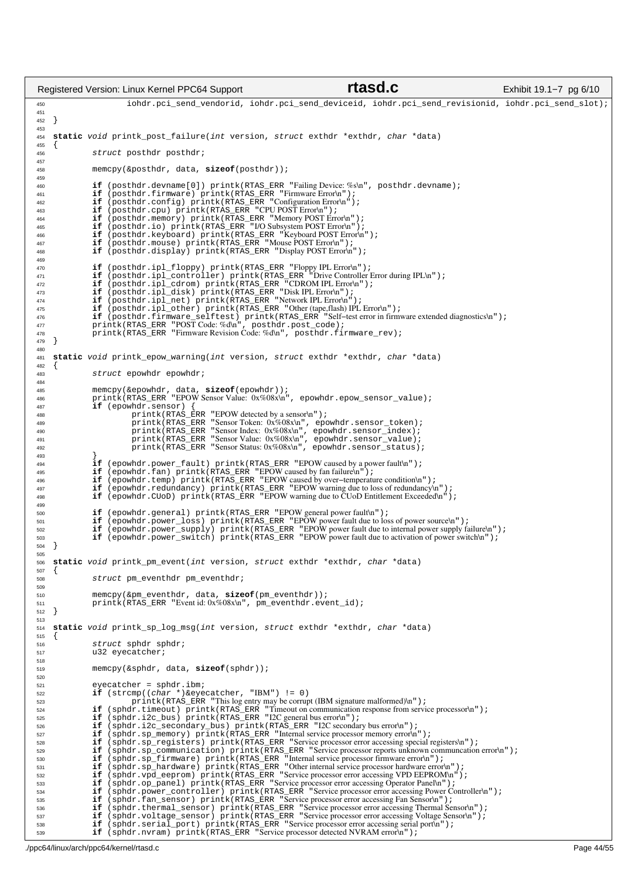iohdr.pci\_send\_vendorid, iohdr.pci\_send\_deviceid, iohdr.pci\_send\_revisionid, iohdr.pci\_send\_slot); } **static** void printk\_post\_failure(int version, struct exthdr \*exthdr, char \*data) { struct posthdr posthdr; memcpy(&posthdr, data, **sizeof**(posthdr)); 460 **if** (posthdr.devname[0]) printk(RTAS\_ERR "Failing Device:%s\n", posthdr.devname);<br>161 **if** (posthdr.firmware) printk(RTAS\_ERR "Firmware Error\n");<br>162 **if** (posthdr.config) printk(RTAS\_ERR "Configuration Error\n"); <sup>463</sup> **if** (posthdr.cpu) printk(RTAS\_ERR "CPU POST Error\n"); <sup>464</sup> **if** (posthdr.memory) printk(RTAS\_ERR "Memory POST Error\n"); **if** (posthdr.io) printk(RTAS\_ERR "I/O Subsystem POST Error\n"); <sup>466</sup> **if** (posthdr.keyboard) printk(RTAS\_ERR "Keyboard POST Error\n"); **if** (posthdr.mouse) printk(RTAS\_ERR "Mouse POST Error\n"); **if** (posthdr.display) printk(RTAS\_ERR "Display POST Error\n"); **if** (posthdr.ipl\_floppy) printk(RTAS\_ERR "Floppy IPL Error\n"); <sup>471</sup> **if** (posthdr.ipl\_controller) printk(RTAS\_ERR "Drive Controller Error during IPL\n"); **if** (posthdr.ipl\_cdrom) printk(RTAS\_ERR "CDROM IPL Error\n"); 473<br> **if** (posthdr.ipl\_disk) printk(RTAS\_ERR "DiskIPL Error\n");<br> **if** (posthdr.ipl\_other) printk(RTAS\_ERR "NetworkIPL Error\n");<br> **if** (posthdr.ipl\_other) printk(RTAS\_ERR "Other (tape,flash)IPL Error\n");<br> **if** (posthdr.f 478 printk(RTAS\_ERR "Firmware Revision Code: %d\n", posthdr.firmware\_rev);<br>479 }  $\rightarrow$  **static** void printk\_epow\_warning(int version, struct exthdr \*exthdr, char \*data) {<br> $483$ struct epowhdr epowhdr; memcpy(&epowhdr, data, **sizeof**(epowhdr)); <sup>486</sup> printk(RTAS\_ERR "EPOW Sensor Value: 0x%08x\n", epowhdr.epow\_sensor\_value); 487 **if** (epowhdr.sensor) {<br>488 **printle printle (FITAS E** <sup>488</sup> printk(RTAS\_ERR "EPOW detected by a sensor\n"); printk(RTAS\_ERR "Sensor Token: 0x%08x\n", epowhdr.sensor\_token); <sup>490</sup> printk(RTAS\_ERR "Sensor Index: 0x%08x\n", epowhdr.sensor\_index); <sup>491</sup> printk(RTAS\_ERR "Sensor Value: 0x%08x\n", epowhdr.sensor\_value); printk(RTAS\_ERR "Sensor Status: 0x%08x\n", epowhdr.sensor\_status); } 494 **if** (epowhdr.power\_fault) printk(RTAS\_ERR "EPOW caused by a powerfaulth");<br>495 **if** (epowhdr.fan) printk(RTAS\_ERR "EPOW caused by fanfailure\n");<br>496 **if** (epowhdr.temp) printk(RTAS\_ERR "EPOW caused by over-temperatur 497 **if** (epowhdr.redundancy) printk(RTAS\_ERR "EPOW warning due to loss of redundancy\n");<br>498 **if** (epowhdr.CUoD) printk(RTAS\_ERR "EPOW warning due to CUoD Entitlement Exceeded\n"); **if** (epowhdr.general) printk(RTAS ERR "EPOW general power fault\n"); 501 **if** (epowhdr.power\_loss) printk(RTAS\_ERR "EPOW power fault due to loss of power source\n");<br>502 **if** (epowhdr.power\_supply) printk(RTAS\_ERR "EPOW power fault due to internal power supply failure\n");<br>503 **if** (epowhdr } **static** void printk\_pm\_event(int version, struct exthdr \*exthdr, char \*data)  $\begin{matrix} 507 \\ 508 \end{matrix}$ struct pm\_eventhdr pm\_eventhdr; memcpy(&pm\_eventhdr, data, **sizeof**(pm\_eventhdr)); 511 printk(RTAS\_ERR "Event id: 0x%08x\n", pm\_eventhdr.event\_id);<br>512 } } **static** void printk\_sp\_log\_msg(int version, struct exthdr \*exthdr, char \*data) { 516 struct sphdr sphdr;<br>517 u32 evecatcher;  $u32$  eyecatcher; memcpy(&sphdr, data, **sizeof**(sphdr)); eyecatcher = sphdr.ibm;<br> $522$  **if** (strcmp((*char* \*)&eye 522 **if** (strcmp((char \*)&eyecatcher, "IBM") != 0)<br>523 printk(RTAS\_ERR "This log entry may be corrupt (IBM signature malformed)\n"); 524 **if** (sphdr.timeout) printk(RTAS\_ERR "Timeout on communication response from service processor\n");<br>525 **if** (sphdr.i2c\_bus) printk(RTAS\_ERR "I2C general bus error\n");  $\begin{minipage}[c]{0.9\textwidth} \begin{minipage}[c]{0.9\textwidth} \begin{minipage}[c]{0.9\textwidth} \begin{minipage}[c]{0.9\textwidth} \begin{minipage}[c]{0.9\textwidth} \begin{minipage}[c]{0.9\textwidth} \begin{minipage}[c]{0.9\textwidth} \begin{minipage}[c]{0.9\textwidth} \begin{minipage}[c]{0.9\textwidth} \begin{minipage}[c]{0.9\textwidth} \begin{minipage}[c]{0.9\textwidth} \begin{minipage}[c]{0.9\textwidth} \begin{minipage}[c]{0.9\textwidth} \begin{minipage}[c]{0.9\$ Registered Version: Linux Kernel PPC64 Support **rtasd.c** Exhibit 19.1–7 pg 6/10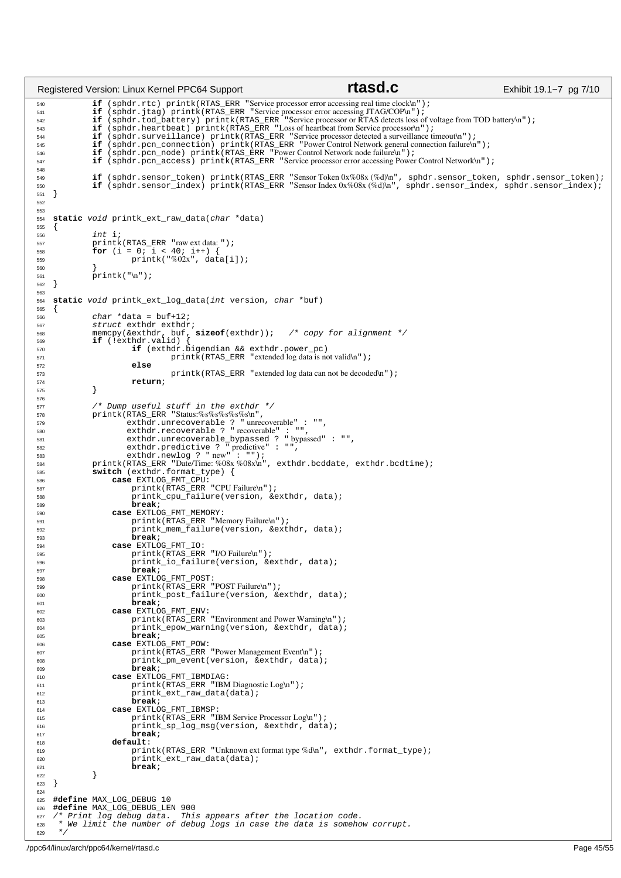**if** (sphdr.rtc) printk(RTAS\_ERR "Service processor error accessing real time clock\n");<br>541 **if** (sphdr.jtag) printk(RTAS\_ERR "Service processor error accessing JTAG/COP\n");<br>542 **if** (sphdr.tod\_battery) printk(RTAS\_ERR " **if** (sphdr.heartbeat) printk(RTAS\_ERR "Loss of heartbeat from Service processor\n"); **if** (sphdr.surveillance) printk(RTAS\_ERR "Service processor detected a surveillance timeout\n"); <sup>545</sup> **if** (sphdr.pcn\_connection) printk(RTAS\_ERR "Power Control Network general connection failure\n"); **if** (sphdr.pcn\_node) printk(RTAS\_ERR "Power Control Network node failure\n"); <sup>547</sup> **if** (sphdr.pcn\_access) printk(RTAS\_ERR "Service processor error accessing Power Control Network\n"); <sup>549</sup> **if** (sphdr.sensor\_token) printk(RTAS\_ERR "Sensor Token 0x%08x (%d)\n", sphdr.sensor\_token, sphdr.sensor\_token); **if** (sphdr.sensor\_index) printk(RTAS\_ERR "Sensor Index 0x%08x (%d)\n", sphdr.sensor\_index, sphdr.sensor\_index); } **static** void printk\_ext\_raw\_data(char \*data)  $\begin{matrix} 555 \\ 556 \end{matrix}$  int i;<br> $557$  printk printk(RTAS\_ERR "raw ext data: "); <sup>558</sup> **for** (i = 0; i < 40; i++) { **printk("%02x", data[i]);**  } printk("\n");  $\left\{ \right\}$  **static** void printk\_ext\_log\_data(int version, char \*buf) { char \*data = buf+12;<br> $567$  struct exthdr exthdr struct exthdr exthdr; <sup>568</sup> memcpy(&exthdr, buf, **sizeof**(exthdr)); /\* copy for alignment \*/ **if** (!exthdr.valid) { 570 **if** (exthdr.bigendian && exthdr.power\_pc)<br>
printk(RTAS\_ERR "extended log data is not valid\n"); **else** 573 printk(RTAS\_ERR "extended log data can not be decoded\n");<br>574 **preturn**; **return**; } 577 /\* Dump useful stuff in the exthdr \*/<br>578 printk(RTAS\_ERR "Status:%s%s%s%s\n", 578 printk(RTAS\_ERR "Status:%s%s%s%s%s\n"<br>579 exthdr.unrecoverable ? "unre <sup>579</sup> exthdr.unrecoverable ? " unrecoverable" : "", exthdr.recoverable ? " recoverable" : "", exthdr.unrecoverable\_bypassed ? " bypassed" : "", exthdr.predictive ? " predictive" : "", <sup>583</sup> exthdr.newlog ? " new" : ""); printk(RTAS\_ERR "Date/Time: %08x %08x\n", exthdr.bcddate, exthdr.bcdtime); 585 **switch** (exthdr.format\_type) {<br>586 **case** EXTLOG FMT CPU: **case** EXTLOG\_FMT\_CPU: 587 printk(RTAS\_ERR "CPU Failure\n");<br>printk cpu failure(version, & 588 printk\_cpu\_failure(version, & exthdr, data);<br> **break**; **break**; **case** EXTLOG\_FMT\_MEMORY: 591 printk(RTAS\_ERR "Memory Failure\n");<br>592 printk mem failure(version, & ext printk\_mem\_failure(version, &exthdr, data); <sup>593</sup> **break**; **case** EXTLOG\_FMT\_IO: <sup>595</sup> printk(RTAS\_ERR "I/O Failure\n"); printk\_io\_failure(version, &exthdr, data); **break**; **case** EXTLOG\_FMT\_POST:  $\overline{\text{prink}}(\overline{\text{RTAS\_ERR}}$  "POST Failure\n" ) ; printk\_post\_failure(version, &exthdr, data); **break;<br>
<b>602 case** EXTLOG\_FMT\_ENV:<br>
printk(RTAS\_ERR "Environment and Power Warning\n"); printk\_epow\_warning(version, &exthdr, data); <sup>605</sup> **break**; **case** EXTLOG\_FMT\_POW: 607 printk(RTAS\_ERR "Power Management Eventh");<br>for any printk pm event (version, & exthdr, data) 608 printk\_pm\_event(version, & exthdr, data);<br> **break**; **break**; **case** EXTLOG\_FMT\_IBMDIAG: 611 printk(RTAS\_ERR "IBM Diagnostic Log\n");<br>612 printk ext raw data(data); 612 printk\_ext\_raw\_data(data);<br>613 **break**; **break**; **case** EXTLOG\_FMT\_IBMSP: <sup>615</sup> printk(RTAS\_ERR "IBM Service Processor Log\n"); 616 **printk\_sp\_log\_msg(version, &exthdr, data);**<br>617 **break**; 617 **break**;<br>618 **break**; **default**: printk(RTAS\_ERR "Unknown ext format type %d\n", exthdr.format\_type); 620 printk\_ext\_raw\_data(data); **break**;  $\}$  } **#define** MAX\_LOG\_DEBUG 10 626 **#define** MAX\_LOG\_DEBUG\_LEN 900<br>627 /\* Print log debug data. Thi: /\* Print log debug data. This appears after the location code. <sup>628</sup> \* We limit the number of debug logs in case the data is somehow corrupt. \*/ Registered Version: Linux Kernel PPC64 Support **rtasd.c** Exhibit 19.1–7 pg 7/10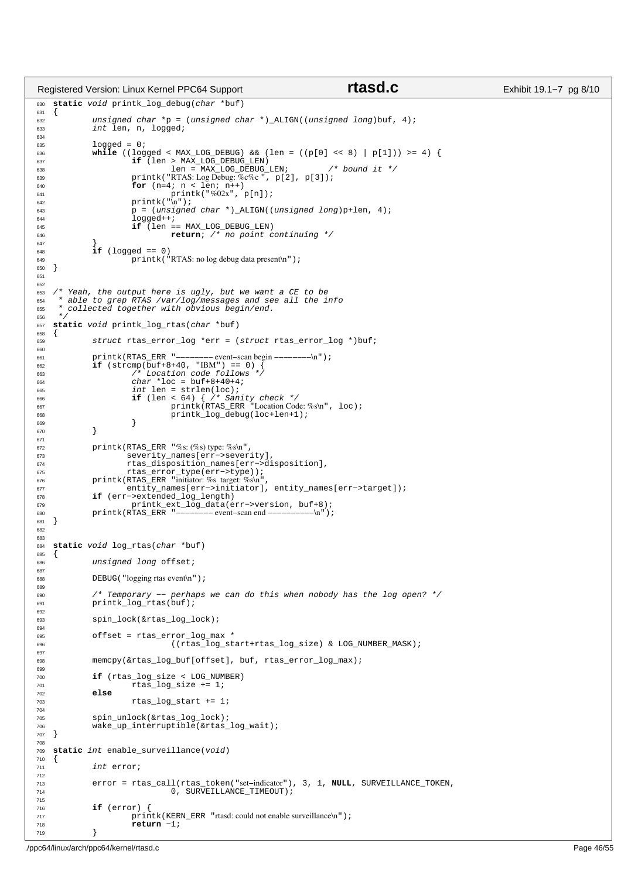```
630 static void printk_log_debug(char *buf)
631 {
632 unsigned char *p = (unsigned char *)_ALIGN((unsigned long)buf, 4);<br>633 int len, n, logged;
              int len, n, logged;
634
635 logged = 0;
636 while ((logged < MAX_LOG_DEBUG) && (len = ((p[0] << 8) | p[1])) >= 4) {
637 if (len > MAX_LOG_DEBUG_LEN)<br>638 den = MAX_LOG_DEBUG
638 len = \text{MAX\_LOG\_DEBUG\_LEN}; /* bound it */<br>639 printk ("RTAS: Log Debug: %c%c", p[2], p[3]);
639 printk("RTAS: Log Debug: \%c\%c", p[2], p[3]);<br>for (n=4; n < len; n++)640 for (n=4; n < len; n++)<br>
printk("%02x", p[n]);<br>
642 printk("\n");
643 p = (unsigned char *)_ALIGN((unsigned long)p+len, 4);
644 logged++;
645 if (len == MAX_LOG_DEBUG_LEN)
646 return; /* no point continuing */
647<br>648
              if (logged == 0)649 printk ("RTAS: no log debug data present\n");
   \}651
652
653 /* Yeah, the output here is ugly, but we want a CE to be * able to grep RTAS /var/log/messages and see all the i
654 * able to grep RTAS /var/log/messages and see all the info
655 * collected together with obvious begin/end.
656 *
657 static void printk_log_rtas(char *buf)
658 \t{50}struct rtas error log *err = (struct rtas error log *)buf;
660
661 printk(RTAS_ERR "−−−−−−−− event−scan begin −−−−−−−−\n");
662 if (strcmp(buf+8+40, "IBM") == 0) {
663 /* Location code follows */
char * loc = but +8+40+4;<br>
int len = strlen(100);int len = strlen(loc);<br>if (len < 64) { /* San
666 if (len < 64) { /* Sanity check */<br>
printk(RTAS_ERR "Location Code: %s\n", loc);
668 printk_log_debug(loc+len+1);
669 }
670 }
671
%%; with the same of the same of the severity is the severing of the severing severing severing severing severing \frac{\text{SVD}}{\text{SVD}}, severing severing severing severing severing severing severing severing severing severing 
673 severity_names[err−>severity],
                      674 rtas_disposition_names[err−>disposition],
675 rtas_error_type(err−>type));
676 printk(RTAS_ERR "initiator: %s target: %s\n",
677 entity_names[err−>initiator], entity_names[err−>target]);
678 if (err−>extended_log_length)
679 printk_ext_log_data(err−>version, buf+8);
680 printk(RTAS_ERR "−−−−−−−− event−scan end −−−−−−−−−−\n");
681 }
682
683
684 static void log_rtas(char *buf)
685 {
             unsigned long offset;
687
688 DEBUG("logging rtas event\n");
689
690 /* Temporary −− perhaps we can do this when nobody has the log open? */
691 printk_log_rtas(buf);
692<br>693
              spin_lock(&rtas_log_lock);
694
***<br>695 offset = rtas_error_log_max *<br>696 (rtas log st)
                                  696 ((rtas_log_start+rtas_log_size) & LOG_NUMBER_MASK);
697
698 memcpy(&rtas_log_buf[offset], buf, rtas_error_log_max);
699
700 if (rtas_log_size < LOG_NUMBER)<br>701 if \frac{1}{2} rtas_log_size += 1;
701 rtas_log_size += 1;<br>702 else702 else
                        rtas\_log\_start += 1;
704
705 spin_unlock(&rtas_log_lock);
706 wake_up_interruptible(&rtas_log_wait);<br>707 }
   \left\{ \right\}708
709 static int enable_surveillance(void)
710 {
711 int error;
712
713 error = rtas_call(rtas_token("set−indicator"), 3, 1, NULL, SURVEILLANCE_TOKEN,
                                 11(1023_00001); Stratection (1023_0001);
715
716 if (error) {
717 printk(KERN_ERR "rtasd: could not enable surveillance\n");<br>\begin{array}{c}\n\text{return} \\
\text{return} \\
\end{array}return −1;
719 }
Registered Version: Linux Kernel PPC64 Support rtasd.c Exhibit 19.1−7 pg 8/10
```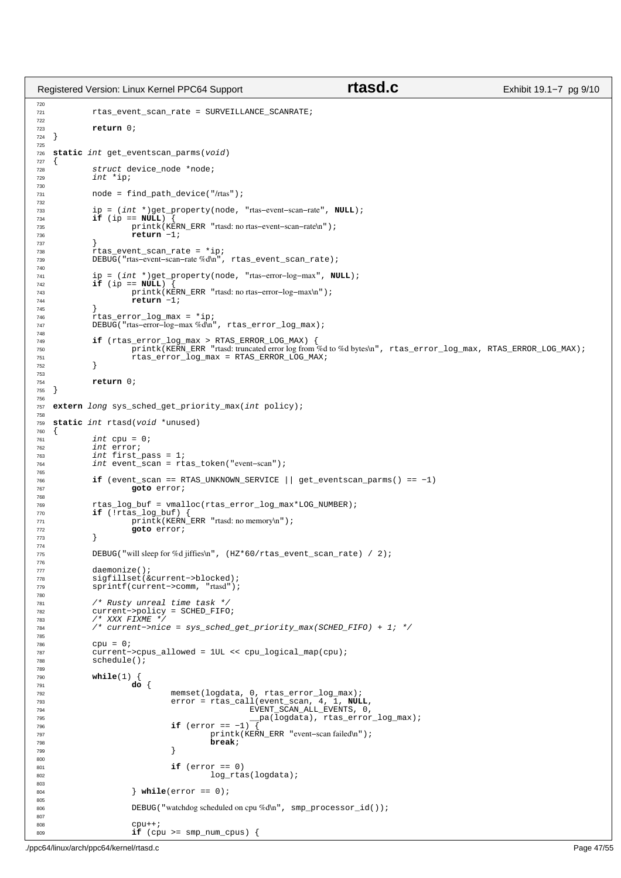```
720
<sup>721</sup> rtas_event_scan_rate = SURVEILLANCE_SCANRATE;
722
723 return 0;
724 }
725
726 static int get_eventscan_parms(void)
\begin{array}{c} 727 \\ 728 \end{array}728 struct device_node *node;<br>729 int *ip;
              int *ip;
730
731 node = find path device("/rtas");
732
733 ip = (int *)get_property(node, "rtas−event−scan−rate", NULL);
734 if (ip == NULL) {
735 printk(KERN_ERR "rtasd: no rtas-event–scan–rate\n");<br>736 printk(KERN_ERR "rtasd: no rtas-event–scan–rate\n");
                         736 return −1;
737 }
738 rtas_event_scan_rate = *ip;<br>739 DEBUG("rtas-event-scan-rate %d\n",
              DEBUG("rtas-event-scan-rate %d\n", rtas_event_scan_rate);
740
741 ip = (int *)get_property(node, "rtas−error−log−max", NULL);
742 if (ip == NULL) {
743 printk(KERN_ERR "rtasd: no rtas-error-log-max\n");<br>744 return -1;
                         744 return −1;
745 }
746 rtas_error_log_max = *ip;<br>747 DEBUG("rtas-error-log-max%d\n"
              747 DEBUG("rtas−error−log−max %d\n", rtas_error_log_max);
748
The state of the server of the server and the server of the server and the server and the server and the server<br>The server of the spintk(KERN_ERR "rtasd: truncated error log from %d to %d bytes\n", rtas_error_log_max, RTAS
752 }
753
754 return 0;
   \rightarrow756
757 extern long sys_sched_get_priority_max(int policy);
758
759 static int rtasd(void *unused)
760<br>761
761 int \text{cpu} = 0;<br>
762 int \text{error};762 int error;<br>763 int first_
763 int first_pass = 1;<br>764 int event scan = rt
               int event_scan = rtas_token("event-scan");
765
<sup>766</sup> if (event_scan == RTAS_UNKNOWN_SERVICE || get_eventscan_parms() == −1)<br>767 ooto error;
                         goto error;
768
769 rtas_log_buf = vmalloc(rtas_error_log_max*LOG_NUMBER);
770 if (!rtas_log_buf) {
\frac{177}{p \text{mink}}(\text{KERN\_ERR} \text{ "ftasd: no memory} \text{ "})\};<br>
\frac{177}{p \text{mink}}(\text{KERN\_ERR} \text{ "ftasd: no memory} \text{ "})\};<sup>9</sup>90to error;
773 }
774
775 DEBUG("will sleep for %d jiffies\n", (HZ*60/rtas\_event\_scan\_rate) / 2);
776
777 daemonize();<br>778 sigfillset(&
778 sigfillset(&current->blocked);<br>779 sprintf(current->comm, "rtasd");
              779 sprintf(current−>comm, "rtasd");
780
781 /* Rusty unreal time task */
782 current−>policy = SCHED_FIFO;
783 /* XXX FIXME */
784 /* current−>nice = sys_sched_get_priority_max(SCHED_FIFO) + 1; */
785
786 cpu = 0;<br>787 current-
787 current−>cpus_allowed = 1UL << cpu_logical_map(cpu);
              schedule();
789
790 while(1) {
791 do {
792<br>
793 memset(logdata, 0, rtas_error_log_max);<br>
2794 error = rtas_call(event_scan, 4, 1, NULL,<br>
2795 metal (logdata), rtas_error_log_max);<br>
2796 metal (logdata), rtas_error_log_max);
796 if (error == −1)<sup>-</sup><br>797 if (error == −1)<sup>-</sup><br>printk(KE
797 printk(KERN_ERR "event−scan failed\n");
798 break;
799 }
800
801 if (error == 0)
                                              log_rtas(logdata);
803
804 } while(error == 0);
805
806 DEBUG("watchdog scheduled on cpu %d\n", smp_processor_id());
807
808 cpu++;
809 if (cpu >= smp_num_cpus) {
Registered Version: Linux Kernel PPC64 Support rtasd.c Exhibit 19.1–7 pg 9/10
```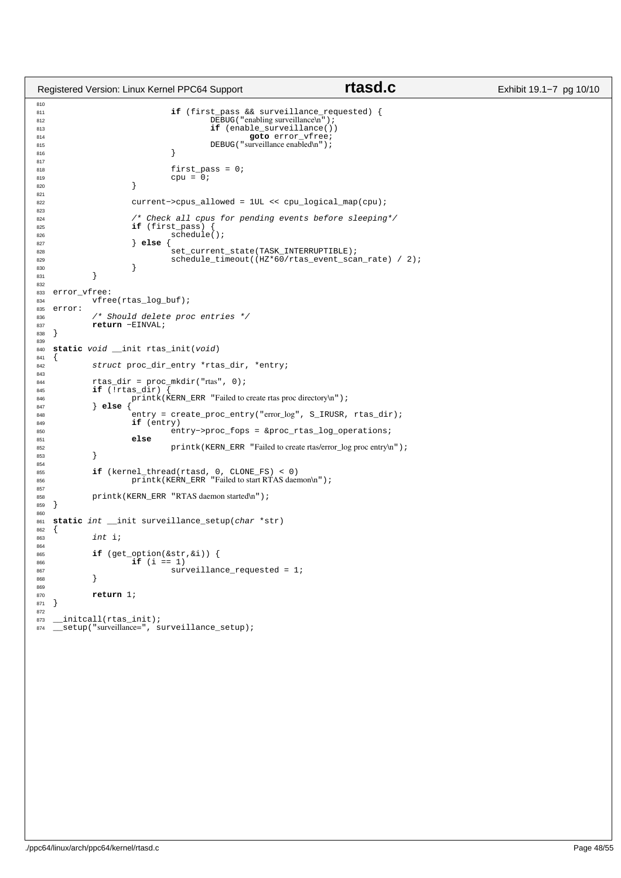```
810
<sup>51</sup> if (first pass && surveillance requested) {
812 DEBUG("enabling surveillance\n");<br>813 DEBUG("enabling surveillance\n");<br>if (enable_surveillance())
813 if (enable_surveillance())<br>814 goto error_vfree;
814 goto error_vfree;
815 DEBUG("surveillance enabled\n");
816 }
817
818 first_pass = 0;
819 cpu = 0;
820 }
821<br>822
                    822 current−>cpus_allowed = 1UL << cpu_logical_map(cpu);
823
824 /* Check all cpus for pending events before sleeping*/
825 if (first_pass) 826 schedul
826<br>827<br>828<br>826<br>827<br>828<br>826<br>829<br>828<br>829827 } else {
828 set_current_state(TASK_INTERRUPTIBLE);<br>829 schedule timeout((HZ*60/rtas event sca
829 \text{schedule\_timeout}(\text{HZ*60/rtas\_event\_scan\_rate}) / 2);830 }
831 }
832
833 error_vfree:
           vfree(rtas_log_buf);
835 error:
836 /* Should delete proc entries */
837 return −EINVAL;<br>838 }
838 }
839
840 static void __init rtas_init(void)
841 {
842 struct proc_dir_entry *rtas_dir, *entry;
843
844 rtas_dir = proc_mkdir("rtas", 0);
845 if (!rtas_dir) {
846 printk(KERN_ERR "Failed to create rtas proc directory\n");<br>847 else {
847 } else {
848 entry = create_proc_entry("error_log", S_IRUSR, rtas_dir);<br>\mathbf{if} (entry)
                    if (entry)
850 entry−>proc_fops = &proc_rtas_log_operations;
851 else
           printk(KERN_ERR "Failed to create rtas/error_log proc entry\n");
853 }
854
855 if (kernel_thread(rtasd, 0, CLONE_FS) < 0)<br>
printk(KERN_ERR "Failed to start RTAS daemon\n");
857<br>858
858 printk(KERN_ERR "RTAS daemon started\n");<br>859 }
   859 }
860
861 static int __init surveillance_setup(char *str) 862 {
862<br>863
           int i;
864
865 if (get_option(&str, &i)) {<br>866 if (i == 1)
866 if (i == 1)<br>867 sure sure
            \texttt{surveillance\_requested = 1};868 }
869
870 return 1;
871 }
872<br>873
     _initcall(rtas_init);
874 __ setup("surveillance=", surveillance_setup);
Registered Version: Linux Kernel PPC64 Support rtasd.c Exhibit 19.1−7 pg 10/10
```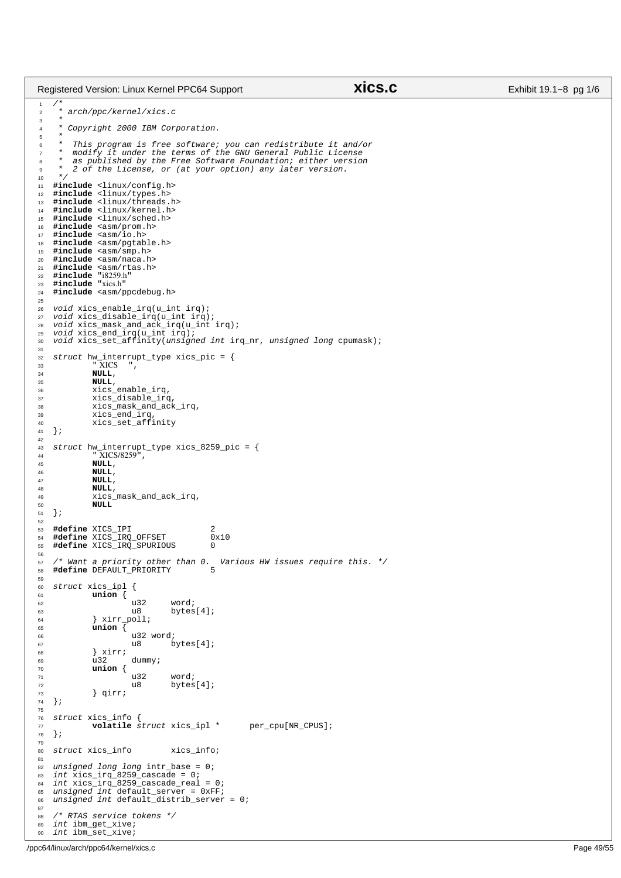## Registered Version: Linux Kernel PPC64 Support **xics.c** Exhibit 19.1−8 pg 1/6

```
/*
<sup>2</sup> * arch/ppc/kernel/xics.c
\frac{3}{4}Copyright 2000 IBM Corporation.
\frac{5}{6}* This program is free software; you can redistribute it and/or<br>* modify it under the terms of the GNU General Public License
 7 * modify it under the terms of the GNU General Public License
8 * as published by the Free Software Foundation; either version
\frac{1}{2} \frac{1}{2} \frac{1}{2} of the License, or (at your option) any later version.
10 + 7<br>11 + \text{lin}11 #include <linux/config.h>
12 #include <linux/types.h>
13 #include <linux/threads.h>
14 #include <linux/kernel.h>
     15 #include <linux/sched.h>
 16 #include <asm/prom.h>
17 #include <asm/io.h>
18 #include <asm/pgtable.h><br>19 #include <asm/smp.h>
      #include <asm/smp.h>
 20 #include <asm/naca.h>
21 #include <asm/rtas.h>
 22 #include "i8259.h"
23 #include "xics.h"
24 #include <asm/ppcdebug.h>
25
 26 void xics_enable_irq(u_int irq);
27 void xics_disable_irq(u_int irq);
28 void xics_mask_and_ack_irq(u_int irq);
 29 void xics_end_irq(u_int irq);
30 void xics_set_affinity(unsigned int irq_nr, unsigned long cpumask);
\frac{31}{32}32 struct hw_interrupt_type xics_pic = {
33 " XICS ",
34 NULL,<br>35 NULL,
\frac{35}{36} NULL,
                    36 xics_enable_irq,
 37 xics_disable_irq,
38 xics_mask_and_ack_irq,
 39 xics_end_irq,
40 xics_set_affinity
41 };
42
 43 struct hw_interrupt_type xics_8259_pic = {
44 " XICS/8259",
45 NULL,
46 NULL,<br>47 NULL,
47 NULL,<br>48 NULL,
48 NULL, \overline{A} NULL,
49 xics\_mask\_and\_ack\_irq,<br>50 NULL
                   50 NULL
51 \; | \; j52
     #define XICS_IPI 2<br>#define XICS_IRQ_OFFSET 0x10
 54 #define XICS_IRQ_OFFSET 0x10
55 #define XICS_IRQ_SPURIOUS 0
56
57 /* Want a priority other than 0. Various HW issues require this. */
58 #define DEFAULT_PRIORITY
59
60 struct xics_ipl {
61 union {
62 and 132 word;<br>63 u8 bytes
63 u8 bytes[4];<br>64 } xirr poll;
                    64 } xirr_poll;
65 union {
\begin{array}{ccc}\n & \text{...} & \text{...} \\
\text{66} & & \text{u32 word;} \\
\text{67} & & \text{u8} & \text{b}\n\end{array}\begin{array}{c|c}\n67 & & 18 \\
68 & & 17\n\end{array} bytes[4];
\begin{array}{c} 68 \\ 69 \end{array} \begin{array}{c} \text{s} \\ \text{u}32 \end{array}69 \overline{u}32 dummy;<br>
\overline{v} \overline{v} \overline{v} \overline{v}\overline{union} {
\begin{array}{ccc}\n & \text{...} & \text{...} \\
\text{...} & \text{...} & \text{...} \\
\text{...} & \text{...} & \text{...} \\
\text{...} & \text{...} & \text{...} \\
\text{...} & \text{...} & \text{...} \\
\text{...} & \text{...} & \text{...} \\
\text{...} & \text{...} & \text{...} \\
\text{...} & \text{...} & \text{...} \\
\text{...} & \text{...} & \text{...} \\
\end{array}72 u8 bytes[4];<br>73 } qirr;
73 } qirr;
    74 };
75
76 struct xics_info {
77 volatile struct xics_ipl * per_cpu[NR_CPUS];<br>78 };
    78 };
79
80 struct xics info xics info;
81
 % unsigned long long intr_base = 0;<br>
83 int xics_irq_8259_cascade = 0;<br>
84 int xics_irq_8259_cascade_real = 0;<br>
86 unsigned int default_distrib_server = 0;<br>
86 unsigned int default_distrib_server = 0;
87
88 /* RTAS service tokens */<br>89 int ibm qet xive;
     int ibm_get_xive;
90 int ibm_set_xive;
```
./ppc64/linux/arch/ppc64/kernel/xics.c Page 49/55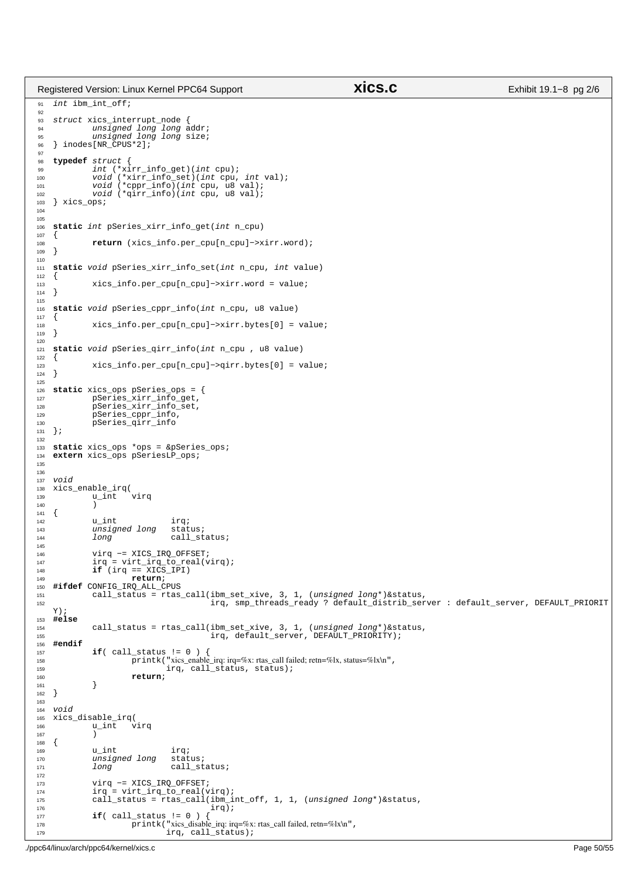91 int ibm\_int\_off; 92 <sup>93</sup> struct xics\_interrupt\_node { <sup>94</sup> unsigned long long addr; <sup>95</sup> unsigned long long size; <sup>96</sup> } inodes[NR\_CPUS\*2]; 97 98 **typedef** struct {<br>99 int (\*xi <sup>99</sup> int (\*xirr\_info\_get)(int cpu); <sup>100</sup> void (\*xirr\_info\_set)(int cpu, int val); <sup>101</sup> void (\*cppr\_info)(int cpu, u8 val); <sup>102</sup> void (\*qirr\_info)(int cpu, u8 val); 103 } xics\_ops; 104 105 <sup>106</sup> **static** int pSeries\_xirr\_info\_get(int n\_cpu)  $107 \frac{1}{2}$ 108 **return** (xics\_info.per\_cpu[n\_cpu]−>xirr.word);<br>
109 }  $\left| \right|$ 110 <sup>111</sup> **static** void pSeries\_xirr\_info\_set(int n\_cpu, int value)  $\begin{matrix} 112 \\ 113 \end{matrix}$ <sup>113</sup> xics\_info.per\_cpu[n\_cpu]−>xirr.word = value;  $\{$ 115 <sup>116</sup> **static** void pSeries\_cppr\_info(int n\_cpu, u8 value)  $117 \frac{1}{2}$ <sup>118</sup> xics\_info.per\_cpu[n\_cpu]−>xirr.bytes[0] = value; <sup>119</sup> }  $120$ <sup>121</sup> **static** void pSeries\_qirr\_info(int n\_cpu , u8 value)  $122 \frac{1}{2}$ 123 xics\_info.per\_cpu[n\_cpu]->qirr.bytes[0] = value;<br>
124 } <sup>124</sup> } 125 <sup>126</sup> **static** xics\_ops pSeries\_ops = { <sup>127</sup> pSeries\_xirr\_info\_get, <sup>128</sup> pSeries\_xirr\_info\_set, <sup>129</sup> pSeries\_cppr\_info, <sup>130</sup> pSeries\_qirr\_info <sup>131</sup> }; 132 <sup>133</sup> **static** xics\_ops \*ops = &pSeries\_ops; extern xics\_ops pSeriesLP\_ops; 135 136 <sup>137</sup> void <sup>138</sup> xics\_enable\_irq(  $u_i$ int <sup>140</sup> )  $141 \quad \{$ <sup>142</sup> u\_int irq;<br>
<sup>143</sup> unsigned long status; unsigned long<br>long 144 long call\_status; 145 146 virq -= XICS\_IRQ\_OFFSET;<br>
147 irq = virt\_irq\_to\_real(virq);<br> **if** (irq == XICS\_IPI)<br> **return**; <sup>150</sup> **#ifdef** CONFIG\_IRQ\_ALL\_CPUS <sup>151</sup> call\_status = rtas\_call(ibm\_set\_xive, 3, 1, (unsigned long\*)&status, <sup>152</sup> irq, smp\_threads\_ready ? default\_distrib\_server : default\_server, DEFAULT\_PRIORIT Y); <sup>153</sup> **#else** <sup>154</sup> call\_status = rtas\_call(ibm\_set\_xive, 3, 1, (unsigned long\*)&status, <sup>155</sup> irq, default\_server, DEFAULT\_PRIORITY); <sup>156</sup> **#endif** 157 **if**( call\_status != 0 ) {<br>158 **printk**( "xics\_enable 158 printk("xics\_enable\_irq: irq=%x: rtas\_call failed; retn=%lx, status=%lx\n",<br>
irq. call status, status); irq, call\_status, status); 160 **return**;<br>161 **}** 161<br>162  $\}$ 163 <sup>164</sup> void <sup>165</sup> xics\_disable\_irq(  $\frac{166}{u_1}$ 167<br>168  $\{$ 169 **u\_int** irq;<br>170 unsigned long status; unsigned long<br>long 171 long call\_status; 172 <sup>173</sup> virq −= XICS\_IRQ\_OFFSET; <sup>174</sup> irq = virt\_irq\_to\_real(virq); <sup>175</sup> call\_status = rtas\_call(ibm\_int\_off, 1, 1, (unsigned long\*)&status, <sup>176</sup> irq); <sup>177</sup> **if**( call\_status != 0 ) { <sup>178</sup> printk("xics\_disable\_irq: irq=%x: rtas\_call failed, retn=%lx\n", 179 **irq, call\_status**); Registered Version: Linux Kernel PPC64 Support **xics.c** Exhibit 19.1−8 pg 2/6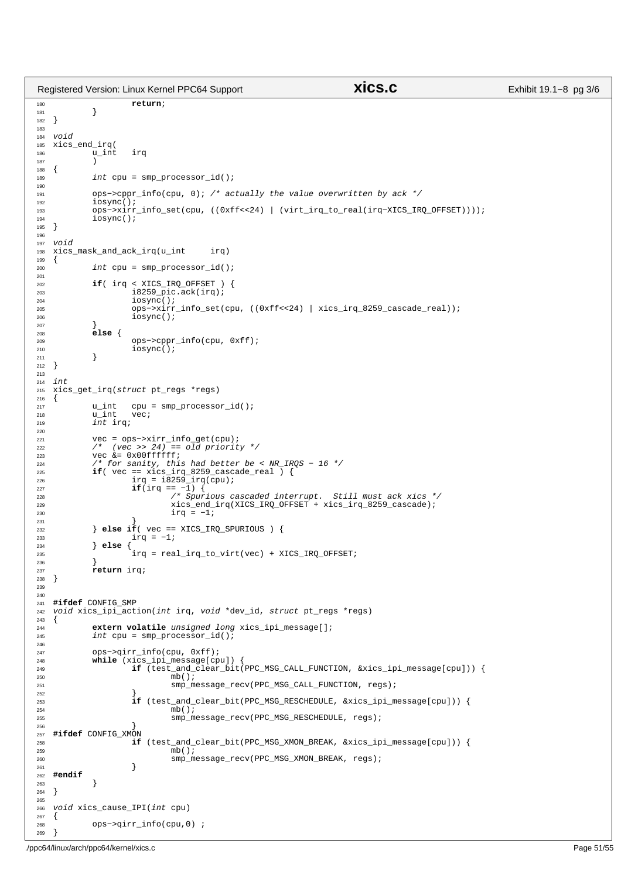```
180 return;<br>181 }
181 }
182 }
183
184 void<br>185 xics
   xics_end_irq(
186 u_int irq
187 )
\begin{matrix} 188 \\ 189 \end{matrix}int cpu = smp_processor_id();
190
191 ops−>cppr_info(cpu, 0); /* actually the value overwritten by ack */
192 iosync();<br>
193 ops->xiri
193 ops−>xirr_info_set(cpu, ((0xff<<24) | (virt_irq_to_real(irq−XICS_IRQ_OFFSET))));
             iosync();
195 }
196
197 void<br>198 xics
   xics\_mask\_and\_ack\_irq(u\_int irq)
\begin{matrix}\n199 \\
200\n\end{matrix}int cpu = smp_processor_id();
201
202 if( irq < XICS_IRQ_OFFSET )<br>203 i 8259_pic.ack(irq);
\frac{18259 \text{ pic.ack}(i \text{ irq})}{i \text{ osvnc}(i)}iospnc();
205 ops−>xirr_info_set(cpu, ((0xff<<24) | xics_irq_8259_cascade_real));
                       iosvc();
207 }
208 else {
                       209 ops−>cppr_info(cpu, 0xff);
210 iosync();<br>211 }
211 }
212 }
213
214 int<br>215 xi215 xics_get_irq(struct pt_regs *regs)
216 \{217217 u_int cpu = smp_processor_id();<br>218 u_int vec;
218 u_int vec;
219 int irq;
220
221 vec = ops−>xirr_info_get(cpu);
222 \frac{7}{223} \frac{1}{223} \frac{1}{223} \frac{1}{223} \frac{1}{223} \frac{1}{223} \frac{1}{223} \frac{1}{223} \frac{1}{223} \frac{1}{223} \frac{1}{223} \frac{1}{223} \frac{1}{223} \frac{1}{223} \frac{1}{223} \frac{1}{223} \frac{1}{223} \frac{1}{223}223 vec \&= 0 \times 00 \text{eff} \text{eff} \text{eff};<br>224 /* for sanity, this
224 /* for sanity, this had better be < NR_IRQS - 16 */<br>
225 if( vec == xics_irq_8259_cascade_real ) {<br>
226 irq = i8259_irq(cpu);
227 if(irq == −1) {
228 /* Spurious cascaded interrupt. Still must ack xics */
229 xics_end_irq(XICS_IRQ_OFFSET + xics_irq_8259_cascade);
223 \text{irq} = -1;231 }
232 } else if( vec == XICS_IRQ_SPURIOUS ) {
233 \text{irq} = -1;<br>234 \text{else} \text{else}234 } else {
235 irq = real_irq_to_virt(vec) + XICS_IRQ_OFFSET;
236 }
<sup>237</sup> return irq;
   238 }
239
240
241 #ifdef CONFIG_SMP
    void xics_ipi_action(int irq, void *dev_id, struct pt_regs *regs)
243 {
244 extern volatile unsigned long xics_ipi_message[];
245 int cpu = smp_processor_id();
246
247 ops−>qirr_info(cpu, 0xff);<br>248 while (xics_ipi_message[cp
248 while (xics_ipi_message[cpu])<br>249 if (test and clear bi
                       249 if (test_and_clear_bit(PPC_MSG_CALL_FUNCTION, &xics_ipi_message[cpu])) {
250 mb();<br>251 smp_n
251 smp_message_recv(PPC_MSG_CALL_FUNCTION, regs);<br>252
252 \Big\}253 if (test_and_clear_bit(PPC_MSG_RESCHEDULE, &xics_ipi_message[cpu])) {
254 mb();
255 smp_message_recv(PPC_MSG_RESCHEDULE, regs);
256 }
257 #ifdef CONFIG_XMON
258 if (test_and_clear_bit(PPC_MSG_XMON_BREAK, &xics_ipi_message[cpu])) {
259 mb();<br>260 mb();<br>260 mb();
                       x ... .<br>
smp_message_recv(PPC_MSG_XMON_BREAK, regs);
261 }
262 #endif
\begin{array}{c} 263 \\ 264 \end{array} }
   \rightarrow265
266 void xics_cause_IPI(int cpu)
\begin{matrix}\n267 & \{ \\
268 & \end{matrix}268 ops−>qirr_info(cpu,0) ;
269Registered Version: Linux Kernel PPC64 Support xics.c Exhibit 19.1−8 pg 3/6
```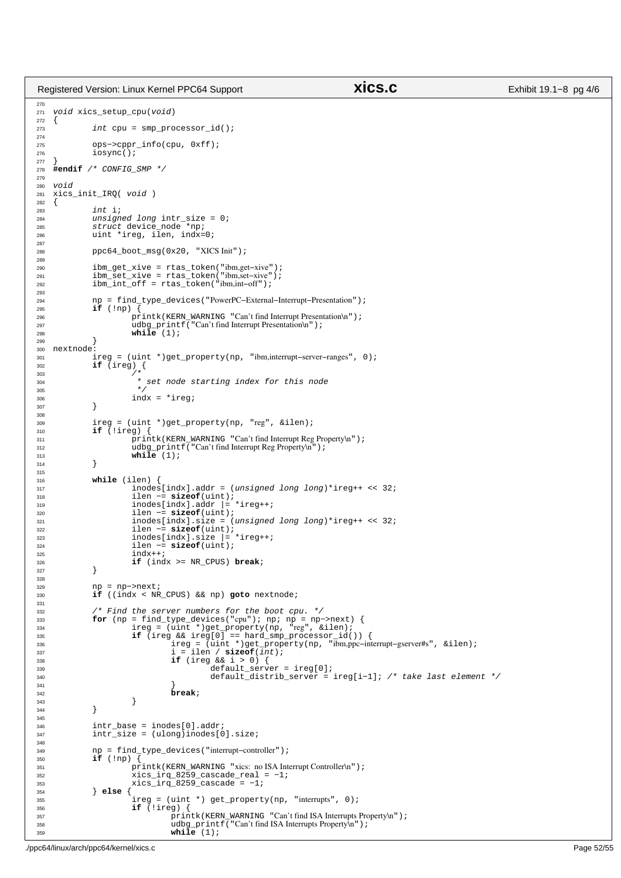Registered Version: Linux Kernel PPC64 Support **xics.c** Exhibit 19.1−8 pg 4/6

```
270
<sup>271</sup> void xics setup cpu(void)
272 \{273\}int cpu = smp_processor_id();
274
275 ops−>cppr_info(cpu, 0xff);
276 iosync();
277 }
    278 #endif /* CONFIG_SMP */
279
280 void
281 xics_init_IRQ( void)<br>282 {
282 {
283 int i;<br>294 unsign
              unsigned long intr_size = 0;285 struct device_node *np;
286 uint *ireg, ilen, indx=0;
287<br>288
              288 ppc64_boot_msg(0x20, "XICS Init");
289
290 ibm_get_xive = rtas_token("ibm,get−xive");
291 ibm_set_xive = rtas_token("ibm,set−xive");
292 ibm_int_off = rtas_token("ibm,int−off");
293
294 np = find_type_devices("PowerPC−External−Interrupt−Presentation");
295 if (!np) {
296 printk(KERN_WARNING "Can't find Interrupt Presentation\n");<br>297 udbq_printf("Can't find Interrupt Presentation\n");
297 udbg_printf("Can't find Interrupt Presentation\n");<br>
while (1);
299 }
300 nextnode:<br>301 i
              301 ireg = (uint *)get_property(np, "ibm,interrupt−server−ranges", 0);
302 if (ireg) {
303 /*
304 * set node starting index for this node
305 */
306 indx = *ireg;
307 }
308
309 ireg = (uint *)get_property(np, "reg", &ilen);
310 if (!ireg) {
                        311 printk(KERN_WARNING "Can't find Interrupt Reg Property\n");
312 udbg_printf("Can't find Interrupt Reg Property\n");<br>
while (1);
\begin{array}{c} 314 \end{array}315
316 while (ilen) {
317 inodes[indx].addr = (unsigned long long)*ireg++ << 32;<br>318
318 ilen −= sizeof(uint);
319 inodes[indx].addr |= *ireg++;
320 ilen −= sizeof(uint);
321 inodes[indx].size = (unsigned long long)*ireg++ << 32;<br>322 ilen -= \text{sizeof}(\text{uint});
322 ilen −= sizeof(uint);
323 inodes[indx].size = *ireg++;<br>324 ilen = sizeof(i)int);
                        324 ilen −= sizeof(uint);
325 indx++;<br>326 if (ind
                        326 if (indx >= NR_CPUS) break;
327 }
328
329 np = np−>next;
330 if ((indx < NR_CPUS) && np) goto nextnode;
331
332 /* Find the server numbers for the boot cpu. */<br>500 for (np = find type devices ("cpu"); np; np = np-
for (np = find_type_devices("cpu"); np; np = np->next) {<br>334 ireg = (uint *)get_property(np, "reg", &ilen);<br>if (ireg && ireg[0] == hard_smp_processor_id()) {
336 ireg = (uint *)get_property(np, "ibm,ppc−interrupt-gserver#s", &ilen);<br>i = ilen / sizeof(int);
337 i = ilen / sizeof(int);<br>338 if (ireg < k \; i > 0)338 if (ireg && i > 0) {
339 default_server = ireg[0];
340 default_distrib_server = ireg[i−1]; /* take last element */
341 }
342 break;
\}344 }
345
346 intr_base = inodes[0].addr;<br>347 intr size = (ulong)inodes[0]
              intr\_size = (ulong)inodes[0].size;348
349 np = find_type_devices("interrupt−controller");
350 if (!np) {
351 printk(KERN_WARNING "xics: no ISA Interrupt Controller\n");
352 xics_irq_8259_cascade_real = −1;
353 xics_irq_8259_cascade = -1;<br>354 \qquad \qquad \qquad \qquad \qquad \qquad \qquad \qquad \qquad \qquad \qquad \qquad \qquad \qquad \qquad \qquad \qquad \qquad \qquad \qquad \qquad \qquad \qquad \qquad \qquad \qquad \qquad \qquad \qquad \qquad \qquad \qquad354 } else {
355 ireg = (uint *) get_property(np, "interrupts", 0);<br>356 if (!ireg) {
356 if (!ireg) {
357 printk(KERN_WARNING "Can't find ISA Interrupts Property\n");<br>358 udbg printf("Can't find ISA Interrupts Property\n");
                                  udbg_printf("Can't find ISA Interrupts Property\n");
359 while (1);
```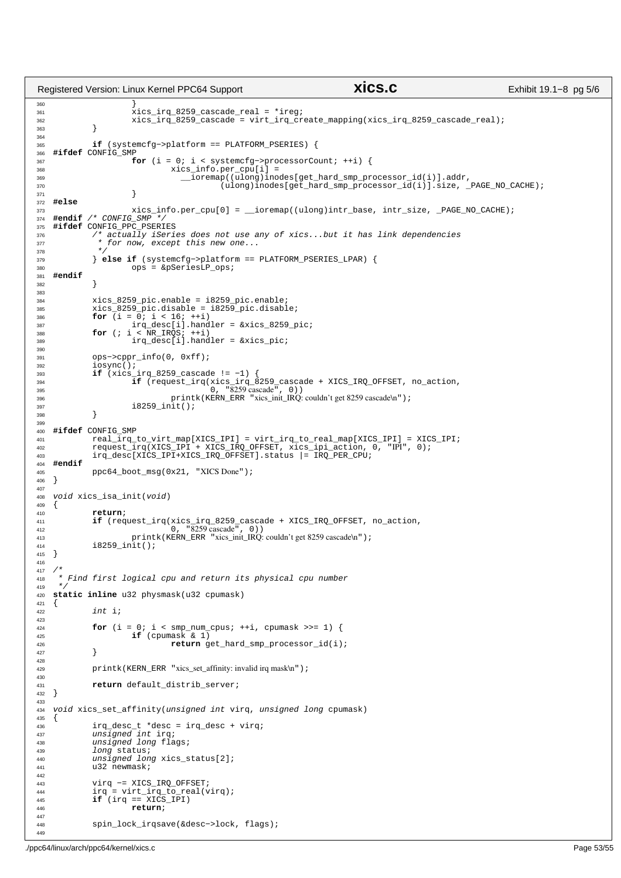```
360 }
<sup>361</sup> xics irq 8259 cascade real = *ireg;
362 xics_irq_8259_cascade = virt_irq_create_mapping(xics_irq_8259_cascade_real);
363 }
364
365 if (systemcfg−>platform == PLATFORM_PSERIES) {
366 #ifdef CONFIG_SMP
367<br>for (i = 0; i < systemcfg->processorCount; ++i) {<br>xics info.per cpu[i] =
368 xics_info.per_cpu[i] =<br>369 xics_info.per_cpu[i] =
369 __ioremap((ulong)inodes[get_hard_smp_processor_id(i)].addr, 
                        (ulong)inodes[get_hard_smp_processor_id(i)].size, _PAGE_NO_CACHE);
371 }
372 #else
373 xics_info.per_cpu[0] = \text{ioremap}((ulong)intr_base, intr_size, _PAGE_NO_CACHE);<br>374 \text{Hendif} /* CONFIG SMP */
374 #endif /* CONFIG_SMP */
375 #ifdef CONFIG_PPC_PSERIES
376 /* actually iSeries does not use any of xics...but it has link dependencies
377 * for now, except this new one...
378 * /379 } else if (systemcfg−>platform == PLATFORM_PSERIES_LPAR) {
                        380 ops = &pSeriesLP_ops;
381 #endif
382 }
383
384 xics_8259_pic.enable = i8259_pic.enable;
385 xics_8259_pic.disable = i8259_pic.disable;
386 for (i = 0; i < 16; ++i)
387 irq_desc[i].handler = &xics_8259_pic;
388 for (; i < NR_IRQS; ++i)
389 irq_desc[i].handler = &xics_pic;
390
391 ops−>cppr_info(0, 0xff);
\frac{1}{392} \frac{1}{1} \frac{1}{1} \frac{1}{1} \frac{1}{1} \frac{1}{1} \frac{1}{1} \frac{1}{1} \frac{1}{1} \frac{1}{1} \frac{1}{1} \frac{1}{1} \frac{1}{1} \frac{1}{1} \frac{1}{1} \frac{1}{1} \frac{1}{1} \frac{1}{1} \frac{1}{1} \frac{1}{1} \frac{1}{1} \frac{1}{1}393 if (xics_irq_8259_cascade != −1) {
394 if (request_irq(xics_irq_8259_cascade + XICS_IRQ_OFFSET, no_action,
395 0, "8259 cascade", 0))
396 printk(KERN_ERR "xics_init_IRQ: couldn't get 8259 cascade\n");<br>397 i 8259_init();
              i8259\text{__init}(;
398 }
399
400 #ifdef CONFIG_SMP<br>401 real irg
400<br>
real\_irq\_to\_virt\_map[XICS\_IPI] = virt\_irq\_to\_real\_map[XICS\_IPI] = XICS\_IPI;<br>
real\_irq\_to\_virt\_map[XICS\_IPI] = virt\_irq\_to\_real\_map[XICS\_IPI] = XICS\_IPI;402 request_irq(XICS_IPI + XICS_IRQ_OFFSET, xics_ipi_action, 0, "IPI", 0);<br>403     irq desc[XICS_IPI+XICS_IRQ_OFFSET]_status = IRQ_PER_CPU;
              irq_desc[XICS_IPI+XICS_IRQ_OFFSET].status |= IRQ_PER_CPU;
404 #endif
405 ppc64_boot_msg(0x21, "XICS Done");<br>406}
   \{ \}407<br>408408 void xics_isa_init(void)<br>\begin{bmatrix} 408 & 5 \end{bmatrix}\{410 return;
411 if (request_irq(xics_irq_8259_cascade + XICS_IRQ_OFFSET, no_action,
412 0, "8259 cascade", 0))
413 printk(KERN_ERR "xics_init_IRQ: couldn't get 8259 cascade\n");<br>
414 18259 init();
              18259 init();
415 }
416
417<br>418418 * Find first logical cpu and return its physical cpu number<br>419 */
    +420 static inline u32 physmask(u32 cpumask)
\begin{array}{c} 421 \\ 422 \end{array}int i;
423
424 for (i = 0; i < smp_num_cpus; ++i, cpumask >>= 1) {
425 if (cpumask & 1)
426 return get_hard_smp_processor_id(i);
427 }
428
429 printk(KERN_ERR "xics_set_affinity: invalid irq mask\n");
430
431 return default_distrib_server;
   \}433
434 void xics_set_affinity(unsigned int virq, unsigned long cpumask)
435 \{436 irq_desc_t *desc = irq_desc + virq;<br>437 unsigned int irq;
437 unsigned int irq;
438 unsigned long flags;
439 long status;<br>440 unsigned lone
440 unsigned long xics_status[2];<br>441 u32 newmask;
              u32 newmask;
442
443 virq −= XICS_IRQ_OFFSET;
444 irq = virt_irq_to_real(virq);
445 if (irq == XICS_IPI)
446 return;
447
448 spin_lock_irqsave(&desc−>lock, flags);
449
Registered Version: Linux Kernel PPC64 Support xics.c Exhibit 19.1−8 pg 5/6
```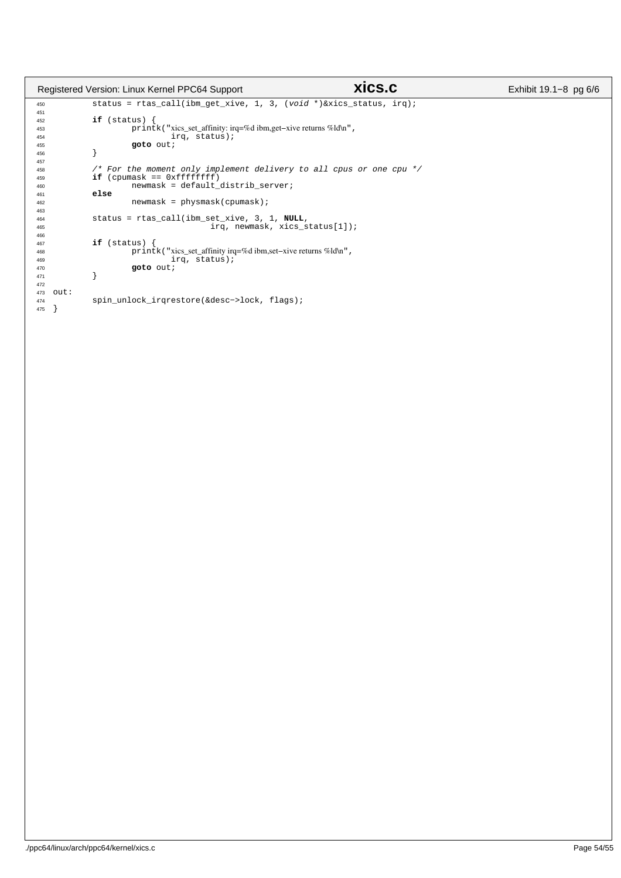|             | Registered Version: Linux Kernel PPC64 Support                      | xics.c | Exhibit $19.1 - 8$ pg $6/6$ |
|-------------|---------------------------------------------------------------------|--------|-----------------------------|
| 450         | status = rtas_call(ibm_qet_xive, 1, 3, (void *) &xics_status, irq); |        |                             |
| 451         |                                                                     |        |                             |
| 452         | if (status) {                                                       |        |                             |
| 453         | printk ("xics_set_affinity: irq=%d ibm, get-xive returns %ld\n",    |        |                             |
| 454         | irq, status);                                                       |        |                             |
| 455         | goto out;                                                           |        |                             |
| 456         |                                                                     |        |                             |
| 457         |                                                                     |        |                             |
| 458         | /* For the moment only implement delivery to all cpus or one cpu */ |        |                             |
| 459         | $if$ (cpumask == $0xffffffff$                                       |        |                             |
| 460         | newmask = default_distrib_server;                                   |        |                             |
| 461         | else                                                                |        |                             |
| 462         | $newmask = physmask(cpumask)$ ;                                     |        |                             |
| 463         |                                                                     |        |                             |
| 464         | status = $rtas\_call(ibm_set\_xive, 3, 1, NULL,$                    |        |                             |
| 465         | $irq$ , newmask, xics status[1]);                                   |        |                             |
| 466         |                                                                     |        |                             |
| 467         | if (status) {                                                       |        |                             |
| 468         | print k ("xics_set_affinity irq=%d ibm, set-xive returns %ld\n",    |        |                             |
| 469         | irq, status);                                                       |        |                             |
| 470<br>471  | goto out;                                                           |        |                             |
| 472         |                                                                     |        |                             |
| out:<br>473 |                                                                     |        |                             |
| 474         | spin_unlock_irqrestore(&desc->lock, flags);                         |        |                             |
| 475         |                                                                     |        |                             |
|             |                                                                     |        |                             |
|             |                                                                     |        |                             |